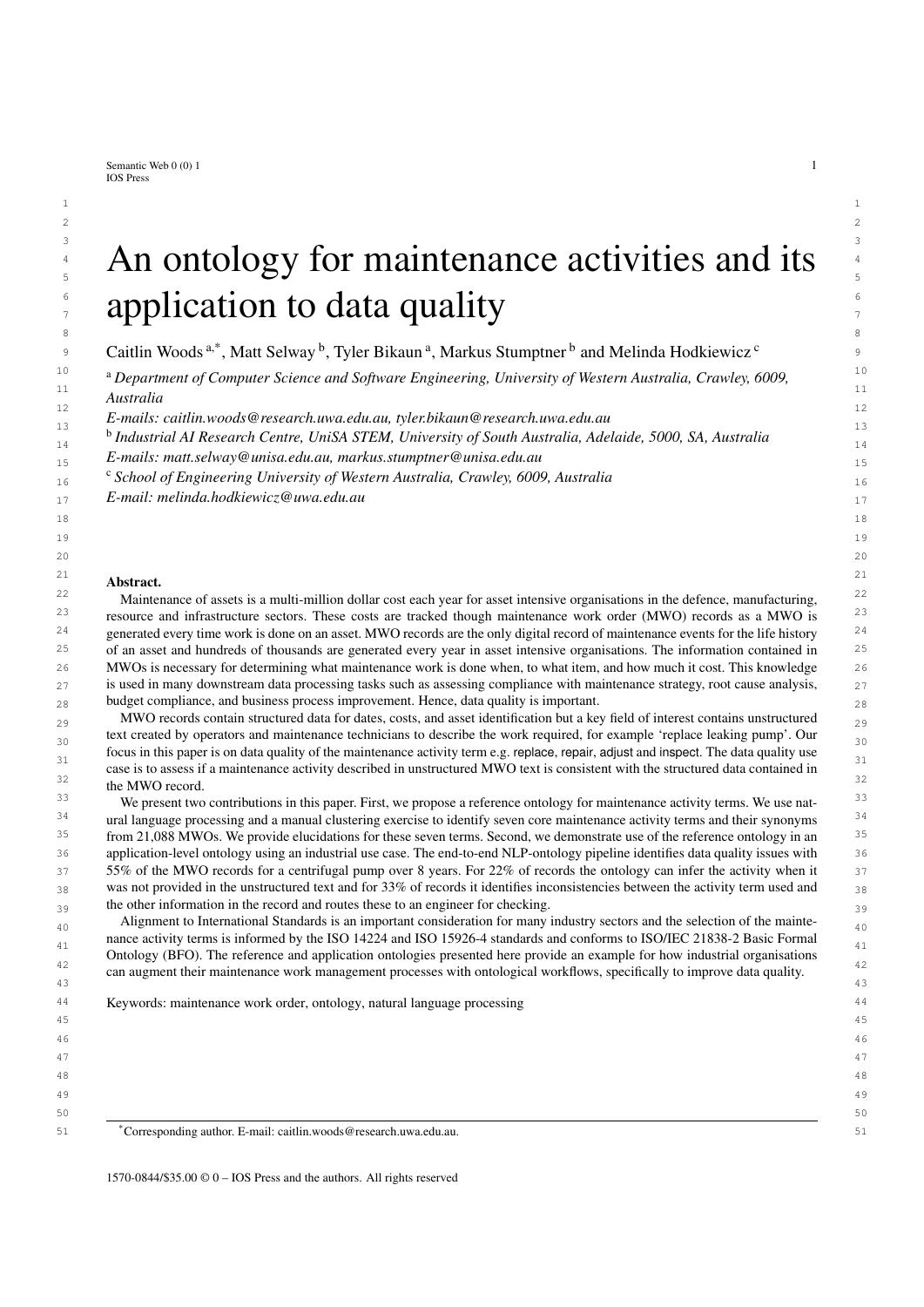<span id="page-0-0"></span>Semantic Web  $0(0)$  1 1 IOS Press

# $3$  3  $3$  3  $3$   $3$   $3$  $4$  – An ontology for maintenance activities and its  $4$  $\frac{1}{5}$  An ontology for maintenance activities and its  $\frac{6}{2}$  example at each of a data curelity  $\int_{\tau}^{\epsilon}$  application to data quality

<sup>9</sup> C[a](#page-0-0)itlin Woods<sup>a[,\\*](#page-0-1)</sup>, Matt Selway <sup>[b](#page-0-2)</sup>, Tyler Bikaun<sup>a</sup>, Markus Stumptner <sup>b</sup> and Melinda Hodkiewi[c](#page-0-3)z <sup>c</sup>

10 10 <sup>a</sup> *Department of Computer Science and Software Engineering, University of Western Australia, Crawley, 6009,* 11  $\frac{1}{11}$  11 *Australia*

12 12 *E-mails: [caitlin.woods@research.uwa.edu.au,](mailto:caitlin.woods@research.uwa.edu.au) [tyler.bikaun@research.uwa.edu.au](mailto:tyler.bikaun@research.uwa.edu.au)*  $13$   $13$ 

<span id="page-0-2"></span><sup>15</sup> 11 *b Industrial AI Research Centre, UniSA STEM, University of South Australia, Adelaide, 5000, SA, Australia* 

15 15 *E-mails: [matt.selway@unisa.edu.au,](mailto:matt.selway@unisa.edu.au) [markus.stumptner@unisa.edu.au](mailto:markus.stumptner@unisa.edu.au)*

<span id="page-0-3"></span>16 16 <sup>c</sup> *School of Engineering University of Western Australia, Crawley, 6009, Australia*

17 17 *E-mail: [melinda.hodkiewicz@uwa.edu.au](mailto:melinda.hodkiewicz@uwa.edu.au)*

#### 21 **a**  $\blacksquare$  **b**  $\blacksquare$  **c**  $\blacksquare$  **c**  $\blacksquare$  **c**  $\blacksquare$  **c**  $\blacksquare$  **c**  $\blacksquare$  **c**  $\blacksquare$  **c**  $\blacksquare$  **c**  $\blacksquare$  **c**  $\blacksquare$  **c**  $\blacksquare$  **c**  $\blacksquare$  **c**  $\blacksquare$  **c**  $\blacksquare$  **c**  $\blacksquare$  **c**  $\blacksquare$  **c**  $\blacksquare$  **c**  $\blacksquare$  **c**  $\blacksquare$ Abstract.

 $^{22}$  Maintenance of assets is a multi-million dollar cost each year for asset intensive organisations in the defence, manufacturing,  $^{22}$ <sup>23</sup> resource and infrastructure sectors. These costs are tracked though maintenance work order (MWO) records as a MWO is <sup>23</sup>  $24$  generated every time work is done on an asset. MWO records are the only digital record of maintenance events for the life history  $24$  $25$  of an asset and hundreds of thousands are generated every year in asset intensive organisations. The information contained in  $25$ 26 MWOs is necessary for determining what maintenance work is done when, to what item, and how much it cost. This knowledge 26 27 is used in many downstream data processing tasks such as assessing compliance with maintenance strategy, root cause analysis, 27  $_{28}$  budget compliance, and business process improvement. Hence, data quality is important.

 $_{29}$  MWO records contain structured data for dates, costs, and asset identification but a key field of interest contains unstructured  $_{29}$ text created by operators and maintenance technicians to describe the work required, for example 'replace leaking pump'. Our  $_{30}$ focus in this paper is on data quality of the maintenance activity term e.g. replace, repair, adjust and inspect. The data quality use case is to assess if a maintenance activity described in unstructured MWO text is consistent with the structured data contained in  $\frac{32}{32}$ the MWO record.

<sup>33</sup> We present two contributions in this paper. First, we propose a reference ontology for maintenance activity terms. We use nat-<sup>33</sup> <sup>34</sup> ural language processing and a manual clustering exercise to identify seven core maintenance activity terms and their synonyms<sup>34</sup> <sup>35</sup> from 21,088 MWOs. We provide elucidations for these seven terms. Second, we demonstrate use of the reference ontology in an <sup>35</sup> 36 36 application-level ontology using an industrial use case. The end-to-end NLP-ontology pipeline identifies data quality issues with 37 37 55% of the MWO records for a centrifugal pump over 8 years. For 22% of records the ontology can infer the activity when it  $38$  was not provided in the unstructured text and for 33% of records it identifies inconsistencies between the activity term used and  $38$  $39<sub>39</sub>$  the other information in the record and routes these to an engineer for checking.

Alignment to International Standards is an important consideration for many industry sectors and the selection of the maintenance activity terms is informed by the ISO 14224 and ISO 15926-4 standards and conforms to ISO/IEC 21838-2 Basic Formal <sup>41</sup> <sup>42</sup> can augment their maintenance work management processes with ontological workflows, specifically to improve data quality.  $\frac{43}{43}$ Ontology (BFO). The reference and application ontologies presented here provide an example for how industrial organisations

44 44 Keywords: maintenance work order, ontology, natural language processing

- 
- 47 47

48 48

- 49 49
- $50$

51 51 \*Corresponding author. E-mail: [caitlin.woods@research.uwa.edu.au.](mailto:caitlin.woods@research.uwa.edu.au)

<span id="page-0-1"></span>1570-0844/\$35.00 © 0 – IOS Press and the authors. All rights reserved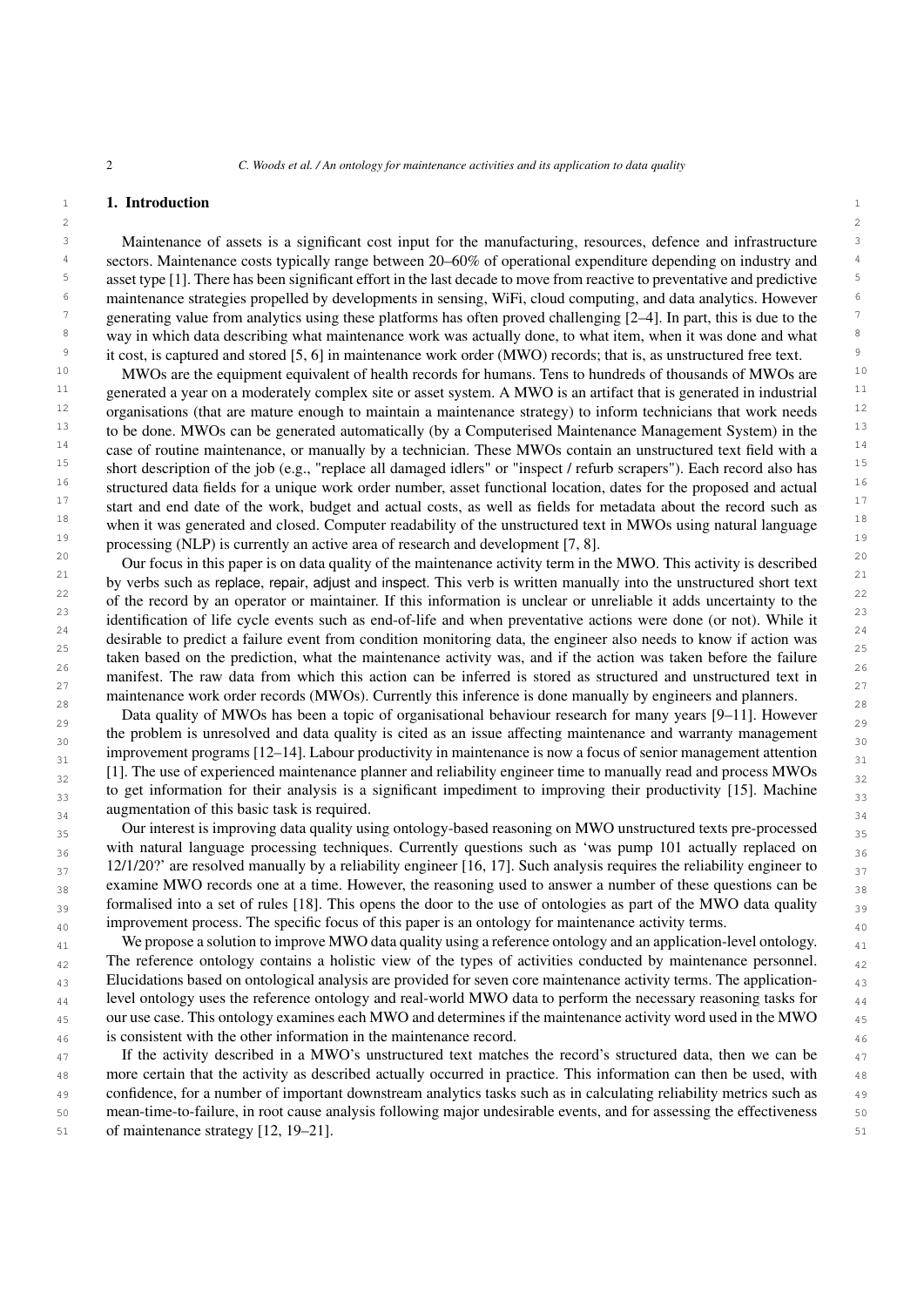$2 \times 2$ 

## 1 **1. Introduction** 1

3 3 Maintenance of assets is a significant cost input for the manufacturing, resources, defence and infrastructure <sup>4</sup> sectors. Maintenance costs typically range between 20–60% of operational expenditure depending on industry and <sup>5</sup> asset type [\[1\]](#page-28-0). There has been significant effort in the last decade to move from reactive to preventative and predictive <sup>5</sup> <sup>6</sup> maintenance strategies propelled by developments in sensing, WiFi, cloud computing, and data analytics. However <sup>7</sup> generating value from analytics using these platforms has often proved challenging  $[2-4]$  $[2-4]$ . In part, this is due to the <sup>8</sup> way in which data describing what maintenance work was actually done, to what item, when it was done and what <sup>9</sup> it cost, is captured and stored [\[5,](#page-28-3) [6\]](#page-28-4) in maintenance work order (MWO) records; that is, as unstructured free text.

<sup>10</sup> MWOs are the equipment equivalent of health records for humans. Tens to hundreds of thousands of MWOs are <sup>10</sup>  $11$  generated a year on a moderately complex site or asset system. A MWO is an artifact that is generated in industrial  $11$  $12$  organisations (that are mature enough to maintain a maintenance strategy) to inform technicians that work needs  $12$ <sup>13</sup> to be done. MWOs can be generated automatically (by a Computerised Maintenance Management System) in the <sup>13</sup> <sup>14</sup> case of routine maintenance, or manually by a technician. These MWOs contain an unstructured text field with a <sup>14</sup> <sup>15</sup> short description of the job (e.g., "replace all damaged idlers" or "inspect / refurb scrapers"). Each record also has <sup>16</sup> structured data fields for a unique work order number, asset functional location, dates for the proposed and actual <sup>17</sup> start and end date of the work, budget and actual costs, as well as fields for metadata about the record such as <sup>17</sup> <sup>18</sup> when it was generated and closed. Computer readability of the unstructured text in MWOs using natural language  $19$  processing (NLP) is currently an active area of research and development [\[7,](#page-28-5) [8\]](#page-28-6).

<sup>20</sup> Our focus in this paper is on data quality of the maintenance activity term in the MWO. This activity is described<sup>20</sup> <sup>21</sup> by verbs such as replace, repair, adjust and inspect. This verb is written manually into the unstructured short text  $\frac{21}{2}$ <sup>22</sup> of the record by an operator or maintainer. If this information is unclear or unreliable it adds uncertainty to the  $\frac{23}{2}$  identification of life cycle events such as end-of-life and when preventative actions were done (or not). While it  $\frac{23}{2}$  $\frac{24}{\pi}$  desirable to predict a failure event from condition monitoring data, the engineer also needs to know if action was  $\frac{25}{25}$  taken based on the prediction, what the maintenance activity was, and if the action was taken before the failure 26 26 manifest. The raw data from which this action can be inferred is stored as structured and unstructured text in  $\frac{27}{27}$ maintenance work order records (MWOs). Currently this inference is done manually by engineers and planners.

Data quality of MWOs has been a topic of organisational behaviour research for many years [\[9–](#page-28-7)[11\]](#page-28-8). However  $_{30}$  the problem is unresolved and data quality is cited as an issue affecting maintenance and warranty management  $_{30}$ improvement programs  $[12-14]$  $[12-14]$ . Labour productivity in maintenance is now a focus of senior management attention  $_{32}$  [\[1\]](#page-28-0). The use of experienced maintenance planner and reliability engineer time to manually read and process MWOs  $_{32}$  $33$  to get information for their analysis is a significant impediment to improving their productivity [\[15\]](#page-28-11). Machine  $34$  augmentation of this basic task is required.

35 Our interest is improving data quality using ontology-based reasoning on MWO unstructured texts pre-processed  $_{36}$  with natural language processing techniques. Currently questions such as 'was pump 101 actually replaced on  $_{36}$  $12/1/20$ ?' are resolved manually by a reliability engineer [\[16,](#page-28-12) [17\]](#page-28-13). Such analysis requires the reliability engineer to  $\frac{37}{20}$  $_{38}$  examine MWO records one at a time. However, the reasoning used to answer a number of these questions can be  $_{38}$  $_{39}$  formalised into a set of rules [\[18\]](#page-28-14). This opens the door to the use of ontologies as part of the MWO data quality  $_{39}$  $_{40}$  improvement process. The specific focus of this paper is an ontology for maintenance activity terms.

 $_{41}$  We propose a solution to improve MWO data quality using a reference ontology and an application-level ontology. <sub>42</sub> The reference ontology contains a holistic view of the types of activities conducted by maintenance personnel. <sub>42</sub> <sup>43</sup> Elucidations based on ontological analysis are provided for seven core maintenance activity terms. The application-44 44 level ontology uses the reference ontology and real-world MWO data to perform the necessary reasoning tasks for <sup>45</sup> our use case. This ontology examines each MWO and determines if the maintenance activity word used in the MWO 46 46 is consistent with the other information in the maintenance record.

<sup>47</sup> If the activity described in a MWO's unstructured text matches the record's structured data, then we can be 48 more certain that the activity as described actually occurred in practice. This information can then be used, with 49 confidence, for a number of important downstream analytics tasks such as in calculating reliability metrics such as 50 mean-time-to-failure, in root cause analysis following major undesirable events, and for assessing the effectiveness 51 of maintenance strategy [\[12,](#page-28-9) [19](#page-28-15)[–21\]](#page-28-16).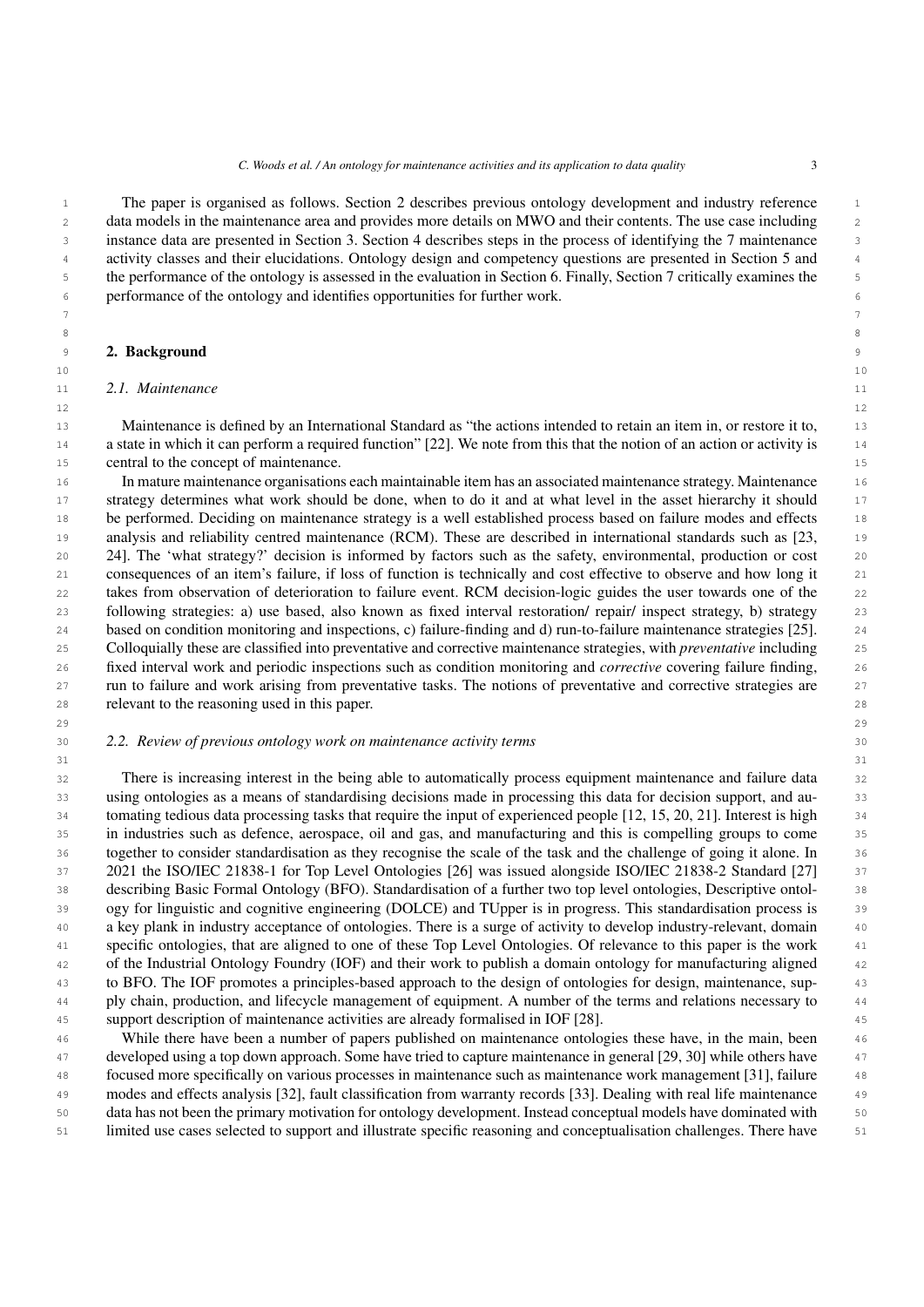1 The paper is organised as follows. Section 2 describes previous ontology development and industry reference 2 data models in the maintenance area and provides more details on MWO and their contents. The use case including 3 instance data are presented in Section 3. Section 4 describes steps in the process of identifying the 7 maintenance 4 activity classes and their elucidations. Ontology design and competency questions are presented in Section 5 and 5 the performance of the ontology is assessed in the evaluation in Section 6. Finally, Section 7 critically examines the 6 performance of the ontology and identifies opportunities for further work.

 7 8 a set of the set of the set of the set of the set of the set of the set of the set of the set of the set of the set of the set of the set of the set of the set of the set of the set of the set of the set of the set of th

10

# **2. Background**

# <span id="page-2-0"></span>11 *2.1. Maintenance*

 13 Maintenance is defined by an International Standard as "the actions intended to retain an item in, or restore it to, 14 a state in which it can perform a required function" [\[22\]](#page-28-17). We note from this that the notion of an action or activity is 15 central to the concept of maintenance.

 16 In mature maintenance organisations each maintainable item has an associated maintenance strategy. Maintenance 17 strategy determines what work should be done, when to do it and at what level in the asset hierarchy it should 18 be performed. Deciding on maintenance strategy is a well established process based on failure modes and effects 19 analysis and reliability centred maintenance (RCM). These are described in international standards such as [\[23,](#page-29-0) 20 [24\]](#page-29-1). The 'what strategy?' decision is informed by factors such as the safety, environmental, production or cost 21 consequences of an item's failure, if loss of function is technically and cost effective to observe and how long it 22 takes from observation of deterioration to failure event. RCM decision-logic guides the user towards one of the 23 following strategies: a) use based, also known as fixed interval restoration/ repair/ inspect strategy, b) strategy 24 based on condition monitoring and inspections, c) failure-finding and d) run-to-failure maintenance strategies [\[25\]](#page-29-2). 25 Colloquially these are classified into preventative and corrective maintenance strategies, with *preventative* including 26 fixed interval work and periodic inspections such as condition monitoring and *corrective* covering failure finding, 27 run to failure and work arising from preventative tasks. The notions of preventative and corrective strategies are 28 relevant to the reasoning used in this paper.

 $31$ 

# 30 *2.2. Review of previous ontology work on maintenance activity terms*

 32 There is increasing interest in the being able to automatically process equipment maintenance and failure data 33 using ontologies as a means of standardising decisions made in processing this data for decision support, and au- 34 tomating tedious data processing tasks that require the input of experienced people [\[12,](#page-28-9) [15,](#page-28-11) [20,](#page-28-18) [21\]](#page-28-16). Interest is high 35 in industries such as defence, aerospace, oil and gas, and manufacturing and this is compelling groups to come 36 together to consider standardisation as they recognise the scale of the task and the challenge of going it alone. In 37 2021 the ISO/IEC 21838-1 for Top Level Ontologies [\[26\]](#page-29-3) was issued alongside ISO/IEC 21838-2 Standard [\[27\]](#page-29-4) 37 38 describing Basic Formal Ontology (BFO). Standardisation of a further two top level ontologies, Descriptive ontol- 39 ogy for linguistic and cognitive engineering (DOLCE) and TUpper is in progress. This standardisation process is 40 a key plank in industry acceptance of ontologies. There is a surge of activity to develop industry-relevant, domain 41 specific ontologies, that are aligned to one of these Top Level Ontologies. Of relevance to this paper is the work 42 of the Industrial Ontology Foundry (IOF) and their work to publish a domain ontology for manufacturing aligned 43 to BFO. The IOF promotes a principles-based approach to the design of ontologies for design, maintenance, sup- 44 ply chain, production, and lifecycle management of equipment. A number of the terms and relations necessary to 45 support description of maintenance activities are already formalised in IOF [\[28\]](#page-29-5).

 46 While there have been a number of papers published on maintenance ontologies these have, in the main, been 47 developed using a top down approach. Some have tried to capture maintenance in general [\[29,](#page-29-6) [30\]](#page-29-7) while others have 48 focused more specifically on various processes in maintenance such as maintenance work management [\[31\]](#page-29-8), failure 49 modes and effects analysis [\[32\]](#page-29-9), fault classification from warranty records [\[33\]](#page-29-10). Dealing with real life maintenance 50 data has not been the primary motivation for ontology development. Instead conceptual models have dominated with 51 limited use cases selected to support and illustrate specific reasoning and conceptualisation challenges. There have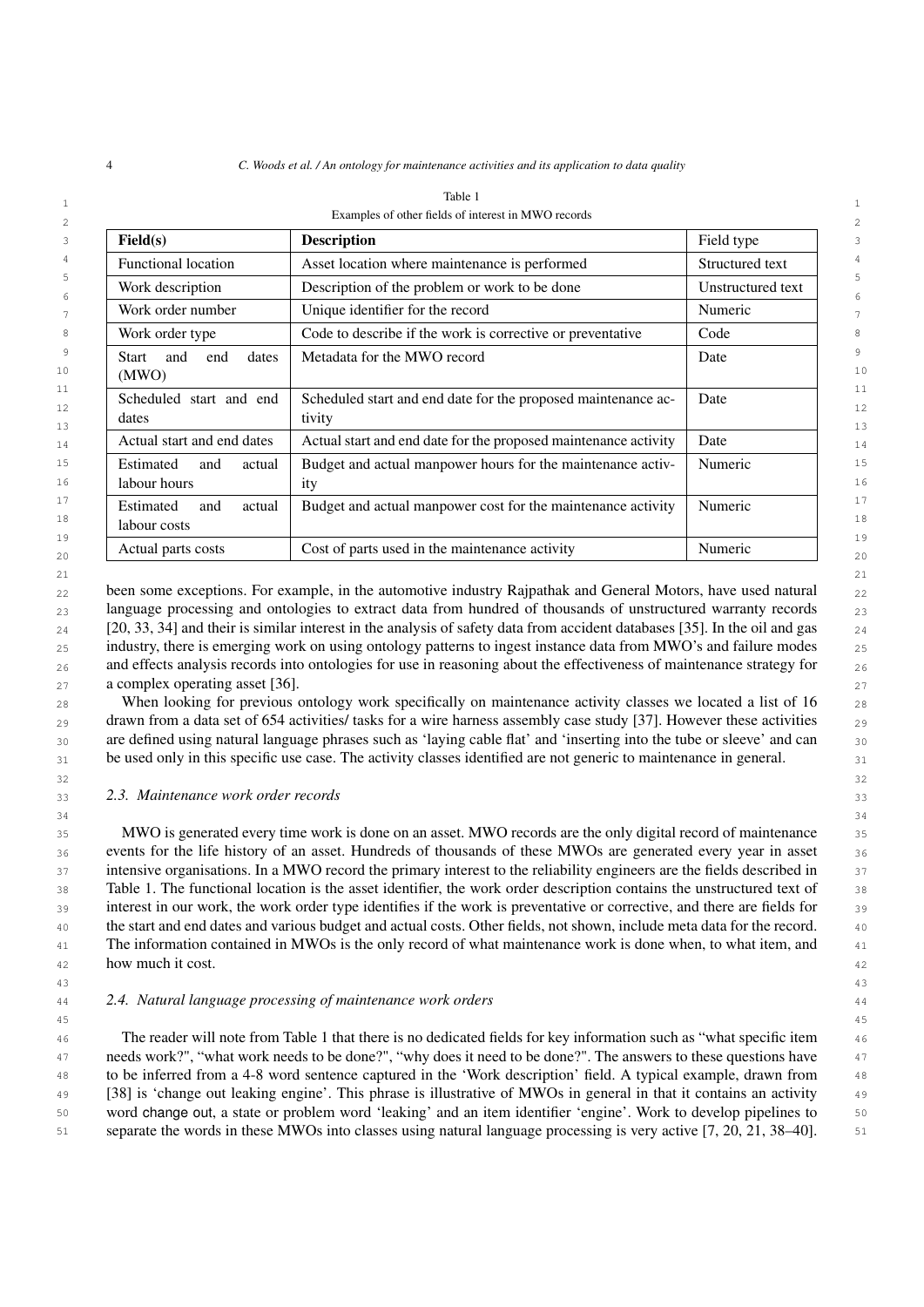| Field(s)                                   | <b>Description</b>                                                      | Field type        |  |
|--------------------------------------------|-------------------------------------------------------------------------|-------------------|--|
| <b>Functional location</b>                 | Asset location where maintenance is performed                           | Structured text   |  |
| Work description                           | Description of the problem or work to be done                           | Unstructured text |  |
| Work order number                          | Unique identifier for the record                                        | Numeric           |  |
| Work order type                            | Code to describe if the work is corrective or preventative              | Code              |  |
| and<br>end<br>dates<br>Start<br>(MWO)      | Metadata for the MWO record                                             | Date              |  |
| Scheduled start and end<br>dates           | Scheduled start and end date for the proposed maintenance ac-<br>tivity | Date              |  |
| Actual start and end dates                 | Actual start and end date for the proposed maintenance activity         | Date              |  |
| Estimated<br>actual<br>and<br>labour hours | Budget and actual manpower hours for the maintenance activ-<br>ity      | Numeric           |  |
| Estimated<br>actual<br>and<br>labour costs | Budget and actual manpower cost for the maintenance activity            | Numeric           |  |
| Actual parts costs                         | Cost of parts used in the maintenance activity                          | Numeric           |  |

<span id="page-3-0"></span>

| Table                                               |  |
|-----------------------------------------------------|--|
| Examples of other fields of interest in MWO records |  |

 $_{22}$  been some exceptions. For example, in the automotive industry Rajpathak and General Motors, have used natural  $_{22}$ 23 language processing and ontologies to extract data from hundred of thousands of unstructured warranty records 23  $_{24}$  [\[20,](#page-28-18) [33,](#page-29-10) [34\]](#page-29-11) and their is similar interest in the analysis of safety data from accident databases [\[35\]](#page-29-12). In the oil and gas  $_{24}$ 25 industry, there is emerging work on using ontology patterns to ingest instance data from MWO's and failure modes 25  $_{26}$  and effects analysis records into ontologies for use in reasoning about the effectiveness of maintenance strategy for  $_{26}$ 27 a complex operating asset [\[36\]](#page-29-13).  $27 \times 27$ 

21  $\sim$  21

28 When looking for previous ontology work specifically on maintenance activity classes we located a list of 16 <sub>28</sub>  $_{29}$  drawn from a data set of 654 activities/ tasks for a wire harness assembly case study [\[37\]](#page-29-14). However these activities  $_{29}$ 30 are defined using natural language phrases such as 'laying cable flat' and 'inserting into the tube or sleeve' and can 31 be used only in this specific use case. The activity classes identified are not generic to maintenance in general.

 $32$  32

 $34$ 

### 33 33 *2.3. Maintenance work order records*

 35 MWO is generated every time work is done on an asset. MWO records are the only digital record of maintenance 36 events for the life history of an asset. Hundreds of thousands of these MWOs are generated every year in asset 37 intensive organisations. In a MWO record the primary interest to the reliability engineers are the fields described in 37 38 Table [1.](#page-3-0) The functional location is the asset identifier, the work order description contains the unstructured text of 39 interest in our work, the work order type identifies if the work is preventative or corrective, and there are fields for 40 the start and end dates and various budget and actual costs. Other fields, not shown, include meta data for the record. 41 The information contained in MWOs is the only record of what maintenance work is done when, to what item, and 42 how much it cost.  $\frac{42}{42}$ 

### 44 44 *2.4. Natural language processing of maintenance work orders*

 46 The reader will note from Table [1](#page-3-0) that there is no dedicated fields for key information such as "what specific item 47 needs work?", "what work needs to be done?", "why does it need to be done?". The answers to these questions have 48 to be inferred from a 4-8 word sentence captured in the 'Work description' field. A typical example, drawn from 49 [\[38\]](#page-29-15) is 'change out leaking engine'. This phrase is illustrative of MWOs in general in that it contains an activity 50 word change out, a state or problem word 'leaking' and an item identifier 'engine'. Work to develop pipelines to 51 separate the words in these MWOs into classes using natural language processing is very active [\[7,](#page-28-5) [20,](#page-28-18) [21,](#page-28-16) [38](#page-29-15)[–40\]](#page-29-16).

<sup>43</sup> 43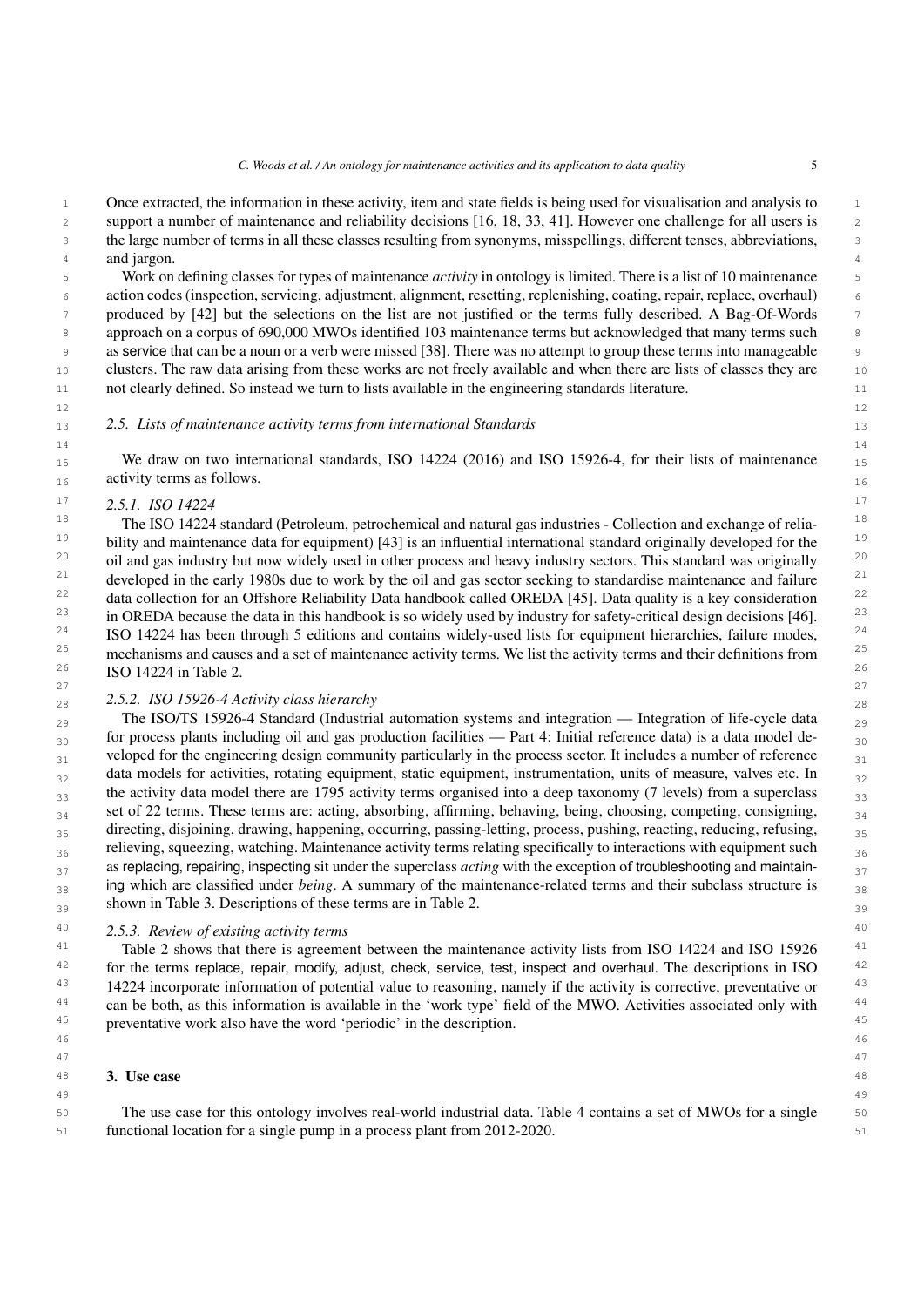1 Once extracted, the information in these activity, item and state fields is being used for visualisation and analysis to 1 2 2 support a number of maintenance and reliability decisions [\[16,](#page-28-12) [18,](#page-28-14) [33,](#page-29-10) [41\]](#page-29-17). However one challenge for all users is 3 3 the large number of terms in all these classes resulting from synonyms, misspellings, different tenses, abbreviations, 4 and jargon. and jargon.

 5 Work on defining classes for types of maintenance *activity* in ontology is limited. There is a list of 10 maintenance 6 action codes (inspection, servicing, adjustment, alignment, resetting, replenishing, coating, repair, replace, overhaul) 7 produced by [\[42\]](#page-29-18) but the selections on the list are not justified or the terms fully described. A Bag-Of-Words 8 approach on a corpus of 690,000 MWOs identified 103 maintenance terms but acknowledged that many terms such se 9 as service that can be a noun or a verb were missed [\[38\]](#page-29-15). There was no attempt to group these terms into manageable 10 clusters. The raw data arising from these works are not freely available and when there are lists of classes they are 11 not clearly defined. So instead we turn to lists available in the engineering standards literature.

## <span id="page-4-0"></span>13 13 *2.5. Lists of maintenance activity terms from international Standards*

14 14  $_{15}$  We draw on two international standards, ISO 14224 (2016) and ISO 15926-4, for their lists of maintenance  $_{15}$  $_{16}$  activity terms as follows.

 $12$ 

# 17 17 *2.5.1. ISO 14224*

<sup>18</sup> The ISO 14224 standard (Petroleum, petrochemical and natural gas industries - Collection and exchange of relia- $19$  bility and maintenance data for equipment) [\[43\]](#page-29-19) is an influential international standard originally developed for the  $19$  $^{20}$  oil and gas industry but now widely used in other process and heavy industry sectors. This standard was originally  $^{20}$  $21$  developed in the early 1980s due to work by the oil and gas sector seeking to standardise maintenance and failure  $21$ <sup>22</sup> data collection for an Offshore Reliability Data handbook called OREDA [\[45\]](#page-29-20). Data quality is a key consideration  $22$  $23$  in OREDA because the data in this handbook is so widely used by industry for safety-critical design decisions [\[46\]](#page-29-21).  $23$ <sup>24</sup> ISO 14224 has been through 5 editions and contains widely-used lists for equipment hierarchies, failure modes,  $25$  mechanisms and causes and a set of maintenance activity terms. We list the activity terms and their definitions from  $25$  $26$  ISO 14224 in Table [2.](#page-5-0)

#### 27 сер*ата на 12* марта 12 марта 22 марта 22 марта 22 марта 22 марта 22 марта 22 марта 22 марта 22 марта 22 марта 22 28 28 *2.5.2. ISO 15926-4 Activity class hierarchy*

29 The ISO/TS 15926-4 Standard (Industrial automation systems and integration — Integration of life-cycle data  $_{29}$  $_{30}$  for process plants including oil and gas production facilities — Part 4: Initial reference data) is a data model de- $_{31}$  veloped for the engineering design community particularly in the process sector. It includes a number of reference  $_{31}$  $_{32}$  data models for activities, rotating equipment, static equipment, instrumentation, units of measure, valves etc. In  $_{32}$  $_{33}$  the activity data model there are 1795 activity terms organised into a deep taxonomy (7 levels) from a superclass  $_{33}$ <sup>34</sup> set of 22 terms. These terms are: acting, absorbing, affirming, behaving, being, choosing, competing, consigning, directing, disjoining, drawing, happening, occurring, passing-letting, process, pushing, reacting, reducing, refusing,  $_{35}$  $_{36}$  relieving, squeezing, watching. Maintenance activity terms relating specifically to interactions with equipment such  $_{36}$ <sub>37</sub> as replacing, repairing, inspecting sit under the superclass *acting* with the exception of troubleshooting and maintain-<sup>38</sup> ing which are classified under *being*. A summary of the maintenance-related terms and their subclass structure is shown in Table [3.](#page-6-0) Descriptions of these terms are in Table [2.](#page-5-0)  $_{39}$ 

# 40 40 *2.5.3. Review of existing activity terms*

<sup>41</sup> Table [2](#page-5-0) shows that there is agreement between the maintenance activity lists from ISO 14224 and ISO 15926 <sup>41</sup>  $42$  for the terms replace, repair, modify, adjust, check, service, test, inspect and overhaul. The descriptions in ISO  $42$ <sup>43</sup> 14224 incorporate information of potential value to reasoning, namely if the activity is corrective, preventative or <sup>43</sup> <sup>44</sup> can be both, as this information is available in the 'work type' field of the MWO. Activities associated only with <sup>44</sup> <sup>45</sup> preventative work also have the word 'periodic' in the description.

46 46

49 49

### 47 47

#### <span id="page-4-1"></span>48 3. Use case  $^{48}$ 3. Use case

50 50 The use case for this ontology involves real-world industrial data. Table [4](#page-7-0) contains a set of MWOs for a single 51 51 functional location for a single pump in a process plant from 2012-2020.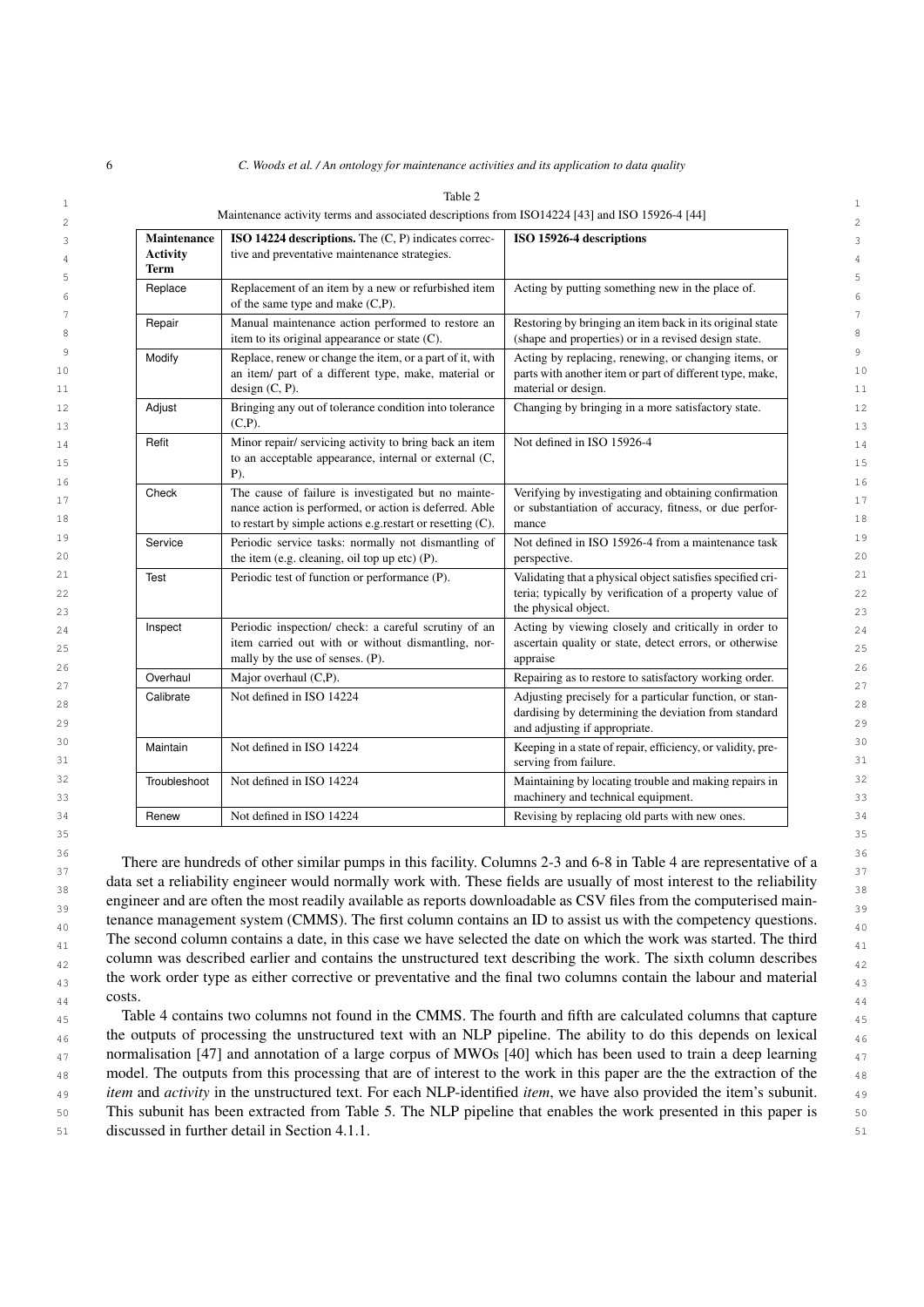<span id="page-5-0"></span>

|  | C. Woods et al. / An ontology for maintenance activities and its application to data quality |  |  |  |
|--|----------------------------------------------------------------------------------------------|--|--|--|
|  |                                                                                              |  |  |  |

| <b>Maintenance</b><br><b>Activity</b><br>Term | ISO 14224 descriptions. The $(C, P)$ indicates correc-<br>tive and preventative maintenance strategies.                                                                     | ISO 15926-4 descriptions                                                                                                                         |
|-----------------------------------------------|-----------------------------------------------------------------------------------------------------------------------------------------------------------------------------|--------------------------------------------------------------------------------------------------------------------------------------------------|
| Replace                                       | Replacement of an item by a new or refurbished item<br>of the same type and make (C,P).                                                                                     | Acting by putting something new in the place of.                                                                                                 |
| Repair                                        | Manual maintenance action performed to restore an<br>item to its original appearance or state (C).                                                                          | Restoring by bringing an item back in its original state<br>(shape and properties) or in a revised design state.                                 |
| Modify                                        | Replace, renew or change the item, or a part of it, with<br>an item/ part of a different type, make, material or<br>design (C, P).                                          | Acting by replacing, renewing, or changing items, or<br>parts with another item or part of different type, make,<br>material or design.          |
| Adjust                                        | Bringing any out of tolerance condition into tolerance<br>$(C,P)$ .                                                                                                         | Changing by bringing in a more satisfactory state.                                                                                               |
| Refit                                         | Minor repair/ servicing activity to bring back an item<br>to an acceptable appearance, internal or external (C,<br>$P$ ).                                                   | Not defined in ISO 15926-4                                                                                                                       |
| Check                                         | The cause of failure is investigated but no mainte-<br>nance action is performed, or action is deferred. Able<br>to restart by simple actions e.g.restart or resetting (C). | Verifying by investigating and obtaining confirmation<br>or substantiation of accuracy, fitness, or due perfor-<br>mance                         |
| Service                                       | Periodic service tasks: normally not dismantling of<br>the item (e.g. cleaning, oil top up etc) (P).                                                                        | Not defined in ISO 15926-4 from a maintenance task<br>perspective.                                                                               |
| Test                                          | Periodic test of function or performance (P).                                                                                                                               | Validating that a physical object satisfies specified cri-<br>teria; typically by verification of a property value of<br>the physical object.    |
| Inspect                                       | Periodic inspection/ check: a careful scrutiny of an<br>item carried out with or without dismantling, nor-<br>mally by the use of senses. (P).                              | Acting by viewing closely and critically in order to<br>ascertain quality or state, detect errors, or otherwise<br>appraise                      |
| Overhaul                                      | Major overhaul (C,P).                                                                                                                                                       | Repairing as to restore to satisfactory working order.                                                                                           |
| Calibrate                                     | Not defined in ISO 14224                                                                                                                                                    | Adjusting precisely for a particular function, or stan-<br>dardising by determining the deviation from standard<br>and adjusting if appropriate. |
| Maintain                                      | Not defined in ISO 14224                                                                                                                                                    | Keeping in a state of repair, efficiency, or validity, pre-<br>serving from failure.                                                             |
| Troubleshoot                                  | Not defined in ISO 14224                                                                                                                                                    | Maintaining by locating trouble and making repairs in<br>machinery and technical equipment.                                                      |
| Renew                                         | Not defined in ISO 14224                                                                                                                                                    | Revising by replacing old parts with new ones.                                                                                                   |

Table 2

36 36 There are hundreds of other similar pumps in this facility. Columns 2-3 and 6-8 in Table [4](#page-7-0) are representative of a data set a reliability engineer would normally work with. These fields are usually of most interest to the reliability  $\frac{38}{38}$ engineer and are often the most readily available as reports downloadable as CSV files from the computerised maintenance management system (CMMS). The first column contains an ID to assist us with the competency questions.  $\frac{41}{41}$  The second column contains a date, in this case we have selected the date on which the work was started. The third  $_{42}$  column was described earlier and contains the unstructured text describing the work. The sixth column describes  $_{42}$  $_{43}$  the work order type as either corrective or preventative and the final two columns contain the labour and material  $_{43}$  $44$  COSts.  $44$ costs.

35 35

<sub>45</sub> Table [4](#page-7-0) contains two columns not found in the CMMS. The fourth and fifth are calculated columns that capture <sub>45</sub>  $_{46}$  the outputs of processing the unstructured text with an NLP pipeline. The ability to do this depends on lexical  $_{46}$  $_{47}$  normalisation [\[47\]](#page-29-23) and annotation of a large corpus of MWOs [\[40\]](#page-29-16) which has been used to train a deep learning  $_{47}$ <sup>48</sup> 48 model. The outputs from this processing that are of interest to the work in this paper are the the extraction of the 49 49 *item* and *activity* in the unstructured text. For each NLP-identified *item*, we have also provided the item's subunit. 50 50 This subunit has been extracted from Table [5.](#page-8-0) The NLP pipeline that enables the work presented in this paper is 51 51 discussed in further detail in Section [4.1.1.](#page-8-1)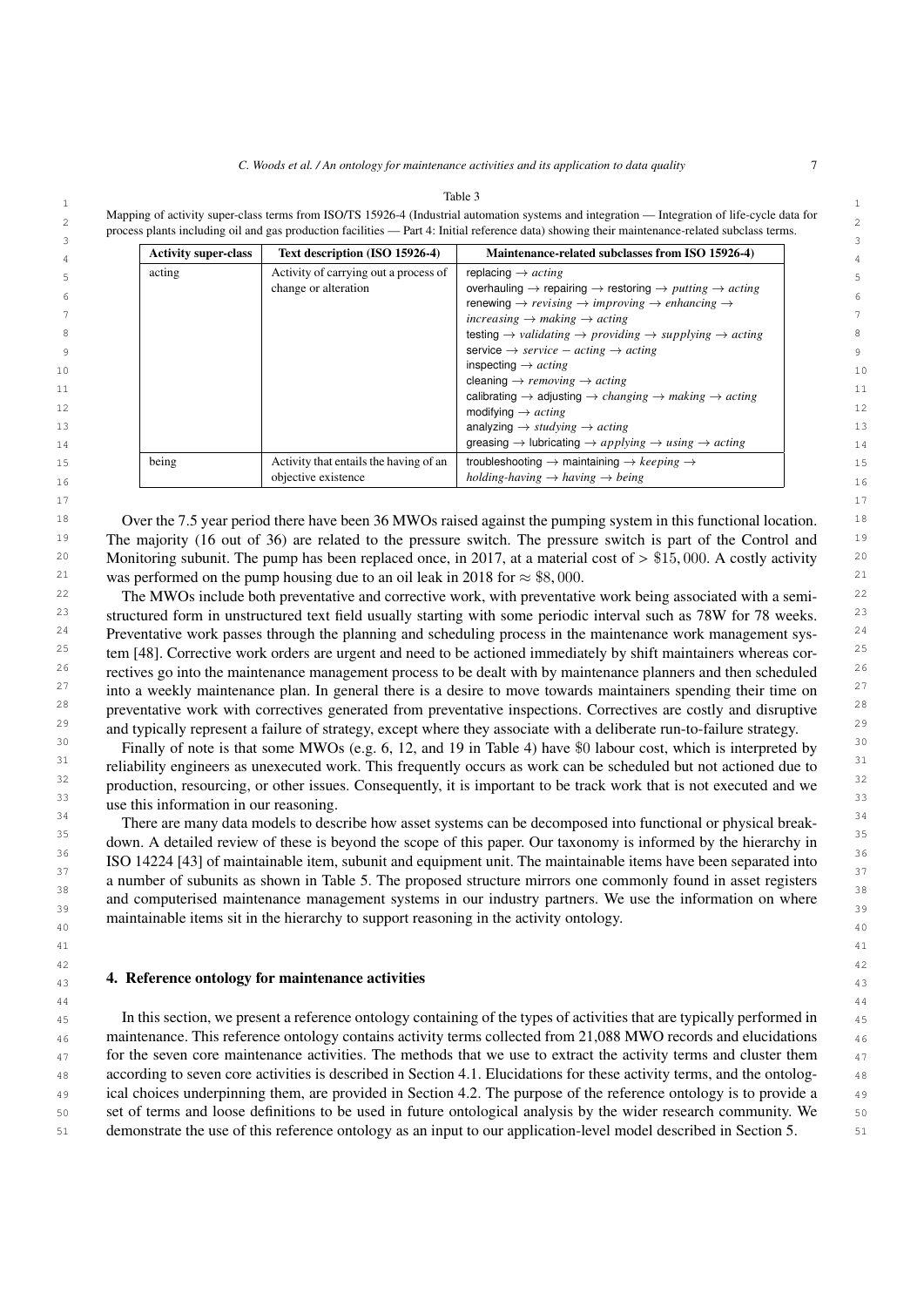#### 1 1 Table 3

<span id="page-6-0"></span>Mapping of activity super-class terms from ISO/TS 15926-4 (Industrial automation systems and integration — Integration of life-cycle data for  $\frac{2}{3}$ process plants including oil and gas production facilities — Part 4: Initial reference data) showing their maintenance-related subclass terms.

|        | <b>Activity super-class</b> | Text description (ISO 15926-4)         | Maintenance-related subclasses from ISO 15926-4)                                                                                  |
|--------|-----------------------------|----------------------------------------|-----------------------------------------------------------------------------------------------------------------------------------|
| acting |                             | Activity of carrying out a process of  | replacing $\rightarrow$ <i>acting</i>                                                                                             |
|        |                             | change or alteration                   | overhauling $\rightarrow$ repairing $\rightarrow$ restoring $\rightarrow$ putting $\rightarrow$ acting                            |
|        |                             |                                        | renewing $\rightarrow$ revising $\rightarrow$ improving $\rightarrow$ enhancing $\rightarrow$                                     |
|        |                             |                                        | increasing $\rightarrow$ making $\rightarrow$ acting                                                                              |
|        |                             |                                        | testing $\rightarrow$ validating $\rightarrow$ providing $\rightarrow$ supplying $\rightarrow$ acting                             |
|        |                             |                                        | service $\rightarrow$ service $-$ acting $\rightarrow$ acting                                                                     |
|        |                             |                                        | inspecting $\rightarrow$ <i>acting</i>                                                                                            |
|        |                             |                                        | cleaning $\rightarrow$ removing $\rightarrow$ acting                                                                              |
|        |                             |                                        | calibrating $\rightarrow$ adjusting $\rightarrow$ <i>changing <math>\rightarrow</math> making <math>\rightarrow</math> acting</i> |
|        |                             |                                        | modifying $\rightarrow$ <i>acting</i>                                                                                             |
|        |                             |                                        | analyzing $\rightarrow$ studying $\rightarrow$ acting                                                                             |
|        |                             |                                        | greasing $\rightarrow$ lubricating $\rightarrow$ applying $\rightarrow$ using $\rightarrow$ acting                                |
| being  |                             | Activity that entails the having of an | troubleshooting $\rightarrow$ maintaining $\rightarrow$ keeping $\rightarrow$                                                     |
|        |                             | objective existence                    | holding-having $\rightarrow$ having $\rightarrow$ being                                                                           |

<sup>18</sup> Over the 7.5 year period there have been 36 MWOs raised against the pumping system in this functional location. <sup>18</sup> <sup>19</sup> The majority (16 out of 36) are related to the pressure switch. The pressure switch is part of the Control and <sup>19</sup> 20 20 20 Monitoring subunit. The pump has been replaced once, in 2017, at a material cost of  $> $15,000$ . A costly activity 20<br>21 was performed on the pump housing due to an oil leak in 2018 for  $\approx $8,000$ 21 was performed on the pump housing due to an oil leak in 2018 for  $\approx$  \$8,000.<br>22 The MWOs include both preventative and corrective work, with preventative work being associated with a semi

17 17

<sup>22</sup> The MWOs include both preventative and corrective work, with preventative work being associated with a semi-<sup>23</sup> structured form in unstructured text field usually starting with some periodic interval such as 78W for 78 weeks. <sup>23</sup> <sup>24</sup> Preventative work passes through the planning and scheduling process in the maintenance work management sys-<sup>25</sup> tem [\[48\]](#page-29-24). Corrective work orders are urgent and need to be actioned immediately by shift maintainers whereas cor- $26$  rectives go into the maintenance management process to be dealt with by maintenance planners and then scheduled  $26$  $27$  into a weekly maintenance plan. In general there is a desire to move towards maintainers spending their time on  $27$  $28$  preventative work with correctives generated from preventative inspections. Correctives are costly and disruptive  $28$ <sup>29</sup> and typically represent a failure of strategy, except where they associate with a deliberate run-to-failure strategy.

<sup>30</sup> Finally of note is that some MWOs (e.g. 6, 12, and 19 in Table [4\)](#page-7-0) have \$0 labour cost, which is interpreted by <sup>31</sup> reliability engineers as unexecuted work. This frequently occurs as work can be scheduled but not actioned due to <sup>31</sup> <sup>32</sup> production, resourcing, or other issues. Consequently, it is important to be track work that is not executed and we <sup>33</sup> use this information in our reasoning.

<sup>34</sup><br>There are many data models to describe how asset systems can be decomposed into functional or physical break-<sup>35</sup> down. A detailed review of these is beyond the scope of this paper. Our taxonomy is informed by the hierarchy in  $\frac{36}{25}$  ISO 14224 [\[43\]](#page-29-19) of maintainable item, subunit and equipment unit. The maintainable items have been separated into <sup>37</sup> a number of subunits as shown in Table [5.](#page-8-0) The proposed structure mirrors one commonly found in asset registers 38  $\frac{1}{\sqrt{2}}$  38  $\frac{39}{39}$  and computerised maintenance management systems in our industry partners. We use the information on where  $\frac{30}{40}$  maintainable items sit in the hierarchy to support reasoning in the activity ontology.

42 42

44 44

# 41 41

# <span id="page-6-1"></span>43 43 4. Reference ontology for maintenance activities

 45 In this section, we present a reference ontology containing of the types of activities that are typically performed in <sup>46</sup> maintenance. This reference ontology contains activity terms collected from 21,088 MWO records and elucidations <sup>47</sup> for the seven core maintenance activities. The methods that we use to extract the activity terms and cluster them 48 according to seven core activities is described in Section [4.1.](#page-7-1) Elucidations for these activity terms, and the ontolog- 49 ical choices underpinning them, are provided in Section [4.2.](#page-11-0) The purpose of the reference ontology is to provide a 50 set of terms and loose definitions to be used in future ontological analysis by the wider research community. We 51 demonstrate the use of this reference ontology as an input to our application-level model described in Section [5.](#page-13-0)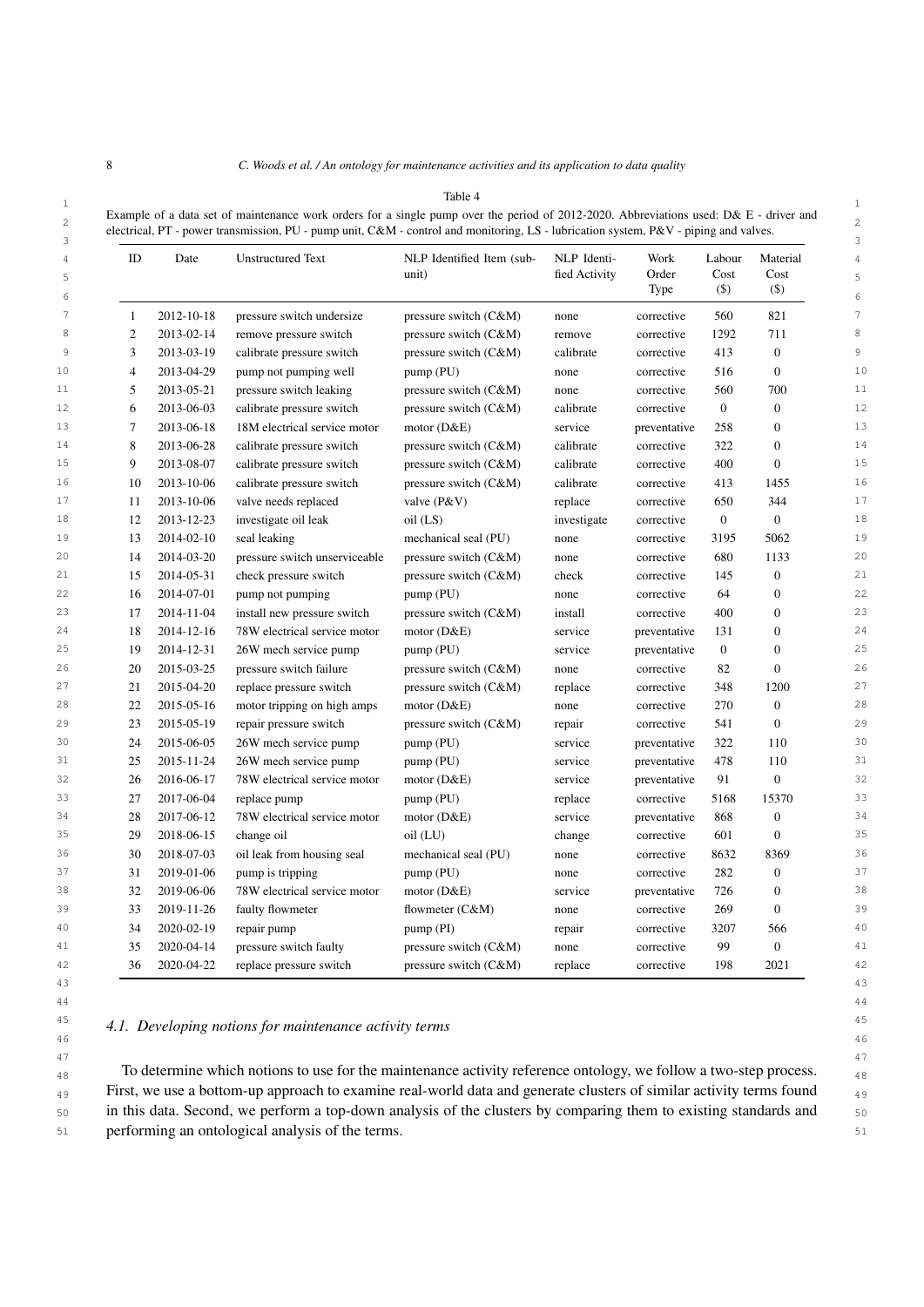| ш |
|---|
|---|

<span id="page-7-0"></span>

| $10010 +$                                                                                                                              |  |
|----------------------------------------------------------------------------------------------------------------------------------------|--|
| Example of a data set of maintenance work orders for a single pump over the period of 2012-2020. Abbreviations used: D& E - driver and |  |
| electrical, PT - power transmission, PU - pump unit, C&M - control and monitoring, LS - lubrication system, P&V - piping and valves.   |  |
|                                                                                                                                        |  |

| 4<br>5<br>6 | ID           | Date       | <b>Unstructured Text</b>      | NLP Identified Item (sub-<br>unit) | NLP Identi-<br>fied Activity | Work<br>Order<br>Type | Labour<br>Cost<br>$($ \$ | Material<br>Cost<br>$($ \$ |
|-------------|--------------|------------|-------------------------------|------------------------------------|------------------------------|-----------------------|--------------------------|----------------------------|
| 7           | $\mathbf{1}$ | 2012-10-18 | pressure switch undersize     | pressure switch $(C&M)$            | none                         | corrective            | 560                      | 821                        |
| 8           | 2            | 2013-02-14 | remove pressure switch        | pressure switch (C&M)              | remove                       | corrective            | 1292                     | 711                        |
| 9           | 3            | 2013-03-19 | calibrate pressure switch     | pressure switch (C&M)              | calibrate                    | corrective            | 413                      | $\theta$                   |
| 10          | 4            | 2013-04-29 | pump not pumping well         | pump (PU)                          | none                         | corrective            | 516                      | $\boldsymbol{0}$           |
| 11          | 5            | 2013-05-21 | pressure switch leaking       | pressure switch (C&M)              | none                         | corrective            | 560                      | 700                        |
| 12          | 6            | 2013-06-03 | calibrate pressure switch     | pressure switch (C&M)              | calibrate                    | corrective            | $\mathbf{0}$             | $\boldsymbol{0}$           |
| 13          | 7            | 2013-06-18 | 18M electrical service motor  | motor $(D&E)$                      | service                      | preventative          | 258                      | $\overline{0}$             |
| 14          | 8            | 2013-06-28 | calibrate pressure switch     | pressure switch (C&M)              | calibrate                    | corrective            | 322                      | $\overline{0}$             |
| 15          | 9            | 2013-08-07 | calibrate pressure switch     | pressure switch (C&M)              | calibrate                    | corrective            | 400                      | $\overline{0}$             |
| 16          | 10           | 2013-10-06 | calibrate pressure switch     | pressure switch (C&M)              | calibrate                    | corrective            | 413                      | 1455                       |
| 17          | 11           | 2013-10-06 | valve needs replaced          | valve (P&V)                        | replace                      | corrective            | 650                      | 344                        |
| 18          | 12           | 2013-12-23 | investigate oil leak          | oil (LS)                           | investigate                  | corrective            | $\mathbf{0}$             | $\mathbf{0}$               |
| 19          | 13           | 2014-02-10 | seal leaking                  | mechanical seal (PU)               | none                         | corrective            | 3195                     | 5062                       |
| 20          | 14           | 2014-03-20 | pressure switch unserviceable | pressure switch (C&M)              | none                         | corrective            | 680                      | 1133                       |
| 21          | 15           | 2014-05-31 | check pressure switch         | pressure switch (C&M)              | check                        | corrective            | 145                      | $\boldsymbol{0}$           |
| 22          | 16           | 2014-07-01 | pump not pumping              | pump (PU)                          | none                         | corrective            | 64                       | $\boldsymbol{0}$           |
| 23          | 17           | 2014-11-04 | install new pressure switch   | pressure switch (C&M)              | install                      | corrective            | 400                      | $\boldsymbol{0}$           |
| 24          | 18           | 2014-12-16 | 78W electrical service motor  | motor $(D&E)$                      | service                      | preventative          | 131                      | $\overline{0}$             |
| 25          | 19           | 2014-12-31 | 26W mech service pump         | pump (PU)                          | service                      | preventative          | $\mathbf{0}$             | $\overline{0}$             |
| 26          | 20           | 2015-03-25 | pressure switch failure       | pressure switch (C&M)              | none                         | corrective            | 82                       | $\overline{0}$             |
| 27          | 21           | 2015-04-20 | replace pressure switch       | pressure switch (C&M)              | replace                      | corrective            | 348                      | 1200                       |
| 28          | 22           | 2015-05-16 | motor tripping on high amps   | motor $(D&E)$                      | none                         | corrective            | 270                      | $\overline{0}$             |
| 29          | 23           | 2015-05-19 | repair pressure switch        | pressure switch (C&M)              | repair                       | corrective            | 541                      | $\mathbf{0}$               |
| 30          | 24           | 2015-06-05 | 26W mech service pump         | pump(PU)                           | service                      | preventative          | 322                      | 110                        |
| 31          | 25           | 2015-11-24 | 26W mech service pump         | pump (PU)                          | service                      | preventative          | 478                      | 110                        |
| 32          | 26           | 2016-06-17 | 78W electrical service motor  | motor $(D&E)$                      | service                      | preventative          | 91                       | $\mathbf{0}$               |
| 33          | 27           | 2017-06-04 | replace pump                  | pump (PU)                          | replace                      | corrective            | 5168                     | 15370                      |
| 34          | 28           | 2017-06-12 | 78W electrical service motor  | motor $(D&E)$                      | service                      | preventative          | 868                      | $\mathbf{0}$               |
| 35          | 29           | 2018-06-15 | change oil                    | oil (LU)                           | change                       | corrective            | 601                      | $\overline{0}$             |
| 36          | 30           | 2018-07-03 | oil leak from housing seal    | mechanical seal (PU)               | none                         | corrective            | 8632                     | 8369                       |
| 37          | 31           | 2019-01-06 | pump is tripping              | pump (PU)                          | none                         | corrective            | 282                      | $\boldsymbol{0}$           |
| 38          | 32           | 2019-06-06 | 78W electrical service motor  | motor $(D&E)$                      | service                      | preventative          | 726                      | $\mathbf{0}$               |
| 39          | 33           | 2019-11-26 | faulty flowmeter              | flowmeter $(C&M)$                  | none                         | corrective            | 269                      | $\overline{0}$             |
| 40          | 34           | 2020-02-19 | repair pump                   | pump(PI)                           | repair                       | corrective            | 3207                     | 566                        |
| 41          | 35           | 2020-04-14 | pressure switch faulty        | pressure switch $(C&M)$            | none                         | corrective            | 99                       | $\mathbf{0}$               |
| 42          | 36           | 2020-04-22 | replace pressure switch       | pressure switch (C&M)              | replace                      | corrective            | 198                      | 2021                       |
|             |              |            |                               |                                    |                              |                       |                          |                            |

#### <span id="page-7-1"></span>45 45 *4.1. Developing notions for maintenance activity terms* 46 46

<sup>48</sup> <sup>48</sup> <sup>48</sup> To determine which notions to use for the maintenance activity reference ontology, we follow a two-step process. <sup>49</sup> First, we use a bottom-up approach to examine real-world data and generate clusters of similar activity terms found 50 50 in this data. Second, we perform a top-down analysis of the clusters by comparing them to existing standards and 51 51 performing an ontological analysis of the terms.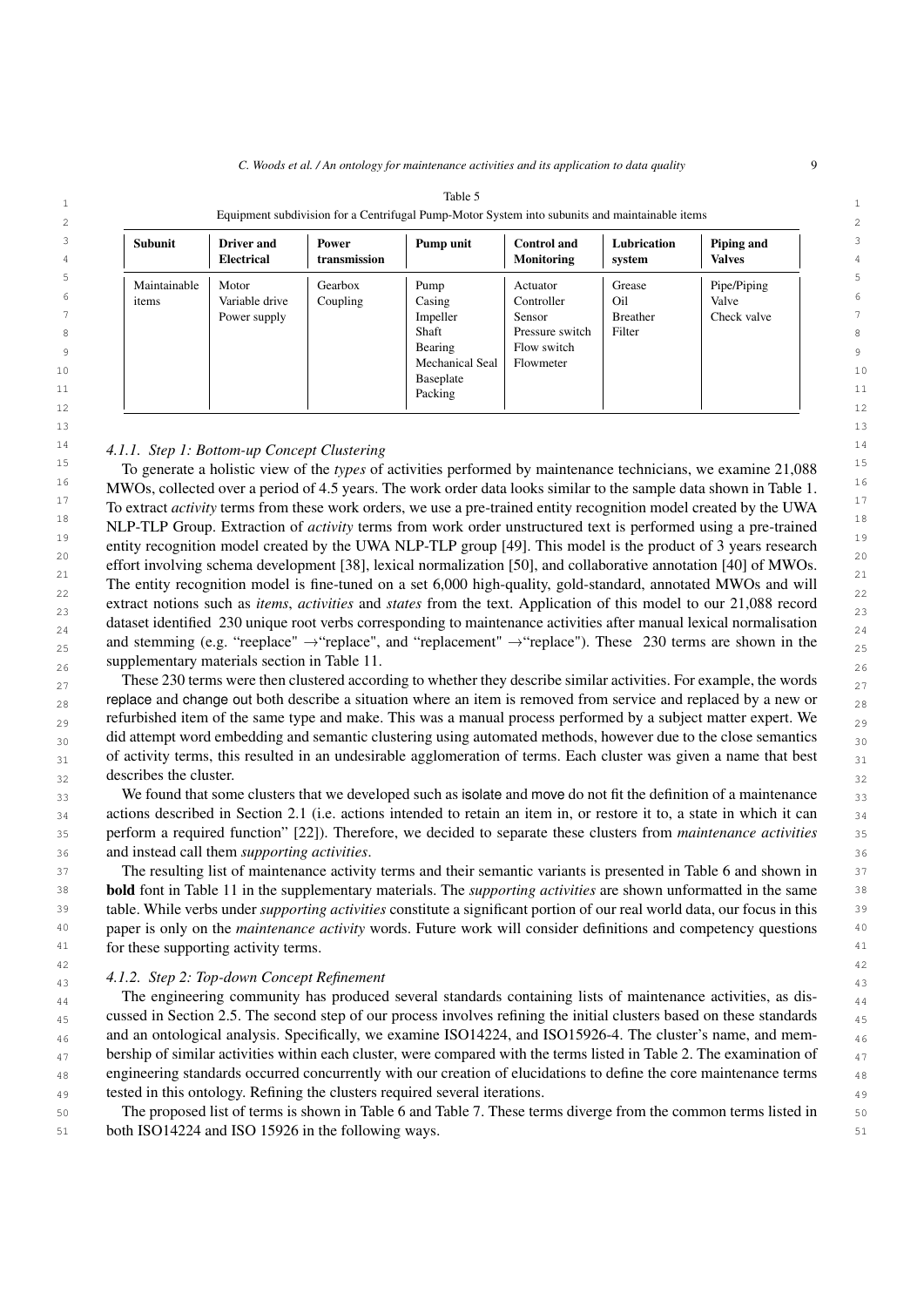| 2                   | Equipment subdivision for a Centrifugal Pump-Motor System into subunits and maintainable items |                                        |                       |                                     |                                         |                       | $\overline{2}$              |        |
|---------------------|------------------------------------------------------------------------------------------------|----------------------------------------|-----------------------|-------------------------------------|-----------------------------------------|-----------------------|-----------------------------|--------|
| 3<br>$\overline{4}$ | <b>Subunit</b>                                                                                 | <b>Driver</b> and<br><b>Electrical</b> | Power<br>transmission | Pump unit                           | <b>Control</b> and<br><b>Monitoring</b> | Lubrication<br>system | Piping and<br><b>Valves</b> | 3<br>4 |
| 5                   | Maintainable                                                                                   | Motor                                  | Gearbox               | Pump                                | Actuator                                | Grease                | Pipe/Piping                 | 5.     |
| 6                   | items                                                                                          | Variable drive                         | Coupling              | Casing                              | Controller                              | Oil                   | Valve                       | 6      |
|                     |                                                                                                | Power supply                           |                       | Impeller                            | Sensor                                  | Breather              | Check valve                 |        |
| 8                   |                                                                                                |                                        |                       | Shaft                               | Pressure switch                         | Filter                |                             | 8      |
| 9                   |                                                                                                |                                        |                       | Bearing                             | Flow switch                             |                       |                             | 9      |
| 10                  |                                                                                                |                                        |                       | <b>Mechanical Seal</b><br>Baseplate | Flowmeter                               |                       |                             | 10     |
| 11                  |                                                                                                |                                        |                       | Packing                             |                                         |                       |                             | 11     |
| 12                  |                                                                                                |                                        |                       |                                     |                                         |                       |                             | 12     |

<span id="page-8-0"></span>

| `able<br>.                                                                                     |  |
|------------------------------------------------------------------------------------------------|--|
| Equipment subdivision for a Centrifugal Pump-Motor System into subunits and maintainable items |  |
|                                                                                                |  |

# <span id="page-8-1"></span>14 14 *4.1.1. Step 1: Bottom-up Concept Clustering*

15 15 To generate a holistic view of the *types* of activities performed by maintenance technicians, we examine 21,088 <sup>16</sup> MWOs, collected over a period of 4.5 years. The work order data looks similar to the sample data shown in Table [1.](#page-3-0)<sup>16</sup> <sup>17</sup> 17 17 17 17 17 17 16 extract *activity* terms from these work orders, we use a pre-trained entity recognition model created by the UWA <sup>18</sup> NLP-TLP Group. Extraction of *activity* terms from work order unstructured text is performed using a pre-trained <sup>19</sup> entity recognition model created by the UWA NLP-TLP group [\[49\]](#page-29-25). This model is the product of 3 years research <sup>20</sup> effort involving schema development [\[38\]](#page-29-15), lexical normalization [\[50\]](#page-29-26), and collaborative annotation [\[40\]](#page-29-16) of MWOs. 21  $\frac{1}{2}$   $\frac{1}{2}$   $\frac{1}{2}$   $\frac{1}{2}$   $\frac{1}{2}$   $\frac{1}{2}$   $\frac{1}{2}$   $\frac{1}{2}$   $\frac{1}{2}$   $\frac{1}{2}$   $\frac{1}{2}$   $\frac{1}{2}$   $\frac{1}{2}$   $\frac{1}{2}$   $\frac{1}{2}$   $\frac{1}{2}$   $\frac{1}{2}$   $\frac{1}{2}$   $\frac{1}{2}$   $\frac{1}{2}$   $\frac{1}{2}$   $\frac{1}{2}$  $\frac{22}{22}$  The entity recognition model is fine-tuned on a set 6,000 high-quality, gold-standard, annotated MWOs and will  $\frac{22}{22}$ extract notions such as *items*, *activities* and *states* from the text. Application of this model to our 21,088 record  $\frac{1}{23}$ dataset identified 230 unique root verbs corresponding to maintenance activities after manual lexical normalisation  $\frac{24}{9}$ and stemming (e.g. "reeplace"  $\rightarrow$  "replace", and "replacement"  $\rightarrow$  "replace"). These 230 terms are shown in the  $_{25}$  $26$   $\mu$  Supplementary materials section in Table 11. supplementary materials section in Table [11.](#page-31-0)

These 230 terms were then clustered according to whether they describe similar activities. For example, the words  $_{27}$  $_{28}$  replace and change out both describe a situation where an item is removed from service and replaced by a new or  $_{28}$  $_{29}$  refurbished item of the same type and make. This was a manual process performed by a subject matter expert. We  $_{29}$  $_{30}$  did attempt word embedding and semantic clustering using automated methods, however due to the close semantics  $_{30}$  $31$  of activity terms, this resulted in an undesirable agglomeration of terms. Each cluster was given a name that best  $31$  $32 \text{ describes the cluster.}$   $32$ 

33 We found that some clusters that we developed such as isolate and move do not fit the definition of a maintenance  $\frac{33}{2}$ 34 actions described in Section [2.1](#page-2-0) (i.e. actions intended to retain an item in, or restore it to, a state in which it can 35 35 perform a required function" [\[22\]](#page-28-17)). Therefore, we decided to separate these clusters from *maintenance activities* 36 36 and instead call them *supporting activities*.

37 37 The resulting list of maintenance activity terms and their semantic variants is presented in Table [6](#page-9-0) and shown in 38 38 bold font in Table [11](#page-31-0) in the supplementary materials. The *supporting activities* are shown unformatted in the same 39 39 table. While verbs under *supporting activities* constitute a significant portion of our real world data, our focus in this <sup>40</sup> paper is only on the *maintenance activity* words. Future work will consider definitions and competency questions <sup>40</sup> 41 for these supporting activity terms.  $41$ 

42 42

# 43 43 *4.1.2. Step 2: Top-down Concept Refinement*

<sup>44</sup> The engineering community has produced several standards containing lists of maintenance activities, as dis-<sup>45</sup> cussed in Section [2.5.](#page-4-0) The second step of our process involves refining the initial clusters based on these standards <sup>46</sup> and an ontological analysis. Specifically, we examine ISO14224, and ISO15926-4. The cluster's name, and mem- $47$  bership of similar activities within each cluster, were compared with the terms listed in Table [2.](#page-5-0) The examination of  $47$ <sup>48</sup> engineering standards occurred concurrently with our creation of elucidations to define the core maintenance terms 49 49 tested in this ontology. Refining the clusters required several iterations.

50 50 The proposed list of terms is shown in Table [6](#page-9-0) and Table [7.](#page-10-0) These terms diverge from the common terms listed in 51 51 both ISO14224 and ISO 15926 in the following ways.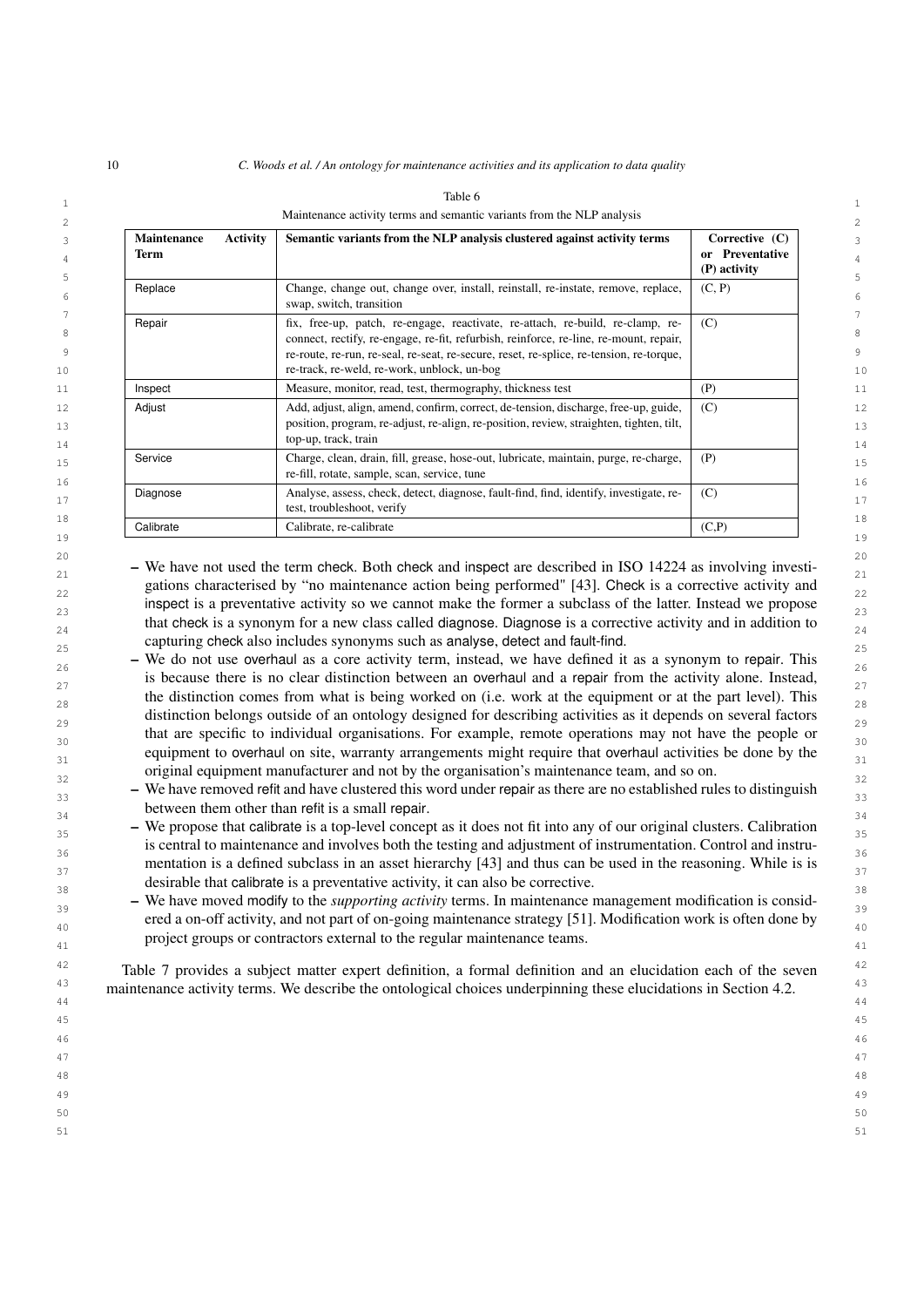| <b>Activity</b><br><b>Maintenance</b><br>Term | Semantic variants from the NLP analysis clustered against activity terms                                                                                                                                                                                                                                          | Corrective (C)<br>or Preventative<br>(P) activity |
|-----------------------------------------------|-------------------------------------------------------------------------------------------------------------------------------------------------------------------------------------------------------------------------------------------------------------------------------------------------------------------|---------------------------------------------------|
| Replace                                       | Change, change out, change over, install, reinstall, re-instate, remove, replace,<br>swap, switch, transition                                                                                                                                                                                                     | (C, P)                                            |
| Repair                                        | fix, free-up, patch, re-engage, reactivate, re-attach, re-build, re-clamp, re-<br>connect, rectify, re-engage, re-fit, refurbish, reinforce, re-line, re-mount, repair,<br>re-route, re-run, re-seal, re-seat, re-secure, reset, re-splice, re-tension, re-torque,<br>re-track, re-weld, re-work, unblock, un-bog | (C)                                               |
| Inspect                                       | Measure, monitor, read, test, thermography, thickness test                                                                                                                                                                                                                                                        | (P)                                               |
| Adjust                                        | Add, adjust, align, amend, confirm, correct, de-tension, discharge, free-up, guide,<br>position, program, re-adjust, re-align, re-position, review, straighten, tighten, tilt,<br>top-up, track, train                                                                                                            | (C)                                               |
| Service                                       | Charge, clean, drain, fill, grease, hose-out, lubricate, maintain, purge, re-charge,<br>re-fill, rotate, sample, scan, service, tune                                                                                                                                                                              | (P)                                               |
| Diagnose                                      | Analyse, assess, check, detect, diagnose, fault-find, find, identify, investigate, re-<br>test, troubleshoot, verify                                                                                                                                                                                              | (C)                                               |
| Calibrate                                     | Calibrate, re-calibrate                                                                                                                                                                                                                                                                                           | (C,P)                                             |

#### <span id="page-9-0"></span>Table 6

20 20  $\sim$  21 – We have not used the term check. Both check and inspect are described in ISO 14224 as involving investi- $_{22}$  gations characterised by "no maintenance action being performed" [\[43\]](#page-29-19). Check is a corrective activity and  $_{22}$ 23 23 inspect is a preventative activity so we cannot make the former a subclass of the latter. Instead we propose that check is a synonym for a new class called diagnose. Diagnose is a corrective activity and in addition to  $\frac{24}{9}$ 25 25 capturing check also includes synonyms such as analyse, detect and fault-find.

 $26$  – We do not use overhaul as a core activity term, instead, we have defined it as a synonym to repair. This is because there is no clear distinction between an overhaul and a repair from the activity alone. Instead, the distinction comes from what is being worked on (i.e. work at the equipment or at the part level). This 29 29 distinction belongs outside of an ontology designed for describing activities as it depends on several factors that are specific to individual organisations. For example, remote operations may not have the people or  $\frac{30}{20}$ equipment to overhaul on site, warranty arrangements might require that overhaul activities be done by the 32 32 original equipment manufacturer and not by the organisation's maintenance team, and so on.

<sup>39</sup> – We have moved modify to the *supporting activity* terms. In maintenance management modification is consid-ered a on-off activity, and not part of on-going maintenance strategy [\[51\]](#page-29-27). Modification work is often done by 41 41 project groups or contractors external to the regular maintenance teams.

 $42$  Table [7](#page-10-0) provides a subject matter expert definition, a formal definition and an elucidation each of the seven  $42$ <sup>43</sup> maintenance activity terms. We describe the ontological choices underpinning these elucidations in Section [4.2.](#page-11-0) 44 44

 $\frac{33}{33}$  – We have removed refit and have clustered this word under repair as there are no established rules to distinguish  $\frac{34}{34}$   $\frac{34}{34}$   $\frac{34}{34}$   $\frac{34}{34}$   $\frac{34}{34}$   $\frac{34}{34}$   $\frac{34}{34}$   $\frac{34}{34}$   $\frac{34}{34}$   $\frac{34}{34}$   $\frac{34}{34}$   $\frac{34}{34}$   $\frac{34}{34}$   $\frac{34}{34}$   $\frac{34}{34}$   $\frac{34}{34}$   $\frac{34}{34}$   $\frac{34}{34}$   $\frac{3$ between them other than refit is a small repair.

 $\sim$  – We propose that calibrate is a top-level concept as it does not fit into any of our original clusters. Calibration  $\frac{35}{25}$  $36$  s character to maintenance and inverves bout the testing and adjustment of instrumentation. Control and instrumental  $36$ mentation is a defined subclass in an asset hierarchy [\[43\]](#page-29-19) and thus can be used in the reasoning. While is is desirable that calibrate is a preventative activity, it can also be corrective. is central to maintenance and involves both the testing and adjustment of instrumentation. Control and instru-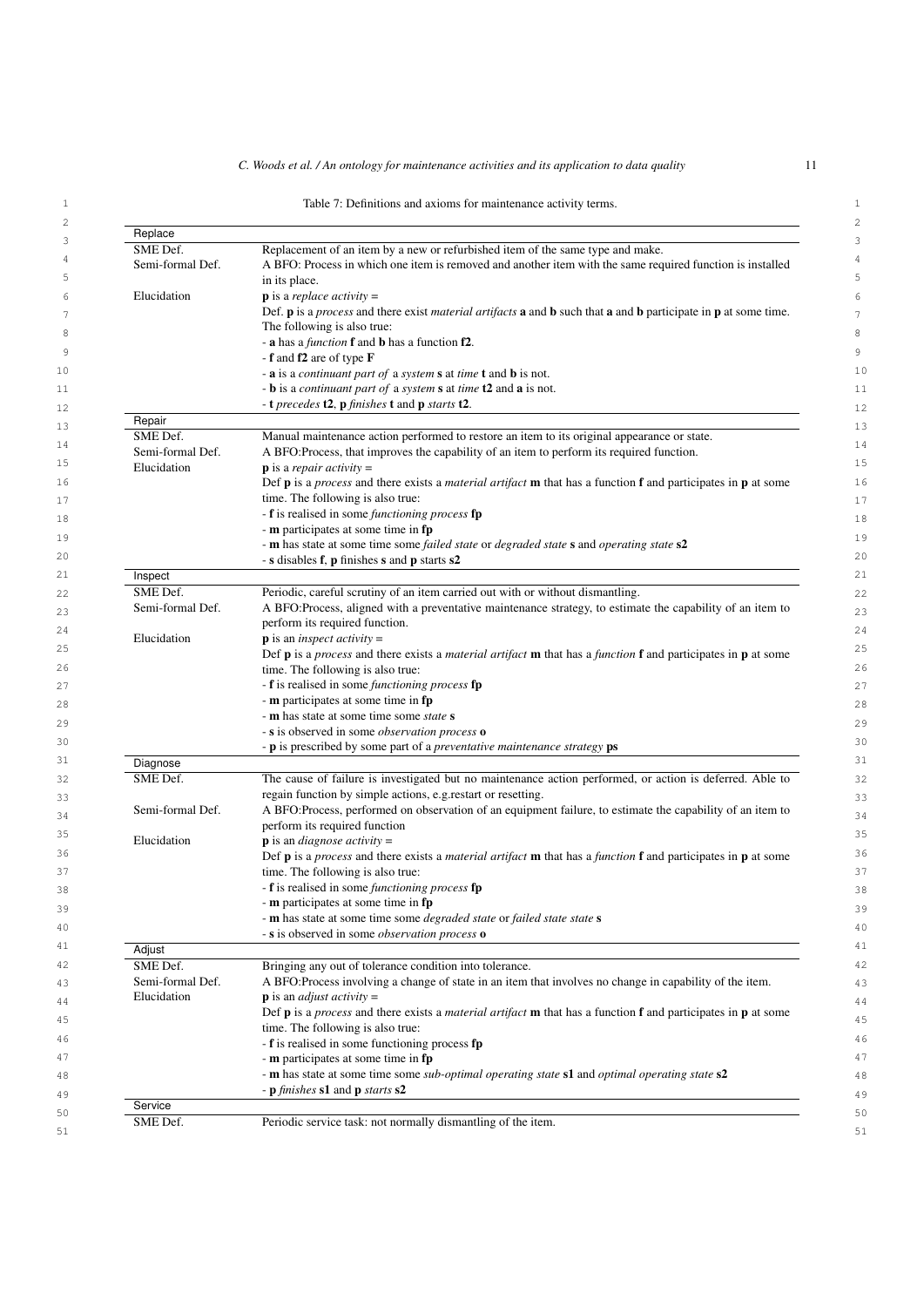#### <span id="page-10-0"></span>1 1 Table 7: Definitions and axioms for maintenance activity terms.

| Replace          |                                                                                                                                                                         |
|------------------|-------------------------------------------------------------------------------------------------------------------------------------------------------------------------|
| SME Def.         | Replacement of an item by a new or refurbished item of the same type and make.                                                                                          |
| Semi-formal Def. | A BFO: Process in which one item is removed and another item with the same required function is installed                                                               |
|                  | in its place.                                                                                                                                                           |
| Elucidation      | <b>p</b> is a <i>replace activity</i> =                                                                                                                                 |
|                  | Def. <b>p</b> is a <i>process</i> and there exist <i>material artifacts</i> <b>a</b> and <b>b</b> such that <b>a</b> and <b>b</b> participate in <b>p</b> at some time. |
|                  | The following is also true:                                                                                                                                             |
|                  |                                                                                                                                                                         |
|                  | - a has a <i>function</i> <b>f</b> and <b>b</b> has a function <b>f2</b> .                                                                                              |
|                  | - <b>f</b> and <b>f2</b> are of type $\bf{F}$                                                                                                                           |
|                  | - $\bf{a}$ is a <i>continuant part of</i> a <i>system</i> $\bf{s}$ at <i>time</i> $\bf{t}$ and $\bf{b}$ is not.                                                         |
|                  | - <b>b</b> is a <i>continuant part of</i> a <i>system</i> <b>s</b> at <i>time</i> <b>t2</b> and <b>a</b> is not.                                                        |
|                  | - <b>t</b> precedes <b>t2</b> , <b>p</b> finishes <b>t</b> and <b>p</b> starts <b>t2</b> .                                                                              |
| Repair           |                                                                                                                                                                         |
| SME Def.         | Manual maintenance action performed to restore an item to its original appearance or state.                                                                             |
| Semi-formal Def. | A BFO: Process, that improves the capability of an item to perform its required function.                                                                               |
| Elucidation      | <b>p</b> is a <i>repair activity</i> =                                                                                                                                  |
|                  | Def <b>p</b> is a <i>process</i> and there exists a <i>material artifact</i> <b>m</b> that has a function <b>f</b> and participates in <b>p</b> at some                 |
|                  |                                                                                                                                                                         |
|                  | time. The following is also true:                                                                                                                                       |
|                  | - <b>f</b> is realised in some <i>functioning process</i> <b>fp</b>                                                                                                     |
|                  | - m participates at some time in fp                                                                                                                                     |
|                  | - <b>m</b> has state at some time some <i>failed state</i> or <i>degraded state</i> <b>s</b> and <i>operating state</i> <b>s2</b>                                       |
|                  | - s disables f, p finishes s and p starts s2                                                                                                                            |
| Inspect          |                                                                                                                                                                         |
| SME Def.         | Periodic, careful scrutiny of an item carried out with or without dismantling.                                                                                          |
| Semi-formal Def. | A BFO:Process, aligned with a preventative maintenance strategy, to estimate the capability of an item to                                                               |
|                  | perform its required function.                                                                                                                                          |
| Elucidation      | $\bf{p}$ is an <i>inspect activity</i> =                                                                                                                                |
|                  | Def <b>p</b> is a <i>process</i> and there exists a <i>material artifact</i> <b>m</b> that has a <i>function</i> <b>f</b> and participates in <b>p</b> at some          |
|                  | time. The following is also true:                                                                                                                                       |
|                  |                                                                                                                                                                         |
|                  | - f is realised in some functioning process fp                                                                                                                          |
|                  | - m participates at some time in fp                                                                                                                                     |
|                  | - <b>m</b> has state at some time some <i>state</i> <b>s</b>                                                                                                            |
|                  | - s is observed in some <i>observation process</i> o                                                                                                                    |
|                  | - <b>p</b> is prescribed by some part of a <i>preventative maintenance strategy</i> <b>ps</b>                                                                           |
| Diagnose         |                                                                                                                                                                         |
| SME Def.         | The cause of failure is investigated but no maintenance action performed, or action is deferred. Able to                                                                |
|                  | regain function by simple actions, e.g. restart or resetting.                                                                                                           |
| Semi-formal Def. | A BFO:Process, performed on observation of an equipment failure, to estimate the capability of an item to                                                               |
|                  | perform its required function                                                                                                                                           |
| Elucidation      | <b>p</b> is an <i>diagnose activity</i> =                                                                                                                               |
|                  | Def $\bf{p}$ is a <i>process</i> and there exists a <i>material artifact</i> $\bf{m}$ that has a <i>function</i> $\bf{f}$ and participates in $\bf{p}$ at some          |
|                  | time. The following is also true:                                                                                                                                       |
|                  | - <b>f</b> is realised in some <i>functioning process</i> <b>fp</b>                                                                                                     |
|                  |                                                                                                                                                                         |
|                  | - <b>m</b> participates at some time in <b>fp</b>                                                                                                                       |
|                  | - m has state at some time some <i>degraded state</i> or <i>failed state state</i> s                                                                                    |
|                  | - s is observed in some <i>observation process</i> o                                                                                                                    |
| Adjust           |                                                                                                                                                                         |
| SME Def.         | Bringing any out of tolerance condition into tolerance.                                                                                                                 |
| Semi-formal Def. | A BFO: Process involving a change of state in an item that involves no change in capability of the item.                                                                |
| Elucidation      | $\bf{p}$ is an <i>adjust activity</i> =                                                                                                                                 |
|                  | Def <b>p</b> is a <i>process</i> and there exists a <i>material artifact</i> <b>m</b> that has a function <b>f</b> and participates in <b>p</b> at some                 |
|                  | time. The following is also true:                                                                                                                                       |
|                  | - f is realised in some functioning process fp                                                                                                                          |
|                  |                                                                                                                                                                         |
|                  | - m participates at some time in fp                                                                                                                                     |
|                  | - m has state at some time some <i>sub-optimal operating state</i> <b>s1</b> and <i>optimal operating state</i> <b>s2</b>                                               |
|                  | - <b>p</b> finishes <b>s1</b> and <b>p</b> starts <b>s2</b>                                                                                                             |
| Service          |                                                                                                                                                                         |
| SME Def.         | Periodic service task: not normally dismantling of the item.                                                                                                            |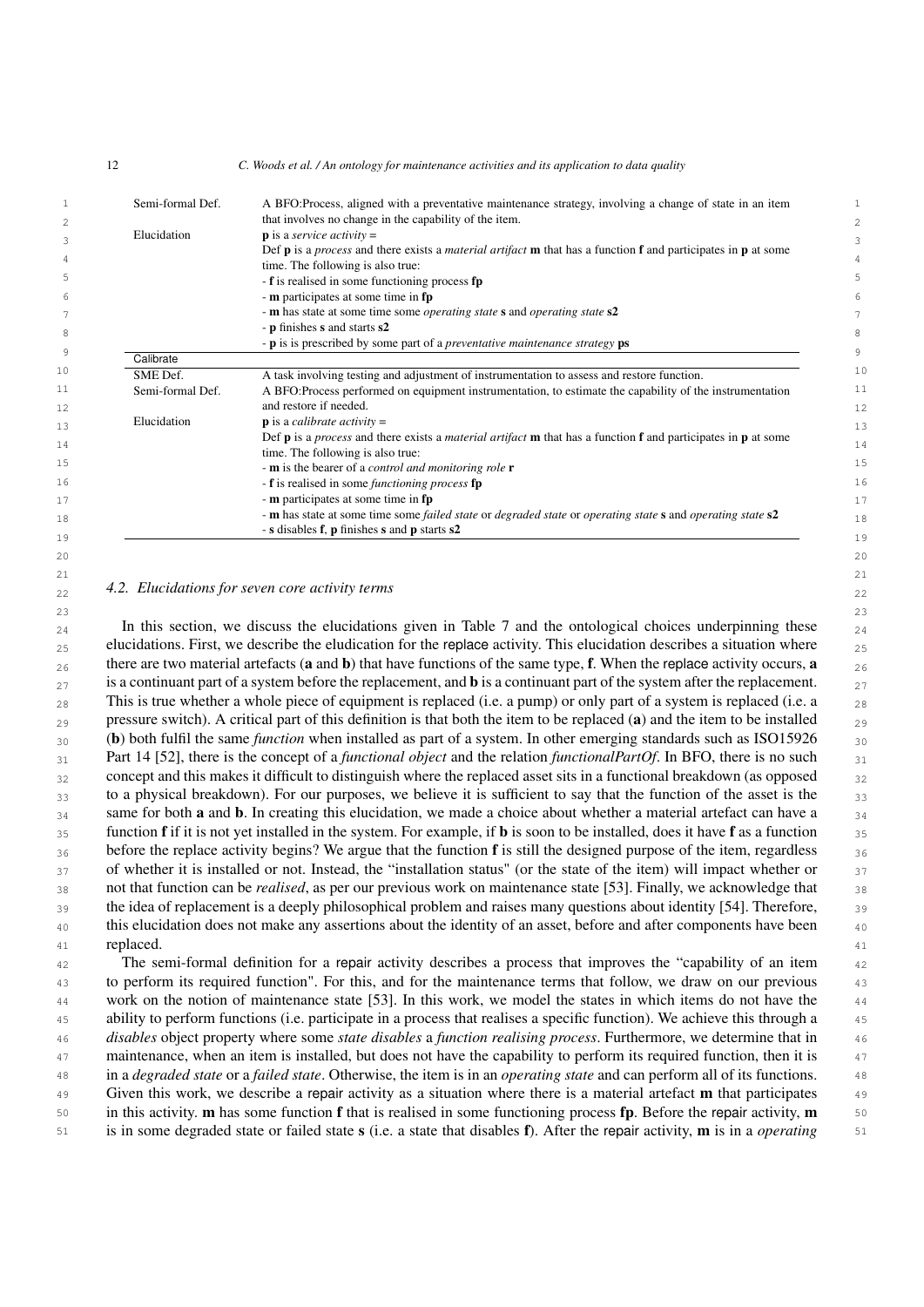1 1 1 **Semi-formal Def.** A BFO:Process, aligned with a preventative maintenance strategy, involving a change of state in an item 2 2 that involves no change in the capability of the item.  $\mathbf{p}$  is a *service dctivity* =  $\text{Def } \mathbf{p}$  is a *process* and there exists a *material artifact* **m** that has a function **f** and participates in **p** at some  $\frac{4}{3}$  $-$  **f** is realised in some functioning process **fp**  $\frac{5}{2}$ 6 6 - m participates at some time in fp 7 7 - m has state at some time some *operating state* s and *operating state* s2 8<br>
- **p** is is prescribed by some part of a *preventative maintenance strategy* **ps** 9  $\frac{1}{\sqrt{2\pi}}$   $\frac{1}{\sqrt{2\pi}}$  9 10 **SME Def.** A task involving testing and adjustment of instrumentation to assess and restore function. 10 11 Semi-formal Def. A BFO:Process performed on equipment instrumentation, to estimate the capability of the instrumentation 11 12 and restore if needed. 12  $13$  Elucidation **p** is a *calibrate activity* = 14 14 15 15 - m is the bearer of a *control and monitoring role* r 16 16 - f is realised in some *functioning process* fp  $17 \,$  m participates at some time in fp  $17 \,$ 18 18 - m has state at some time some *failed state* or *degraded state* or *operating state* s and *operating state* s2  $\frac{19}{2}$   $\frac{19}{2}$   $\frac{19}{2}$   $\frac{19}{2}$   $\frac{19}{2}$   $\frac{19}{2}$   $\frac{19}{2}$   $\frac{19}{2}$   $\frac{19}{2}$   $\frac{19}{2}$   $\frac{19}{2}$   $\frac{19}{2}$   $\frac{19}{2}$   $\frac{19}{2}$   $\frac{19}{2}$   $\frac{19}{2}$   $\frac{19}{2}$   $\frac{19}{2}$   $\frac{19}{2}$   $\frac{19}{2}$  Elucidation **p** is a *service activity* = time. The following is also true: - p finishes s and starts s2 **Calibrate** and restore if needed. Elucidation **p** is a *calibrate activity* = Def p is a *process* and there exists a *material artifact* m that has a function f and participates in p at some time. The following is also true: - s disables f, p finishes s and p starts s2

 $20$ 21  $\sim$  21

# <span id="page-11-0"></span>22 22 *4.2. Elucidations for seven core activity terms*

 $23$  $_{24}$  In this section, we discuss the elucidations given in Table [7](#page-10-0) and the ontological choices underpinning these  $_{24}$  $_{25}$  elucidations. First, we describe the eludication for the replace activity. This elucidation describes a situation where  $_{25}$ 26 there are two material artefacts (a and b) that have functions of the same type, f. When the replace activity occurs, a  $\frac{26}{6}$  $_{27}$  is a continuant part of a system before the replacement, and **b** is a continuant part of the system after the replacement.  $_{28}$  This is true whether a whole piece of equipment is replaced (i.e. a pump) or only part of a system is replaced (i.e. a  $_{28}$  $_{29}$  pressure switch). A critical part of this definition is that both the item to be replaced (a) and the item to be installed  $_{29}$  $_{30}$  (b) both fulfil the same *function* when installed as part of a system. In other emerging standards such as ISO15926  $_{30}$ 31 31 Part 14 [\[52\]](#page-29-28), there is the concept of a *functional object* and the relation *functionalPartOf*. In BFO, there is no such  $32$  concept and this makes it difficult to distinguish where the replaced asset sits in a functional breakdown (as opposed  $32$ 33 to a physical breakdown). For our purposes, we believe it is sufficient to say that the function of the asset is the 33  $34$  same for both **a** and **b**. In creating this elucidation, we made a choice about whether a material artefact can have a  $34$  $35$  function f if it is not yet installed in the system. For example, if **b** is soon to be installed, does it have f as a function  $35$ 36 before the replace activity begins? We argue that the function **f** is still the designed purpose of the item, regardless <sub>36</sub> 37 of whether it is installed or not. Instead, the "installation status" (or the state of the item) will impact whether or  $\frac{37}{20}$ 38 38 not that function can be *realised*, as per our previous work on maintenance state [\[53\]](#page-29-29). Finally, we acknowledge that 39 the idea of replacement is a deeply philosophical problem and raises many questions about identity [\[54\]](#page-29-30). Therefore, 39 <sup>40</sup> this elucidation does not make any assertions about the identity of an asset, before and after components have been 41 **replaced.** 41 **and 2018** replaced.

 42 The semi-formal definition for a repair activity describes a process that improves the "capability of an item 43 to perform its required function". For this, and for the maintenance terms that follow, we draw on our previous 44 work on the notion of maintenance state [\[53\]](#page-29-29). In this work, we model the states in which items do not have the 45 ability to perform functions (i.e. participate in a process that realises a specific function). We achieve this through a 46 *disables* object property where some *state disables* a *function realising process*. Furthermore, we determine that in 47 maintenance, when an item is installed, but does not have the capability to perform its required function, then it is 48 in a *degraded state* or a *failed state*. Otherwise, the item is in an *operating state* and can perform all of its functions. 49 Given this work, we describe a repair activity as a situation where there is a material artefact **m** that participates 49 50 in this activity. **m** has some function **f** that is realised in some functioning process **fp**. Before the repair activity, **m** 50 51 is in some degraded state or failed state s (i.e. a state that disables f). After the repair activity, m is in a *operating*

12 *C. Woods et al. / An ontology for maintenance activities and its application to data quality*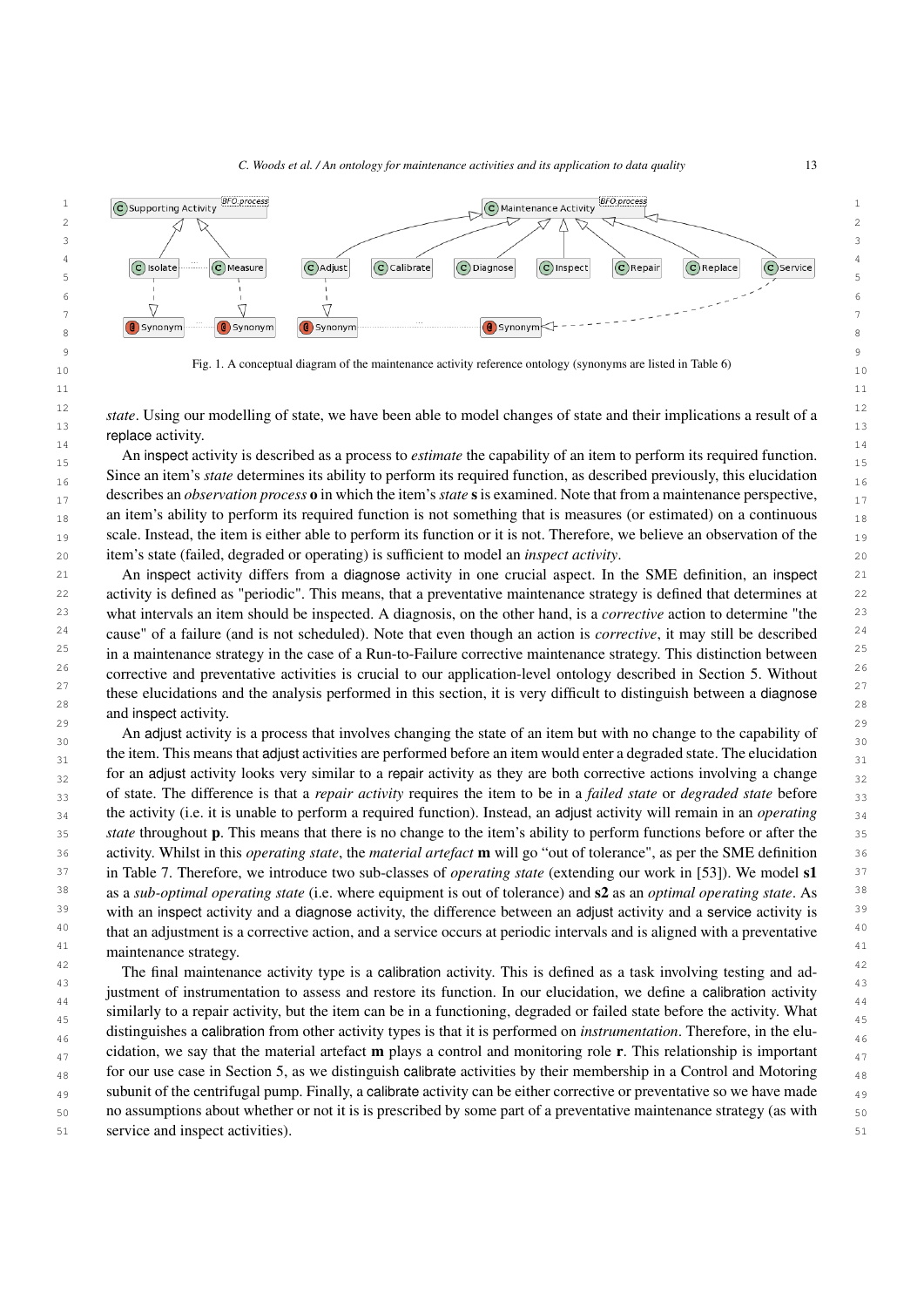

<span id="page-12-0"></span>10 10 10 Fig. 1. A conceptual diagram of the maintenance activity reference ontology (synonyms are listed in Table [6\)](#page-9-0)

12  $\ldots$  11  $\ldots$  11  $\ldots$  1  $\ldots$  11  $\ldots$  11  $\ldots$  11  $\ldots$  11  $\ldots$  11  $\ldots$  11  $\ldots$  11  $\ldots$  12 <sup>12</sup> *state*. Using our modelling of state, we have been able to model changes of state and their implications a result of a 14 representatively. The contract of the contract of the contract of the contract of the contract of the contract of the contract of the contract of the contract of the contract of the contract of the contract of the contr replace activity.

An inspect activity is described as a process to *estimate* the capability of an item to perform its required function.  $_{16}$  Since an item's *state* determines its ability to perform its required function, as described previously, this elucidation 17 17 describes an *observation process* o in which the item's*state* sis examined. Note that from a maintenance perspective,  $_{18}$  an item's ability to perform its required function is not something that is measures (or estimated) on a continuous  $_{18}$ 19 scale. Instead, the item is either able to perform its function or it is not. Therefore, we believe an observation of the 19 20 20 item's state (failed, degraded or operating) is sufficient to model an *inspect activity*.

21 21 An inspect activity differs from a diagnose activity in one crucial aspect. In the SME definition, an inspect <sup>22</sup> activity is defined as "periodic". This means, that a preventative maintenance strategy is defined that determines at <sup>22</sup> 23 23 what intervals an item should be inspected. A diagnosis, on the other hand, is a *corrective* action to determine "the <sup>24</sup> cause" of a failure (and is not scheduled). Note that even though an action is *corrective*, it may still be described<sup>24</sup>  $25$  in a maintenance strategy in the case of a Run-to-Failure corrective maintenance strategy. This distinction between  $25$ <sup>26</sup> corrective and preventative activities is crucial to our application-level ontology described in Section [5.](#page-13-0) Without <sup>26</sup> these elucidations and the analysis performed in this section, it is very difficult to distinguish between a diagnose  $\frac{27}{25}$ 28 and  $\frac{1}{28}$  28 29 29 and inspect activity.

An adjust activity is a process that involves changing the state of an item but with no change to the capability of  $\frac{30}{20}$  $_{31}$  the item. This means that adjust activities are performed before an item would enter a degraded state. The elucidation  $_{32}$  for an adjust activity looks very similar to a repair activity as they are both corrective actions involving a change  $_{32}$ 33 33 of state. The difference is that a *repair activity* requires the item to be in a *failed state* or *degraded state* before 34 34 the activity (i.e. it is unable to perform a required function). Instead, an adjust activity will remain in an *operating* 35 *state* throughout **p**. This means that there is no change to the item's ability to perform functions before or after the 35 36 36 activity. Whilst in this *operating state*, the *material artefact* m will go "out of tolerance", as per the SME definition <sup>37</sup> in Table [7.](#page-10-0) Therefore, we introduce two sub-classes of *operating state* (extending our work in [\[53\]](#page-29-29)). We model s1<sup>37</sup> 38 38 as a *sub-optimal operating state* (i.e. where equipment is out of tolerance) and s2 as an *optimal operating state*. As <sup>39</sup> with an inspect activity and a diagnose activity, the difference between an adjust activity and a service activity is <sup>39</sup>  $40$  that an adjustment is a corrective action, and a service occurs at periodic intervals and is aligned with a preventative  $40$ <sup>41</sup> maintenance strategy.

<sup>42</sup> The final maintenance activity type is a calibration activity. This is defined as a task involving testing and ad-43 43 justment of instrumentation to assess and restore its function. In our elucidation, we define a calibration activity  $\frac{44}{44}$ similarly to a repair activity, but the item can be in a functioning, degraded or failed state before the activity. What 46 46 distinguishes a calibration from other activity types is that it is performed on *instrumentation*. Therefore, in the elu- $_{47}$  cidation, we say that the material artefact **m** plays a control and monitoring role **r**. This relationship is important  $_{48}$  for our use case in Section [5,](#page-13-0) as we distinguish calibrate activities by their membership in a Control and Motoring  $_{48}$ <sup>49</sup> subunit of the centrifugal pump. Finally, a calibrate activity can be either corrective or preventative so we have made 50 50 no assumptions about whether or not it is is prescribed by some part of a preventative maintenance strategy (as with 51 51 service and inspect activities).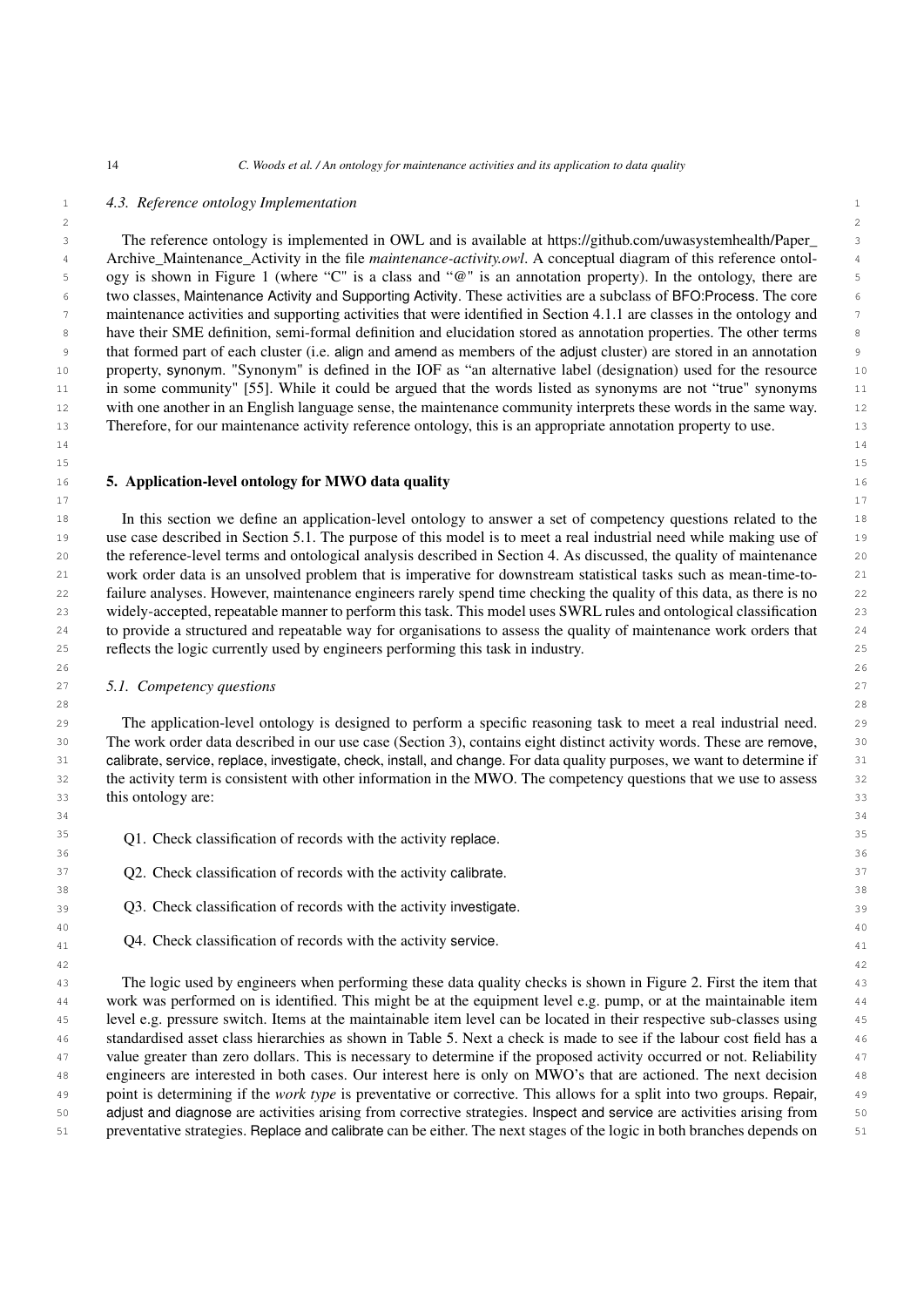$2 \times 2$ 

### 1 *4.3. Reference ontology Implementation*

 3 The reference ontology is implemented in OWL and is available at [https://github.com/uwasystemhealth/Paper\\_](https://github.com/uwasystemhealth/Paper_Archive_Maintenance_Activity) 4 [Archive\\_Maintenance\\_Activity](https://github.com/uwasystemhealth/Paper_Archive_Maintenance_Activity) in the file *maintenance-activity.owl*. A conceptual diagram of this reference ontol- 5 ogy is shown in Figure [1](#page-12-0) (where "C" is a class and "@" is an annotation property). In the ontology, there are 6 two classes, Maintenance Activity and Supporting Activity. These activities are a subclass of BFO:Process. The core 7 maintenance activities and supporting activities that were identified in Section [4.1.1](#page-8-1) are classes in the ontology and <sup>8</sup> have their SME definition, semi-formal definition and elucidation stored as annotation properties. The other terms 9 that formed part of each cluster (i.e. align and amend as members of the adjust cluster) are stored in an annotation 10 property, synonym. "Synonym" is defined in the IOF as "an alternative label (designation) used for the resource <sup>11</sup> in some community" [\[55\]](#page-30-0). While it could be argued that the words listed as synonyms are not "true" synonyms 12 with one another in an English language sense, the maintenance community interprets these words in the same way. 13 Therefore, for our maintenance activity reference ontology, this is an appropriate annotation property to use.

 14 15

17

### <span id="page-13-0"></span>16 5. Application-level ontology for MWO data quality

 18 In this section we define an application-level ontology to answer a set of competency questions related to the 19 use case described in Section [5.1.](#page-13-1) The purpose of this model is to meet a real industrial need while making use of 20 the reference-level terms and ontological analysis described in Section [4.](#page-6-1) As discussed, the quality of maintenance 21 work order data is an unsolved problem that is imperative for downstream statistical tasks such as mean-time-to- 22 failure analyses. However, maintenance engineers rarely spend time checking the quality of this data, as there is no 23 widely-accepted, repeatable manner to perform this task. This model uses SWRL rules and ontological classification 24 to provide a structured and repeatable way for organisations to assess the quality of maintenance work orders that 25 reflects the logic currently used by engineers performing this task in industry.

28

38

42

### <span id="page-13-1"></span>27 *5.1. Competency questions*

 29 The application-level ontology is designed to perform a specific reasoning task to meet a real industrial need. 30 The work order data described in our use case (Section [3\)](#page-4-1), contains eight distinct activity words. These are remove, 31 calibrate, service, replace, investigate, check, install, and change. For data quality purposes, we want to determine if 32 the activity term is consistent with other information in the MWO. The competency questions that we use to assess 33 this ontology are: 33

- Q1. Check classification of records with the activity replace.  $35$
- 37 **Q2.** Check classification of records with the activity calibrate.
- 39 Q3. Check classification of records with the activity investigate.
- 40 que question of records with the activity service.

 43 The logic used by engineers when performing these data quality checks is shown in Figure [2.](#page-14-0) First the item that 44 work was performed on is identified. This might be at the equipment level e.g. pump, or at the maintainable item 45 level e.g. pressure switch. Items at the maintainable item level can be located in their respective sub-classes using 46 standardised asset class hierarchies as shown in Table [5.](#page-8-0) Next a check is made to see if the labour cost field has a 47 value greater than zero dollars. This is necessary to determine if the proposed activity occurred or not. Reliability 48 engineers are interested in both cases. Our interest here is only on MWO's that are actioned. The next decision 49 point is determining if the *work type* is preventative or corrective. This allows for a split into two groups. Repair, 50 adjust and diagnose are activities arising from corrective strategies. Inspect and service are activities arising from 51 preventative strategies. Replace and calibrate can be either. The next stages of the logic in both branches depends on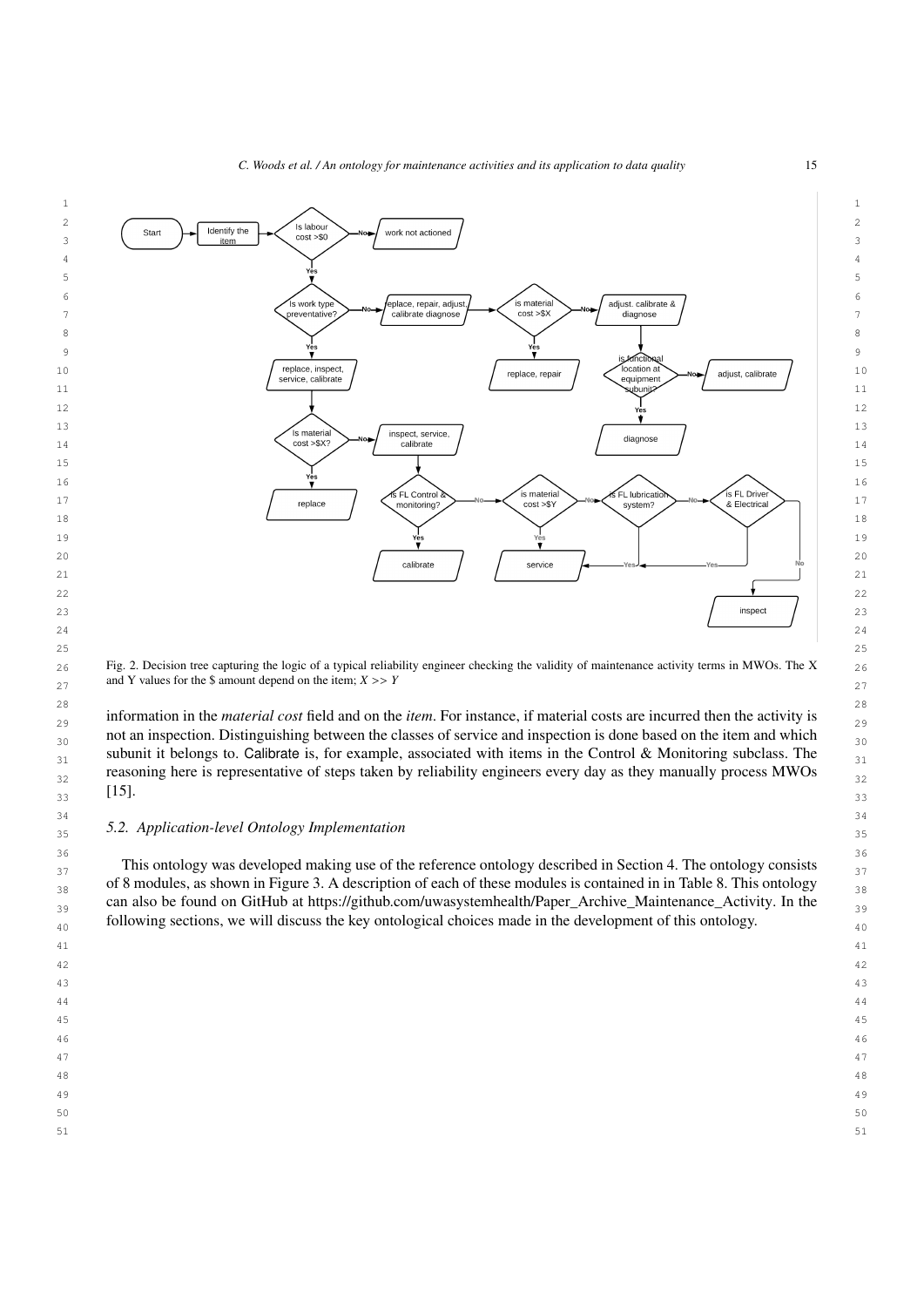

<span id="page-14-0"></span> $_{26}$  Fig. 2. Decision tree capturing the logic of a typical reliability engineer checking the validity of maintenance activity terms in MWOs. The X  $_{26}$ and Y values for the \$ amount depend on the item;  $X \gg Y$ 

 28 29 information in the *material cost* field and on the *item*. For instance, if material costs are incurred then the activity is  $_{30}$  not an inspection. Distinguishing between the classes of service and inspection is done based on the item and which  $_{30}$  $_{31}$  subunit it belongs to. Calibrate is, for example, associated with items in the Control & Monitoring subclass. The  $_{31}$  $_{32}$  reasoning here is representative of steps taken by reliability engineers every day as they manually process MWOs  $_{32}$  $33 \text{ J}$   $11$  $[15]$ .

# 35 *5.2. Application-level Ontology Implementation*

 37 This ontology was developed making use of the reference ontology described in Section [4.](#page-6-1) The ontology consists  $_{38}$  of 8 modules, as shown in Figure [3.](#page-15-0) A description of each of these modules is contained in in Table [8.](#page-15-1) This ontology  $_{38}$  $_{39}$  can also be found on GitHub at [https://github.com/uwasystemhealth/Paper\\_Archive\\_Maintenance\\_Activity.](https://github.com/uwasystemhealth/Paper_Archive_Maintenance_Activity) In the  $_{39}$ following sections, we will discuss the key ontological choices made in the development of this ontology.

- 41
- 43
- 44
- 46

47

- 49
- 
- 51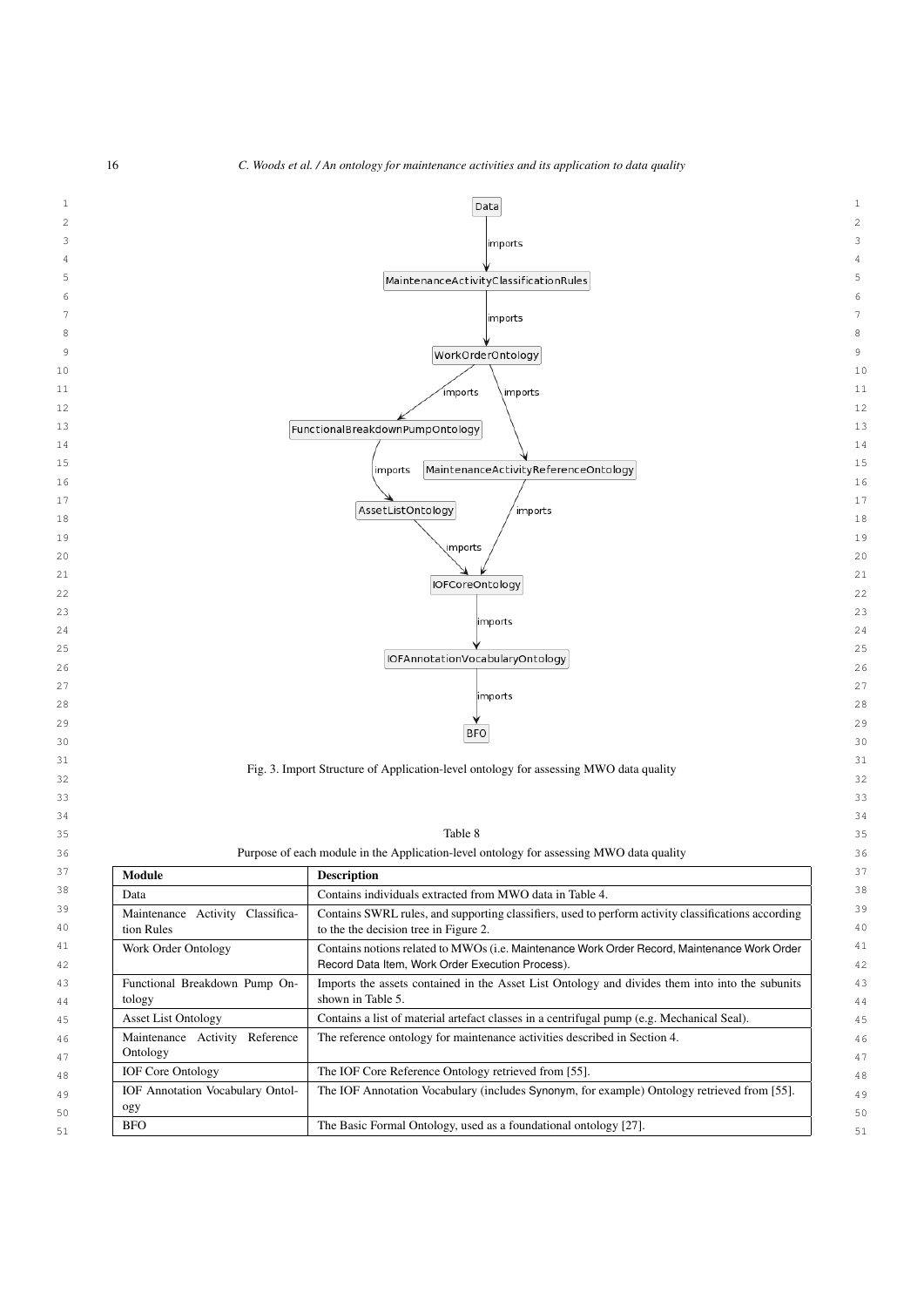<span id="page-15-1"></span>

<span id="page-15-0"></span>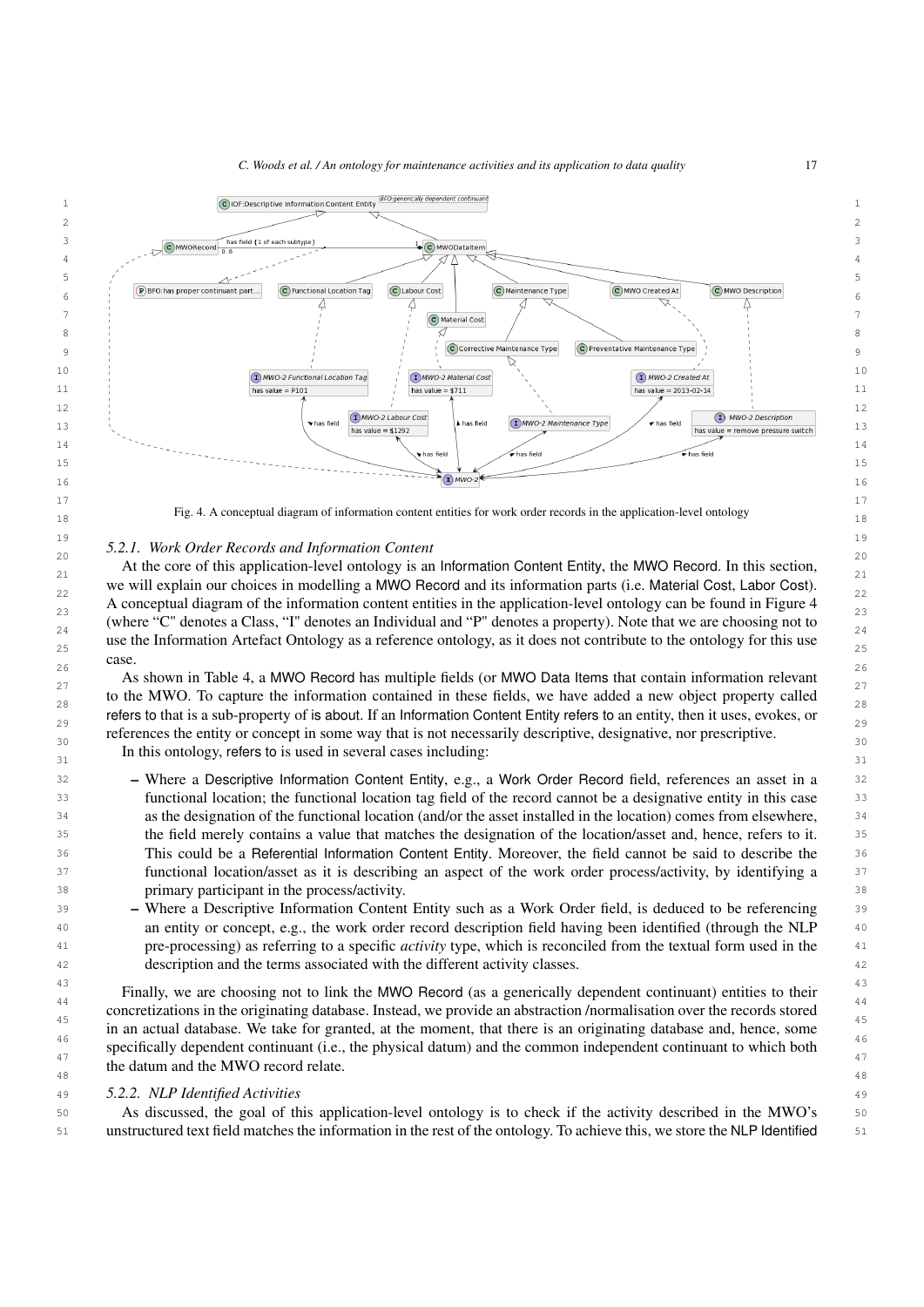

<span id="page-16-0"></span>18 Fig. 4. A conceptual diagram of information content entities for work order records in the application-level ontology

#### 19 and the contract of the contract of the contract of the contract of the contract of the contract of the contract of the contract of the contract of the contract of the contract of the contract of the contract of the con  $2.211$ , none only necessary and information content. *5.2.1. Work Order Records and Information Content*

21 At the core of this application-level ontology is an Information Content Entity, the MWO Record. In this section, we will explain our choices in modelling a MWO Record and its information parts (i.e. Material Cost, Labor Cost).  $\frac{22}{22}$  $\frac{23}{23}$  A conceptual diagram of the information content entities in the application-level ontology can be found in Figure [4](#page-16-0)  $\frac{23}{23}$ where "C" denotes a Class, "I" denotes an Individual and "P" denotes a property). Note that we are choosing not to  $\frac{24}{24}$ use the Information Artefact Ontology as a reference ontology, as it does not contribute to the ontology for this use  $\frac{25}{25}$  26 case.

27 As shown in Table [4,](#page-7-0) a MWO Record has multiple fields (or MWO Data Items that contain information relevant to the MWO. To capture the information contained in these fields, we have added a new object property called  $_{28}$ refers to that is a sub-property of is about. If an Information Content Entity refers to an entity, then it uses, evokes, or  $\frac{29}{29}$ references the entity or concept in some way that is not necessarily descriptive, designative, nor prescriptive. In this ontology, refers to is used in several cases including:  $\frac{31}{31}$ 

- 32 Where a Descriptive Information Content Entity, e.g., a Work Order Record field, references an asset in a 33 functional location; the functional location tag field of the record cannot be a designative entity in this case 34 as the designation of the functional location (and/or the asset installed in the location) comes from elsewhere, 35 the field merely contains a value that matches the designation of the location/asset and, hence, refers to it. 36 This could be a Referential Information Content Entity. Moreover, the field cannot be said to describe the 37 functional location/asset as it is describing an aspect of the work order process/activity, by identifying a 38 primary participant in the process/activity.
- 39 Where a Descriptive Information Content Entity such as a Work Order field, is deduced to be referencing 40 an entity or concept, e.g., the work order record description field having been identified (through the NLP 41 pre-processing) as referring to a specific *activity* type, which is reconciled from the textual form used in the 42 description and the terms associated with the different activity classes.

 $\frac{43}{43}$  Finally, we are choosing not to link the MWO Record (as a generically dependent continuant) entities to their <sup>44</sup> concretizations in the originating database. Instead, we provide an abstraction /normalisation over the records stored <sup>45</sup> in an actual database. We take for granted, at the moment, that there is an originating database and, hence, some 46 specifically dependent continuant (i.e., the physical datum) and the common independent continuant to which both  $\frac{47}{47}$  $\frac{48}{48}$  48 the datum and the MWO record relate.

### 49 *5.2.2. NLP Identified Activities*

50 As discussed, the goal of this application-level ontology is to check if the activity described in the MWO's 50 51 unstructured text field matches the information in the rest of the ontology. To achieve this, we store the NLP Identified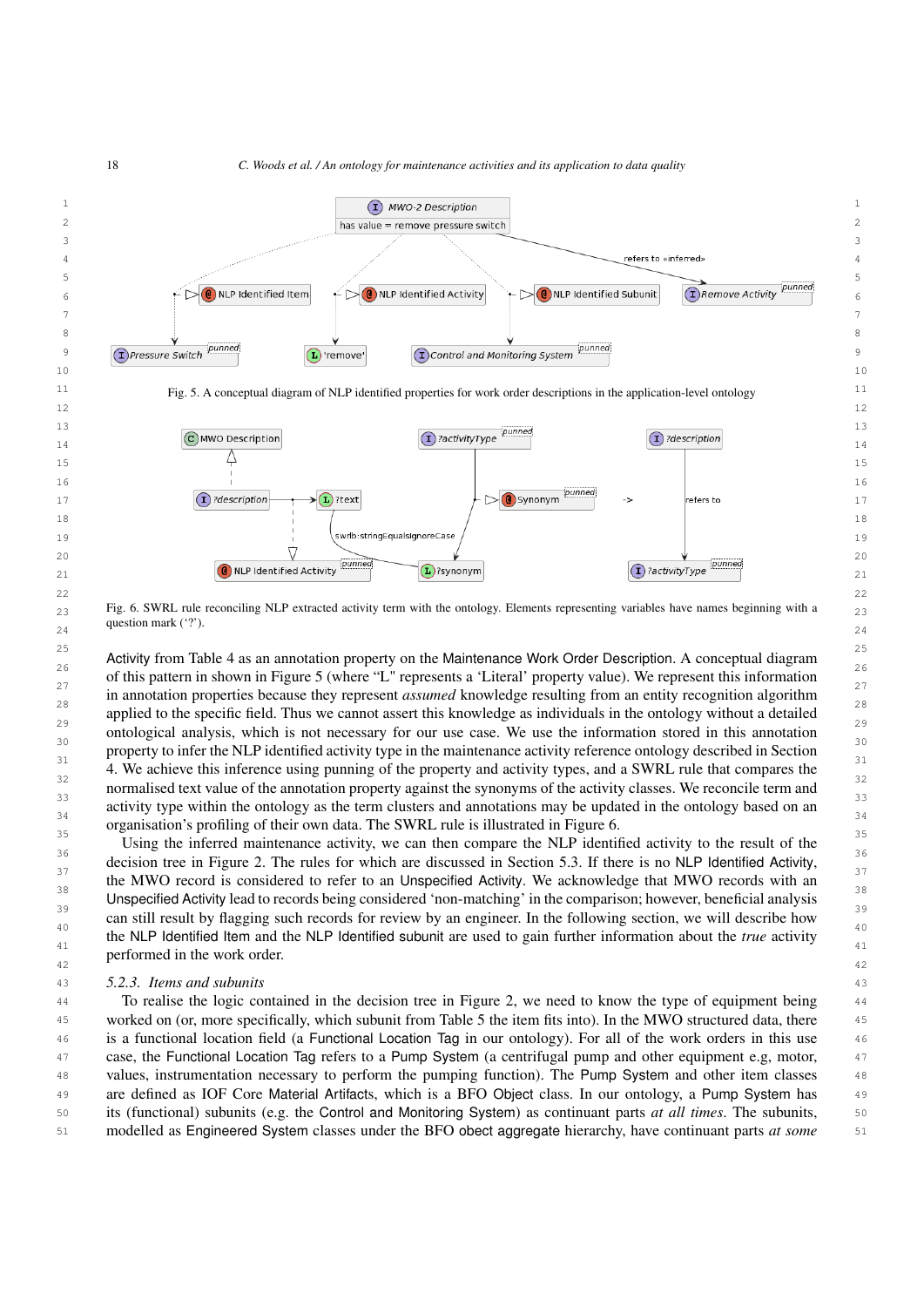

<span id="page-17-1"></span> $_{23}$  Fig. 6. SWRL rule reconciling NLP extracted activity term with the ontology. Elements representing variables have names beginning with a  $_{23}$  guestion matrix (b). question mark ('?').

<sup>25</sup><br>Activity from Table [4](#page-7-0) as an annotation property on the Maintenance Work Order Description. A conceptual diagram 26 and the contract of the distribution property on the maintenance from Creat December 11 conception in appear 26 of this pattern in shown in Figure [5](#page-17-0) (where "L" represents a 'Literal' property value). We represent this information  $\frac{27}{27}$  applied to the specific field. Thus we cannot assert this knowledge as individuals in the ontology without a detailed  $\frac{29}{22}$  ontological analysis, which is not necessary for our use case. We use the information stored in this annotation <sup>30</sup><br>property to infer the NLP identified activity type in the maintenance activity reference ontology described in Section  $\frac{31}{20}$  [4.](#page-6-1) We achieve this inference using punning of the property and activity types, and a SWRL rule that compares the  $\frac{32}{22}$  normalised text value of the annotation property against the synonyms of the activity classes. We reconcile term and  $\frac{33}{24}$  activity type within the ontology as the term clusters and annotations may be updated in the ontology based on an  $\frac{34}{34}$  organisation's profiling of their own data. The SWRL rule is illustrated in Figure [6.](#page-17-1) in annotation properties because they represent *assumed* knowledge resulting from an entity recognition algorithm

 $\frac{35}{25}$  Using the inferred maintenance activity, we can then compare the NLP identified activity to the result of the  $\frac{36}{27}$  decision tree in Figure [2.](#page-14-0) The rules for which are discussed in Section [5.3.](#page-18-0) If there is no NLP Identified Activity,  $\frac{37}{20}$  the MWO record is considered to refer to an Unspecified Activity. We acknowledge that MWO records with an <sup>38</sup><br>Unspecified Activity lead to records being considered 'non-matching' in the comparison; however, beneficial analysis  $\frac{39}{29}$  can still result by flagging such records for review by an engineer. In the following section, we will describe how 40 and the contract of the contract of the contract of the contract of the contract of the contract of the contract of the contract of the contract of the contract of the contract of the contract of the contract of the con the NLP Identified Item and the NLP Identified subunit are used to gain further information about the *true* activity  $\frac{1}{41}$ performed in the work order.

### 43 *5.2.3. Items and subunits*

 44 To realise the logic contained in the decision tree in Figure [2,](#page-14-0) we need to know the type of equipment being 45 worked on (or, more specifically, which subunit from Table [5](#page-8-0) the item fits into). In the MWO structured data, there 46 is a functional location field (a Functional Location Tag in our ontology). For all of the work orders in this use 47 case, the Functional Location Tag refers to a Pump System (a centrifugal pump and other equipment e.g, motor, 48 values, instrumentation necessary to perform the pumping function). The Pump System and other item classes 49 are defined as IOF Core Material Artifacts, which is a BFO Object class. In our ontology, a Pump System has 50 its (functional) subunits (e.g. the Control and Monitoring System) as continuant parts *at all times*. The subunits, 51 modelled as Engineered System classes under the BFO obect aggregate hierarchy, have continuant parts *at some*

<span id="page-17-0"></span>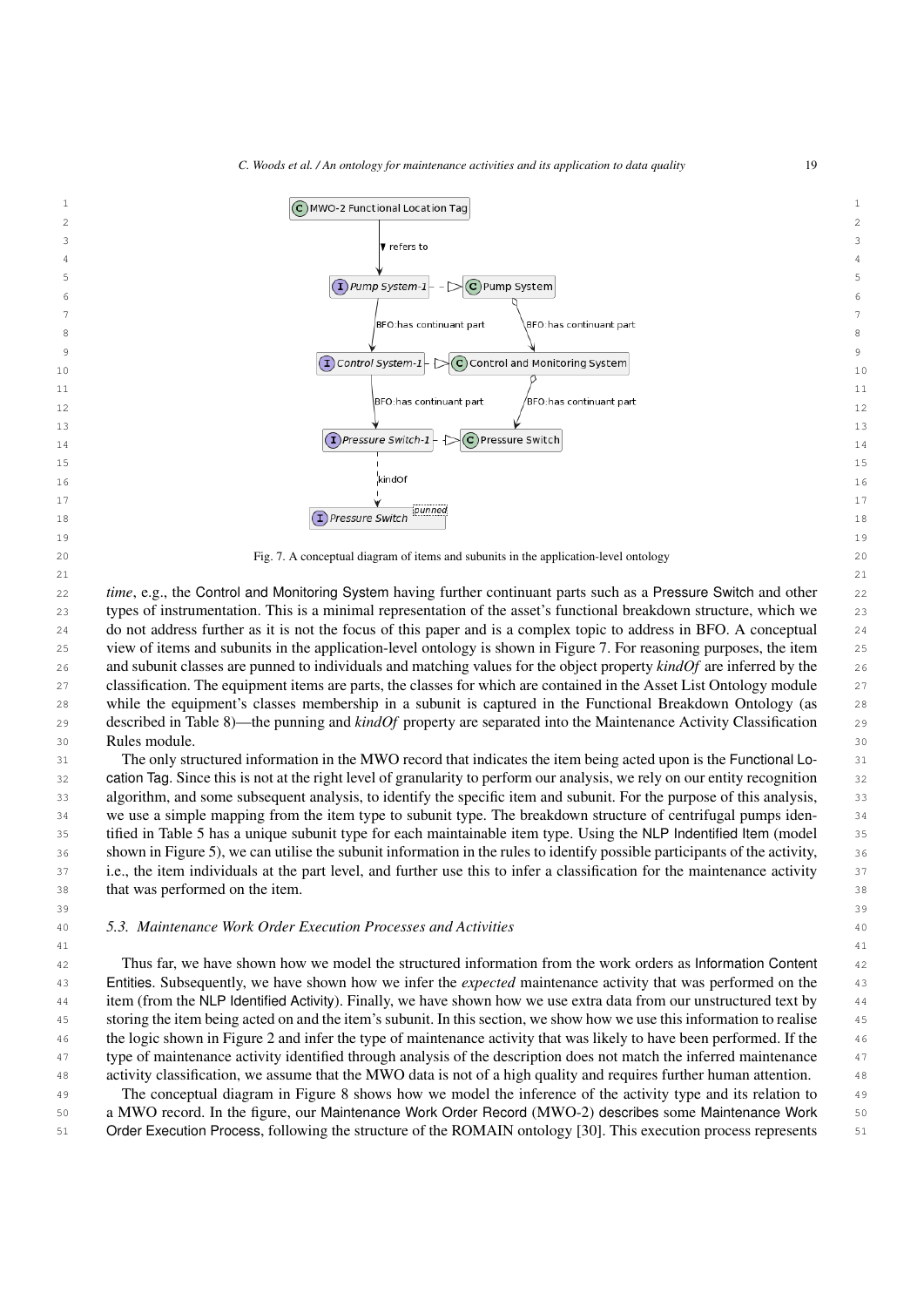<span id="page-18-1"></span>

<span id="page-18-0"></span> 49 The conceptual diagram in Figure [8](#page-19-0) shows how we model the inference of the activity type and its relation to 50 a MWO record. In the figure, our Maintenance Work Order Record (MWO-2) describes some Maintenance Work 51 Order Execution Process, following the structure of the ROMAIN ontology [\[30\]](#page-29-7). This execution process represents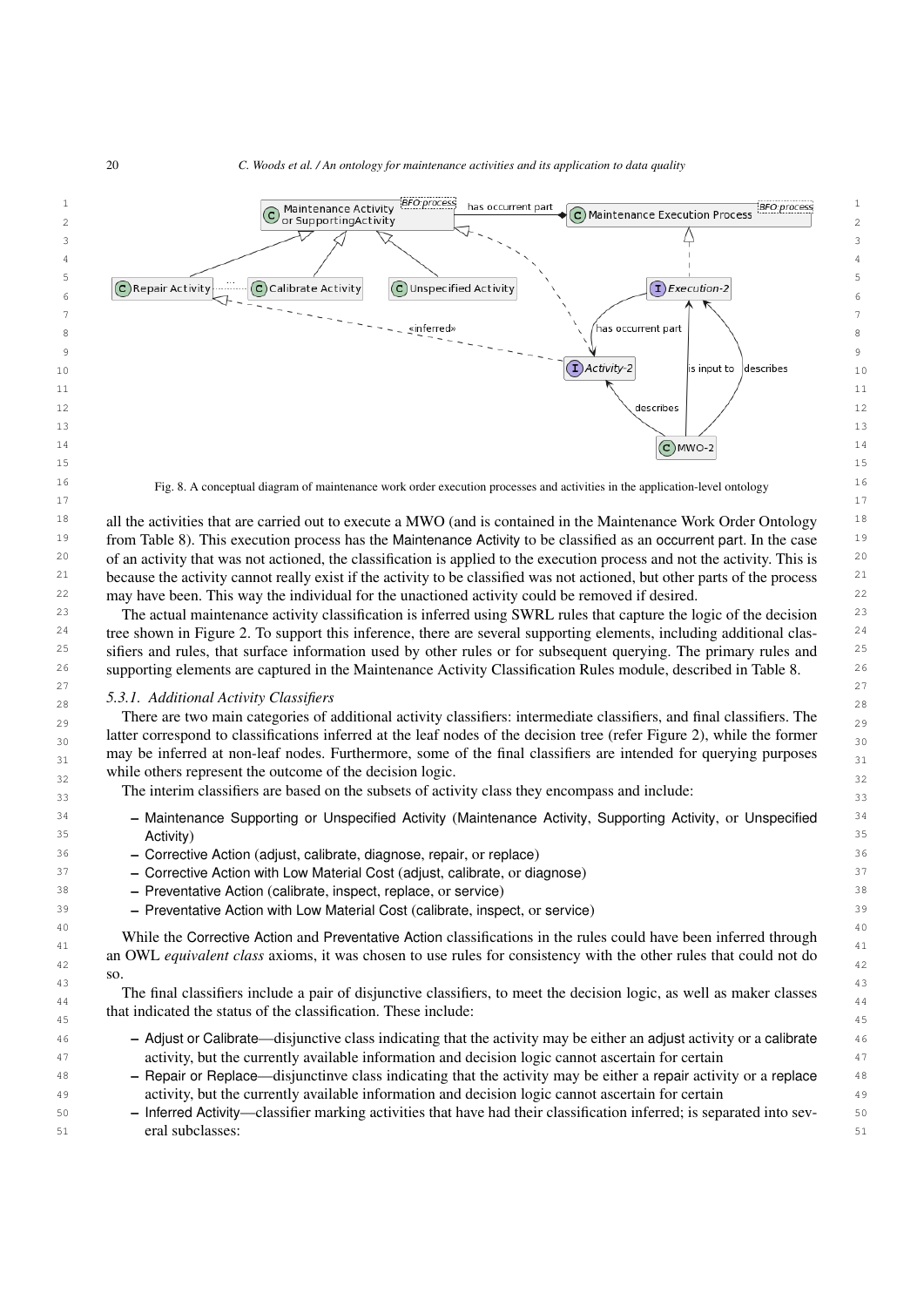<span id="page-19-0"></span>

 50 – Inferred Activity—classifier marking activities that have had their classification inferred; is separated into sev-51 eral subclasses: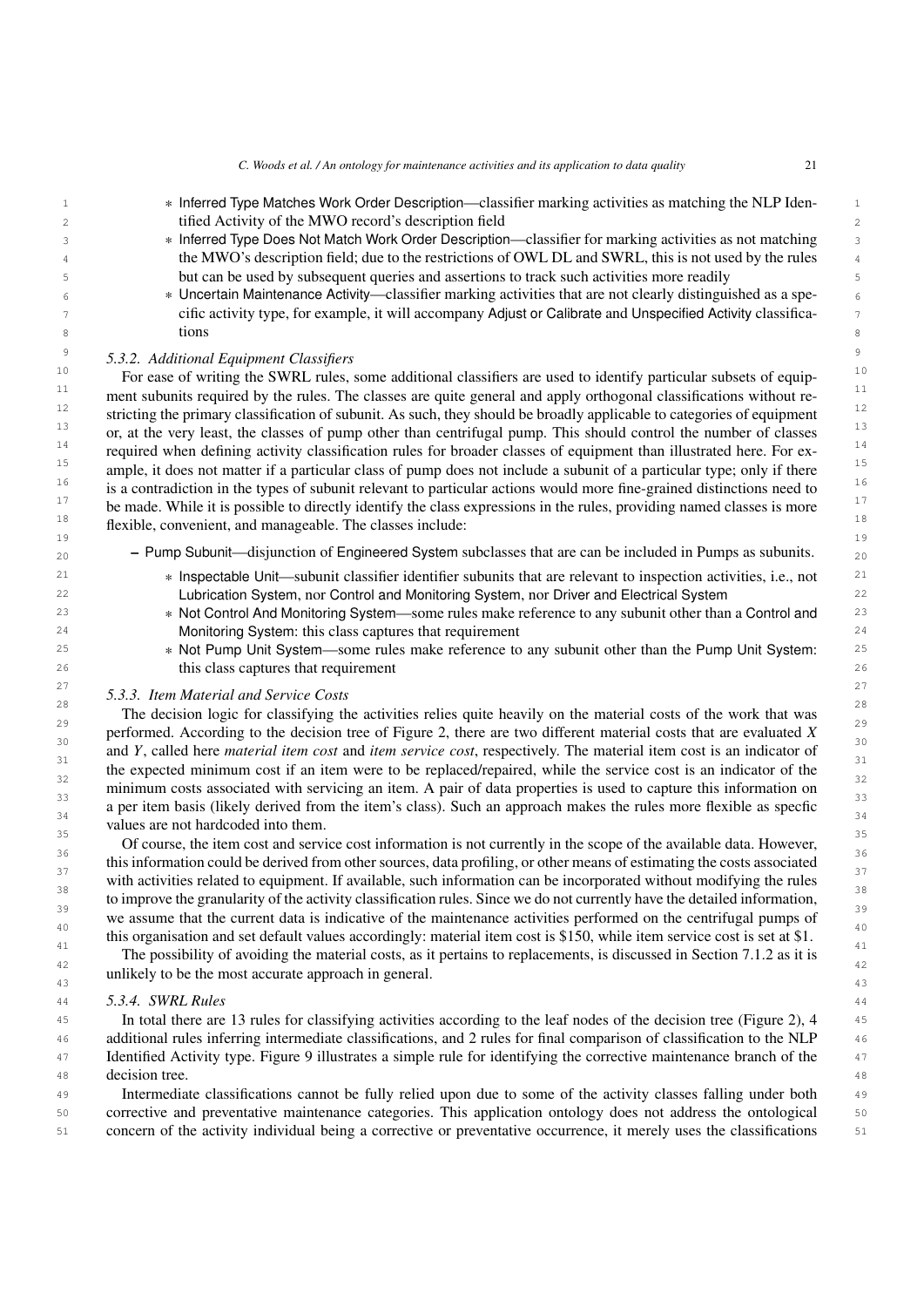| 1              | * Inferred Type Matches Work Order Description—classifier marking activities as matching the NLP Iden-                                                                                                                                        | $\mathbf{1}$         |
|----------------|-----------------------------------------------------------------------------------------------------------------------------------------------------------------------------------------------------------------------------------------------|----------------------|
| $\sqrt{2}$     | tified Activity of the MWO record's description field                                                                                                                                                                                         | $\sqrt{2}$           |
| 3              | * Inferred Type Does Not Match Work Order Description—classifier for marking activities as not matching                                                                                                                                       | $\mathsf 3$          |
| 4              | the MWO's description field; due to the restrictions of OWL DL and SWRL, this is not used by the rules                                                                                                                                        | $\ensuremath{4}$     |
| 5              | but can be used by subsequent queries and assertions to track such activities more readily                                                                                                                                                    | $\mathsf S$          |
| 6              | * Uncertain Maintenance Activity—classifier marking activities that are not clearly distinguished as a spe-<br>cific activity type, for example, it will accompany Adjust or Calibrate and Unspecified Activity classifica-                   | $\epsilon$           |
| 7<br>8         | tions                                                                                                                                                                                                                                         | $7\,$<br>$\,$ 8 $\,$ |
| $\overline{9}$ |                                                                                                                                                                                                                                               | $\,9$                |
| 10             | 5.3.2. Additional Equipment Classifiers                                                                                                                                                                                                       | $10$                 |
| 11             | For ease of writing the SWRL rules, some additional classifiers are used to identify particular subsets of equip-                                                                                                                             | 11                   |
| 12             | ment subunits required by the rules. The classes are quite general and apply orthogonal classifications without re-<br>stricting the primary classification of subunit. As such, they should be broadly applicable to categories of equipment | 12                   |
| 13             | or, at the very least, the classes of pump other than centrifugal pump. This should control the number of classes                                                                                                                             | 13                   |
| 14             | required when defining activity classification rules for broader classes of equipment than illustrated here. For ex-                                                                                                                          | $14$                 |
| 15             | ample, it does not matter if a particular class of pump does not include a subunit of a particular type; only if there                                                                                                                        | 15                   |
| 16             | is a contradiction in the types of subunit relevant to particular actions would more fine-grained distinctions need to                                                                                                                        | 16                   |
| 17             | be made. While it is possible to directly identify the class expressions in the rules, providing named classes is more                                                                                                                        | 17                   |
| 18             | flexible, convenient, and manageable. The classes include:                                                                                                                                                                                    | 18                   |
| 19<br>20       | - Pump Subunit—disjunction of Engineered System subclasses that are can be included in Pumps as subunits.                                                                                                                                     | 1 <sup>°</sup><br>20 |
| 21             | * Inspectable Unit—subunit classifier identifier subunits that are relevant to inspection activities, i.e., not                                                                                                                               | 21                   |
| 22             | Lubrication System, nor Control and Monitoring System, nor Driver and Electrical System                                                                                                                                                       | 22                   |
| 23             | * Not Control And Monitoring System—some rules make reference to any subunit other than a Control and                                                                                                                                         | 23                   |
| 24             | Monitoring System: this class captures that requirement                                                                                                                                                                                       | 24                   |
| 25             | * Not Pump Unit System—some rules make reference to any subunit other than the Pump Unit System:                                                                                                                                              | 25                   |
| 26             | this class captures that requirement                                                                                                                                                                                                          | 26                   |
| 27             | 5.3.3. Item Material and Service Costs                                                                                                                                                                                                        | 27                   |
| 28             | The decision logic for classifying the activities relies quite heavily on the material costs of the work that was                                                                                                                             | 28                   |
| 29<br>30       | performed. According to the decision tree of Figure 2, there are two different material costs that are evaluated X                                                                                                                            | 2S<br>30             |
| 31             | and Y, called here material item cost and item service cost, respectively. The material item cost is an indicator of                                                                                                                          | 31                   |
| 32             | the expected minimum cost if an item were to be replaced/repaired, while the service cost is an indicator of the                                                                                                                              | 32                   |
| 33             | minimum costs associated with servicing an item. A pair of data properties is used to capture this information on                                                                                                                             | 33                   |
| 34             | a per item basis (likely derived from the item's class). Such an approach makes the rules more flexible as specfic<br>values are not hardcoded into them.                                                                                     | 34                   |
| 35             | Of course, the item cost and service cost information is not currently in the scope of the available data. However,                                                                                                                           | 35                   |
| 36             | this information could be derived from other sources, data profiling, or other means of estimating the costs associated                                                                                                                       | 36                   |
| 37             | with activities related to equipment. If available, such information can be incorporated without modifying the rules                                                                                                                          | 37                   |
| 38             | to improve the granularity of the activity classification rules. Since we do not currently have the detailed information,                                                                                                                     | 38                   |
| 39             | we assume that the current data is indicative of the maintenance activities performed on the centrifugal pumps of                                                                                                                             | 3 S                  |
| 40             | this organisation and set default values accordingly: material item cost is \$150, while item service cost is set at \$1.                                                                                                                     | 4C                   |
| 41<br>42       | The possibility of avoiding the material costs, as it pertains to replacements, is discussed in Section 7.1.2 as it is                                                                                                                        | 41<br>42             |
| 43             | unlikely to be the most accurate approach in general.                                                                                                                                                                                         | 43                   |
| 44             | 5.3.4. SWRL Rules                                                                                                                                                                                                                             | 44                   |
| 45             | In total there are 13 rules for classifying activities according to the leaf nodes of the decision tree (Figure 2), 4                                                                                                                         | 45                   |
| 46             | additional rules inferring intermediate classifications, and 2 rules for final comparison of classification to the NLP                                                                                                                        | 46                   |
| 47             | Identified Activity type. Figure 9 illustrates a simple rule for identifying the corrective maintenance branch of the                                                                                                                         | 47                   |
| 48             | decision tree.                                                                                                                                                                                                                                | 48                   |
| 49             | Intermediate classifications cannot be fully relied upon due to some of the activity classes falling under both                                                                                                                               | 4 <sup>c</sup>       |
| 50             | corrective and preventative maintenance categories. This application ontology does not address the ontological                                                                                                                                | 50                   |
| 51             | concern of the activity individual being a corrective or preventative occurrence, it merely uses the classifications                                                                                                                          | 51                   |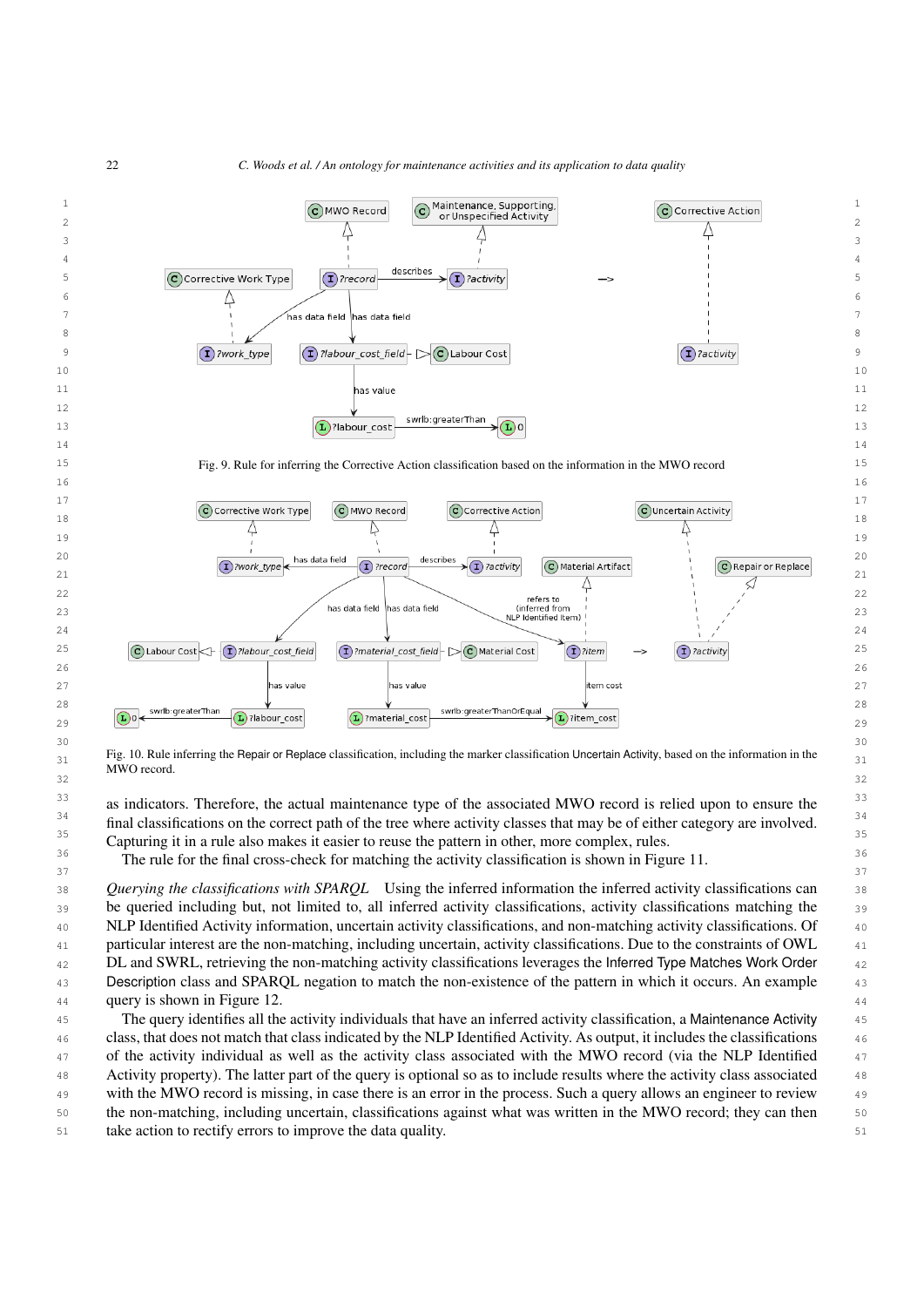

MWO record.

<sup>33</sup> as indicators. Therefore, the actual maintenance type of the associated MWO record is relied upon to ensure the <sup>34</sup> final classifications on the correct path of the tree where activity classes that may be of either category are involved.<sup>34</sup> <sup>35</sup> 35 Capturing it in a rule also makes it easier to reuse the pattern in other, more complex, rules.

 $32$ 

<sup>36</sup> 36 The rule for the final cross-check for matching the activity classification is shown in Figure [11.](#page-22-0)  $\sim$  37  $\sim$  37

 38 *Querying the classifications with SPARQL* Using the inferred information the inferred activity classifications can 39 be queried including but, not limited to, all inferred activity classifications, activity classifications matching the 39 40 NLP Identified Activity information, uncertain activity classifications, and non-matching activity classifications. Of 41 particular interest are the non-matching, including uncertain, activity classifications. Due to the constraints of OWL 42 DL and SWRL, retrieving the non-matching activity classifications leverages the Inferred Type Matches Work Order 43 Description class and SPARQL negation to match the non-existence of the pattern in which it occurs. An example **query is shown in Figure [12.](#page-22-1)** All the state of the state of the state of the state of the state of the state of the state of the state of the state of the state of the state of the state of the state of the state of th 45 The query identifies all the activity individuals that have an inferred activity classification, a Maintenance Activity

 46 class, that does not match that class indicated by the NLP Identified Activity. As output, it includes the classifications <sup>47</sup> of the activity individual as well as the activity class associated with the MWO record (via the NLP Identified <sup>47</sup> 48 Activity property). The latter part of the query is optional so as to include results where the activity class associated 49 with the MWO record is missing, in case there is an error in the process. Such a query allows an engineer to review 50 the non-matching, including uncertain, classifications against what was written in the MWO record; they can then 51 take action to rectify errors to improve the data quality.

<span id="page-21-0"></span>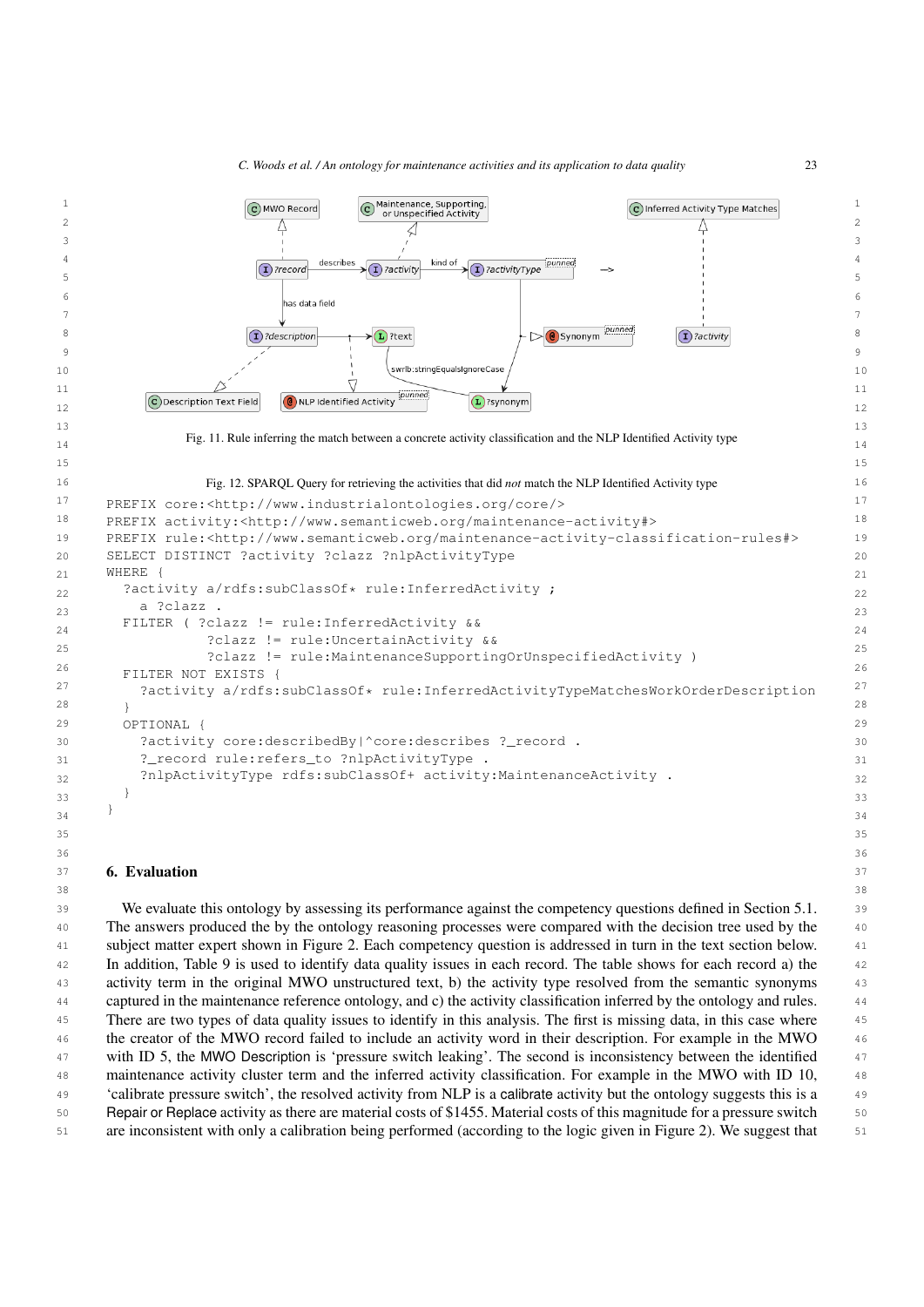<span id="page-22-1"></span><span id="page-22-0"></span>

<span id="page-22-2"></span>51 are inconsistent with only a calibration being performed (according to the logic given in Figure [2\)](#page-14-0). We suggest that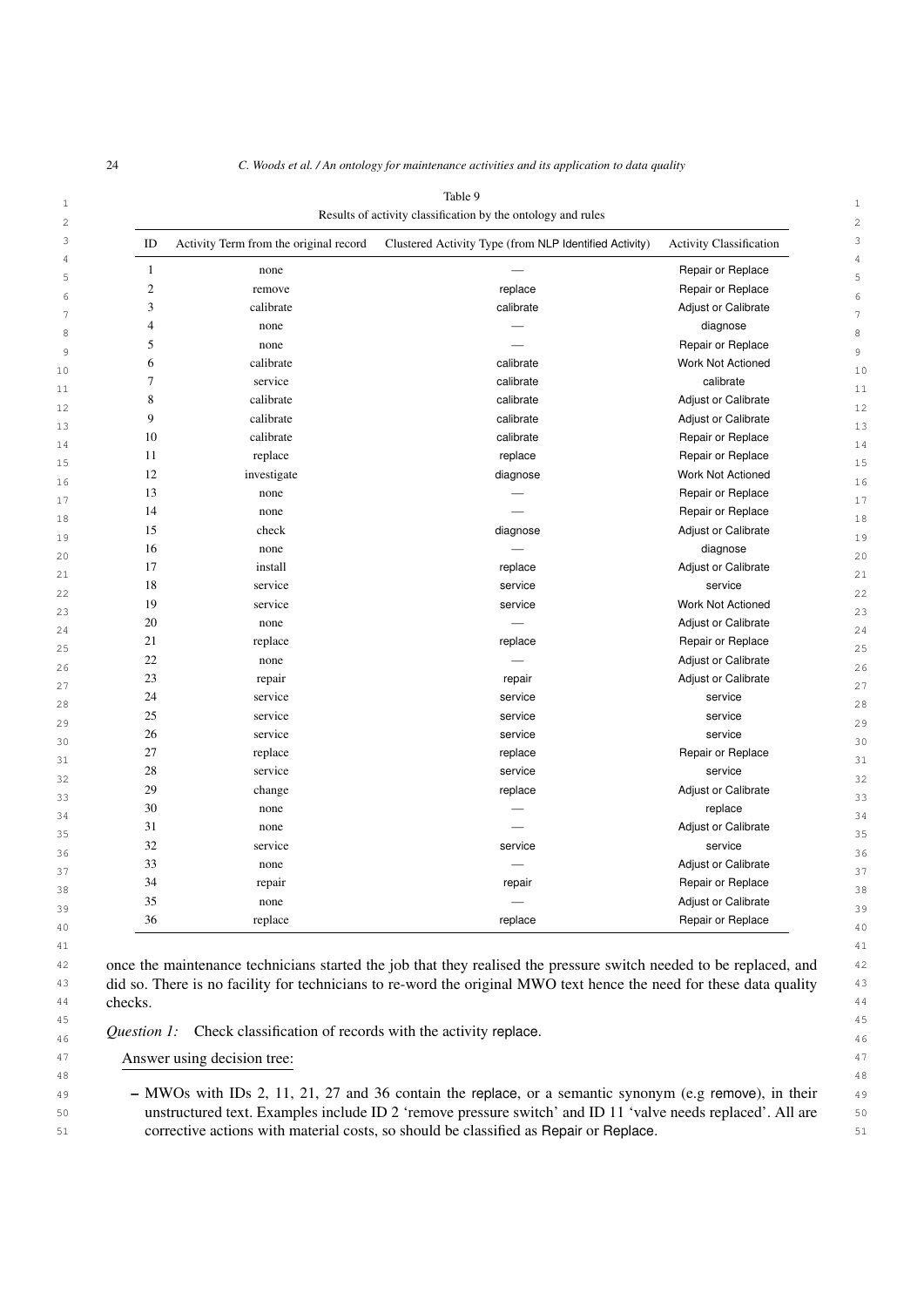<span id="page-23-0"></span>

| ID             | Activity Term from the original record | Clustered Activity Type (from NLP Identified Activity) | <b>Activity Classification</b> |
|----------------|----------------------------------------|--------------------------------------------------------|--------------------------------|
| $\mathbf{1}$   | none                                   |                                                        | Repair or Replace              |
| $\overline{2}$ | remove                                 | replace                                                | Repair or Replace              |
| 3              | calibrate                              | calibrate                                              | Adjust or Calibrate            |
| $\overline{4}$ | none                                   |                                                        | diagnose                       |
| 5              | none                                   |                                                        | Repair or Replace              |
| 6              | calibrate                              | calibrate                                              | Work Not Actioned              |
| 7              | service                                | calibrate                                              | calibrate                      |
| 8              | calibrate                              | calibrate                                              | <b>Adjust or Calibrate</b>     |
| 9              | calibrate                              | calibrate                                              | Adjust or Calibrate            |
| 10             | calibrate                              | calibrate                                              | Repair or Replace              |
| 11             | replace                                | replace                                                | Repair or Replace              |
| 12             | investigate                            | diagnose                                               | Work Not Actioned              |
| 13             | none                                   |                                                        | Repair or Replace              |
| 14             | none                                   |                                                        | Repair or Replace              |
| 15             | check                                  | diagnose                                               | Adjust or Calibrate            |
| 16             | none                                   |                                                        | diagnose                       |
| 17             | install                                | replace                                                | Adjust or Calibrate            |
| 18             | service                                | service                                                | service                        |
| 19             | service                                | service                                                | Work Not Actioned              |
| 20             | none                                   |                                                        | Adjust or Calibrate            |
| 21             | replace                                | replace                                                | Repair or Replace              |
| 22             | none                                   |                                                        | <b>Adjust or Calibrate</b>     |
| 23             | repair                                 | repair                                                 | <b>Adjust or Calibrate</b>     |
| 24             | service                                | service                                                | service                        |
| 25             | service                                | service                                                | service                        |
| 26             | service                                | service                                                | service                        |
| 27             | replace                                | replace                                                | Repair or Replace              |
| 28             | service                                | service                                                | service                        |
| 29             | change                                 | replace                                                | Adjust or Calibrate            |
| 30             | none                                   |                                                        | replace                        |
| 31             | none                                   |                                                        | Adjust or Calibrate            |
| 32             | service                                | service                                                | service                        |
| 33             | none                                   |                                                        | <b>Adjust or Calibrate</b>     |
| 34             | repair                                 | repair                                                 | Repair or Replace              |
| 35             | none                                   |                                                        | Adjust or Calibrate            |
| 36             | replace                                | replace                                                | Repair or Replace              |
|                |                                        |                                                        |                                |

 $44$  checks.  $44$ 

checks.

45 45  $\mathcal{Q}$ uestion 1: Check classification of records with the activity replace.

47 **Answer using decision tree:** Answer using decision tree:  $47$ 

49 49 – MWOs with IDs 2, 11, 21, 27 and 36 contain the replace, or a semantic synonym (e.g remove), in their 50 50 unstructured text. Examples include ID 2 'remove pressure switch' and ID 11 'valve needs replaced'. All are 51 51 corrective actions with material costs, so should be classified as Repair or Replace.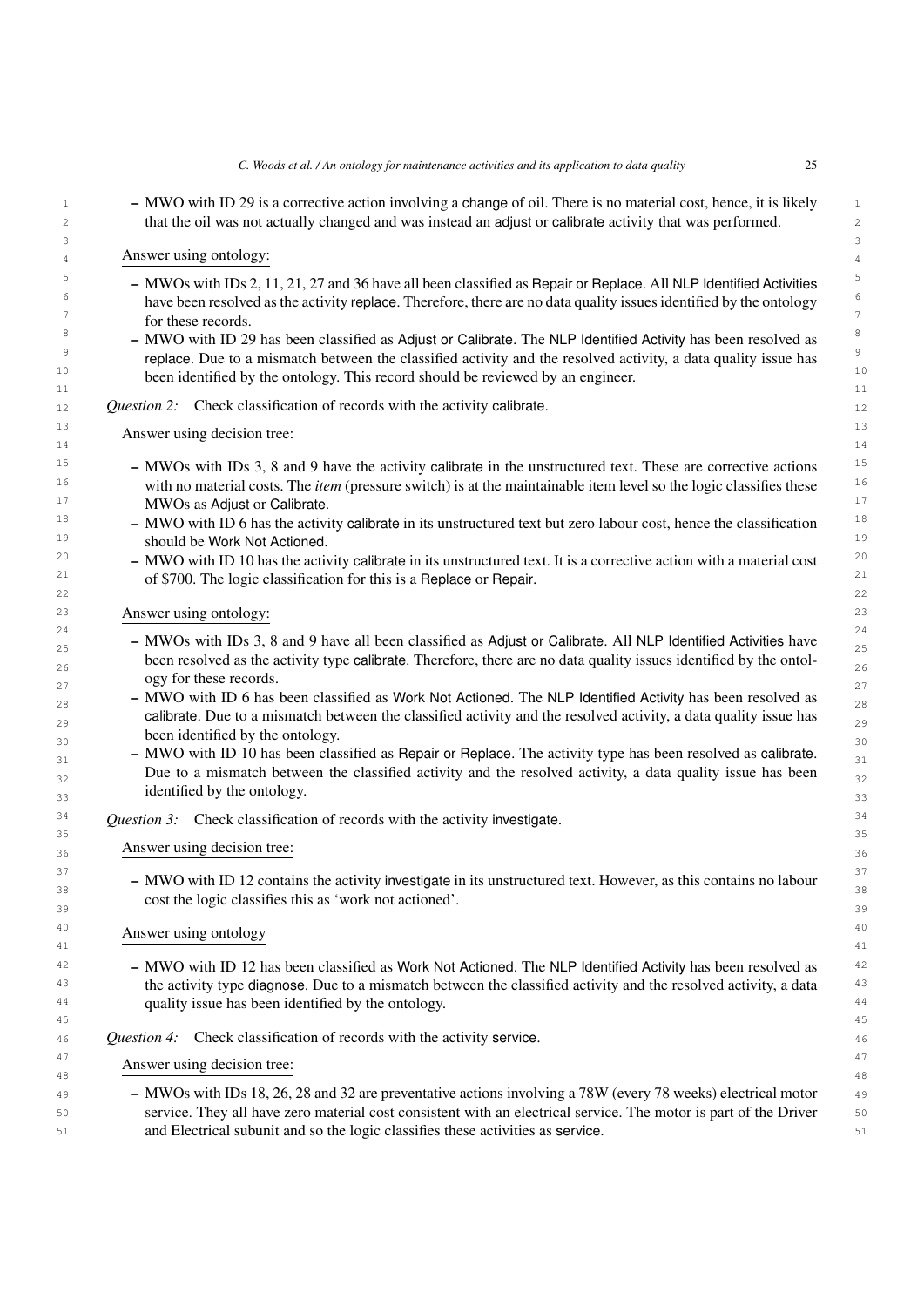1 1 – MWO with ID 29 is a corrective action involving a change of oil. There is no material cost, hence, it is likely 2 2 that the oil was not actually changed and was instead an adjust or calibrate activity that was performed.  $3$ 

# 4 4 4 4 Answer using ontology:

- $5 100$  MWOs with IDs 2, 11, 21, 27 and 36 have all been classified as Repair or Replace. All NLP Identified Activities  $\frac{6}{10}$  have been resolved as the activity replace. Therefore, there are no data quality issues identified by the ontology  $\frac{7}{7}$  for these records  $\frac{7}{7}$ for these records.
- $8$  MWO with ID 29 has been classified as Adjust or Calibrate. The NLP Identified Activity has been resolved as  $8$ <sup>9</sup> replace. Due to a mismatch between the classified activity and the resolved activity, a data quality issue has <sup>10</sup> been identified by the ontology. This record should be reviewed by an engineer.<sup>10</sup>  $\sim$  11  $\sim$  11  $\sim$  11  $\sim$  11  $\sim$  11  $\sim$  11  $\sim$  11  $\sim$  11  $\sim$  11  $\sim$  11  $\sim$  11  $\sim$  11  $\sim$  11  $\sim$  11  $\sim$  11 $\sim$  11 $\sim$  11 $\sim$  11 $\sim$  11 $\sim$  11 $\sim$  11 $\sim$  11 $\sim$  11 $\sim$  11 $\sim$  11 $\sim$  11 $\sim$  11 $\sim$  11 $\sim$  11 $\sim$
- 12 **Question 2:** Check classification of records with the activity calibrate.
- $\Lambda$  associated decision to  $\Lambda$ 14 14 Answer using decision tree:
- $15$  MWOs with IDs 3, 8 and 9 have the activity calibrate in the unstructured text. These are corrective actions  $15$ <sup>16</sup> with no material costs. The *item* (pressure switch) is at the maintainable item level so the logic classifies these <sup>16</sup> <sup>17</sup> MWOs as Adjust or Calibrate.
- <sup>18</sup> MWO with ID 6 has the activity calibrate in its unstructured text but zero labour cost, hence the classification <sup>18</sup> 19 19 should be Work Not Actioned.
- <sup>20</sup> MWO with ID 10 has the activity calibrate in its unstructured text. It is a corrective action with a material cost  $^{20}$  $21$  of \$700. The logic classification for this is a Replace or Repair.  $21$ 22  $\sim$  22

23 23 Answer using ontology:

- $24$  $-$  MWOs with IDs 3, 8 and 9 have all been classified as Adjust or Calibrate. All NLP Identified Activities have been resolved as the activity type calibrate. Therefore, there are no data quality issues identified by the ontol- $\frac{27}{27}$  27 ogy for these records.
- $_{28}$  MWO with ID 6 has been classified as Work Not Actioned. The NLP Identified Activity has been resolved as  $_{28}$ calibrate. Due to a mismatch between the classified activity and the resolved activity, a data quality issue has  $\frac{30}{30}$  been identified by the ontology.
- $_{31}$  MWO with ID 10 has been classified as Repair or Replace. The activity type has been resolved as calibrate.  $32$  Due to a mismatch between the classified activity and the resolved activity, a data quality issue has been  $32$  $33 \text{$ 13}  $33 \text{}$   $33 \text{}$ identified by the ontology.
- <sup>34</sup> *Question 3:* Check classification of records with the activity investigate. <sup>34</sup>
- 35 35 36 36 Answer using decision tree:
- $\frac{37}{2}$  and  $\frac{37}{2}$  and  $\frac{37}{2}$  $\frac{38}{38}$  – MWO with ID 12 contains the activity investigate in its unstructured text. However, as this contains no labour  $\frac{39}{39}$  cost the logic classifies this as 'work not actioned'.

 $\frac{1}{41}$  41

- 40 **Answer using ontology Answer using ontology**
- $42$  MWO with ID 12 has been classified as Work Not Actioned. The NLP Identified Activity has been resolved as  $42$ <sup>43</sup> the activity type diagnose. Due to a mismatch between the classified activity and the resolved activity, a data <sup>44</sup> quality issue has been identified by the ontology.
- 46 46 *Question 4:* Check classification of records with the activity service.
- Answer using decision tree: 48 **48** 48
- 49 49 MWOs with IDs 18, 26, 28 and 32 are preventative actions involving a 78W (every 78 weeks) electrical motor 50 50 service. They all have zero material cost consistent with an electrical service. The motor is part of the Driver 51 51 and Electrical subunit and so the logic classifies these activities as service.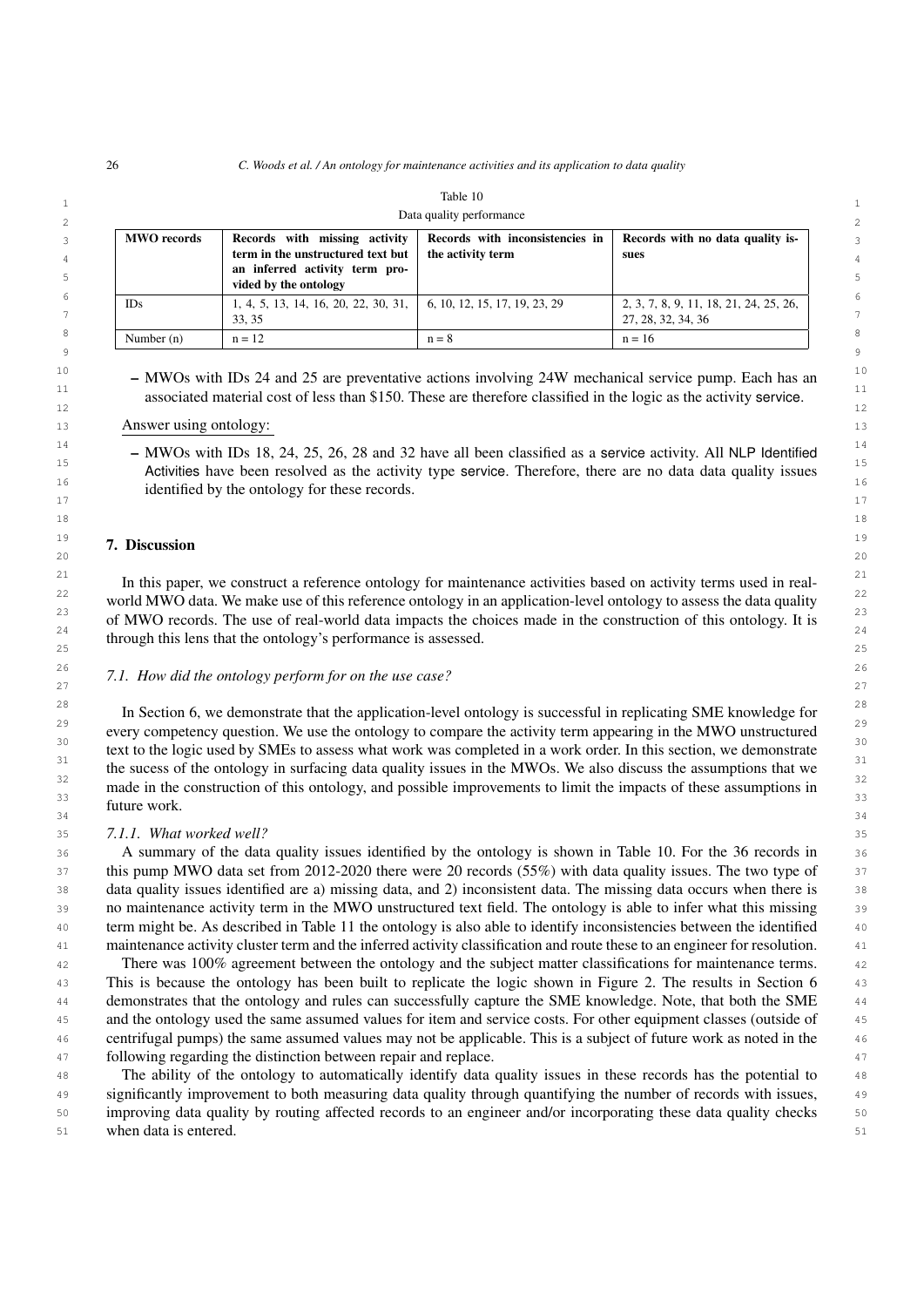|                          |                                                                                                                               | танне то                                             |                                                              |  |  |  |
|--------------------------|-------------------------------------------------------------------------------------------------------------------------------|------------------------------------------------------|--------------------------------------------------------------|--|--|--|
| Data quality performance |                                                                                                                               |                                                      |                                                              |  |  |  |
| <b>MWO</b> records       | Records with missing activity<br>term in the unstructured text but<br>an inferred activity term pro-<br>vided by the ontology | Records with inconsistencies in<br>the activity term | Records with no data quality is-<br>sues                     |  |  |  |
| IDs                      | 1, 4, 5, 13, 14, 16, 20, 22, 30, 31,   6, 10, 12, 15, 17, 19, 23, 29<br>33.35                                                 |                                                      | 2, 3, 7, 8, 9, 11, 18, 21, 24, 25, 26,<br>27, 28, 32, 34, 36 |  |  |  |
| Number $(n)$             | $n = 12$                                                                                                                      | $n = 8$                                              | $n = 16$                                                     |  |  |  |

<span id="page-25-0"></span>Table 10

 $^{10}$  – MWOs with IDs 24 and 25 are preventative actions involving 24W mechanical service pump. Each has an  $^{10}$ <sup>11</sup> associated material cost of less than \$150. These are therefore classified in the logic as the activity service. 12  $\sim$  12

#### 13 **Answer using ontology:** the contract of the contract of the contract of the contract of the contract of the contract of the contract of the contract of the contract of the contract of the contract of the contract of th

 $^{14}$  – MWOs with IDs 18, 24, 25, 26, 28 and 32 have all been classified as a service activity. All NLP Identified  $^{14}$ <sup>15</sup> 15 **Activities** have been resolved as the activity type service. Therefore, there are no data data quality issues  $\frac{16}{16}$  identified by the ontology for these records.  $\frac{17}{17}$ 

#### $\overline{19}$   $\overline{19}$   $\overline{19}$  $20$ 7. Discussion

 $\frac{21}{22}$  In this paper, we construct a reference ontology for maintenance activities based on activity terms used in real- $\frac{22}{22}$  world MWO data. We make use of this reference ontology in an application-level ontology to assess the data quality  $23$  of MWO records. The use of real-world data impacts the choices made in the construction of this ontology. It is  $\frac{24}{25}$  through this lens that the ontology's performance is assessed. 25 25

#### 26 26 *7.1. How did the ontology perform for on the use case?* 27 27 28  $(2)$

<sup>28</sup> In Section [6,](#page-22-2) we demonstrate that the application-level ontology is successful in replicating SME knowledge for <sup>29</sup> every competency question. We use the ontology to compare the activity term appearing in the MWO unstructured  $\frac{30}{20}$   $\frac{1}{100}$   $\frac{1}{100}$   $\frac{1}{100}$   $\frac{1}{100}$   $\frac{1}{100}$   $\frac{1}{100}$   $\frac{1}{100}$   $\frac{1}{100}$   $\frac{1}{100}$   $\frac{1}{100}$   $\frac{1}{100}$   $\frac{1}{100}$   $\frac{1}{100}$   $\frac{1}{100}$   $\frac{1}{100}$   $\frac{1}{100}$   $\frac{1}{100}$   $\frac{1$ text to the logic used by SMEs to assess what work was completed in a work order. In this section, we demonstrate  $32$   $1 \cdot 4$   $1 \cdot 5$   $64$   $1 \cdot 1$   $1 \cdot 1$   $1 \cdot 1$   $1 \cdot 1$   $1 \cdot 1$   $1 \cdot 1$   $1 \cdot 1$   $1 \cdot 1$   $1 \cdot 1$   $1 \cdot 1$   $1 \cdot 1$   $1 \cdot 1$   $1 \cdot 1$  $\frac{33}{33}$  made in the construction of this ontology, and possible improvements to limit the impacts of these assumptions in  $34$   $34$ the sucess of the ontology in surfacing data quality issues in the MWOs. We also discuss the assumptions that we future work.

#### 35 35 *7.1.1. What worked well?*

 36 A summary of the data quality issues identified by the ontology is shown in Table [10.](#page-25-0) For the 36 records in 37 this pump MWO data set from 2012-2020 there were 20 records (55%) with data quality issues. The two type of  $\frac{37}{2}$  38 data quality issues identified are a) missing data, and 2) inconsistent data. The missing data occurs when there is 39 no maintenance activity term in the MWO unstructured text field. The ontology is able to infer what this missing 40 term might be. As described in Table [11](#page-22-0) the ontology is also able to identify inconsistencies between the identified 41 maintenance activity cluster term and the inferred activity classification and route these to an engineer for resolution.

 42 There was 100% agreement between the ontology and the subject matter classifications for maintenance terms. 43 This is because the ontology has been built to replicate the logic shown in Figure [2.](#page-14-0) The results in Section [6](#page-22-2) 44 demonstrates that the ontology and rules can successfully capture the SME knowledge. Note, that both the SME 45 and the ontology used the same assumed values for item and service costs. For other equipment classes (outside of 46 centrifugal pumps) the same assumed values may not be applicable. This is a subject of future work as noted in the 47 following regarding the distinction between repair and replace.

 48 The ability of the ontology to automatically identify data quality issues in these records has the potential to 49 significantly improvement to both measuring data quality through quantifying the number of records with issues, 50 improving data quality by routing affected records to an engineer and/or incorporating these data quality checks 51 when data is entered. 51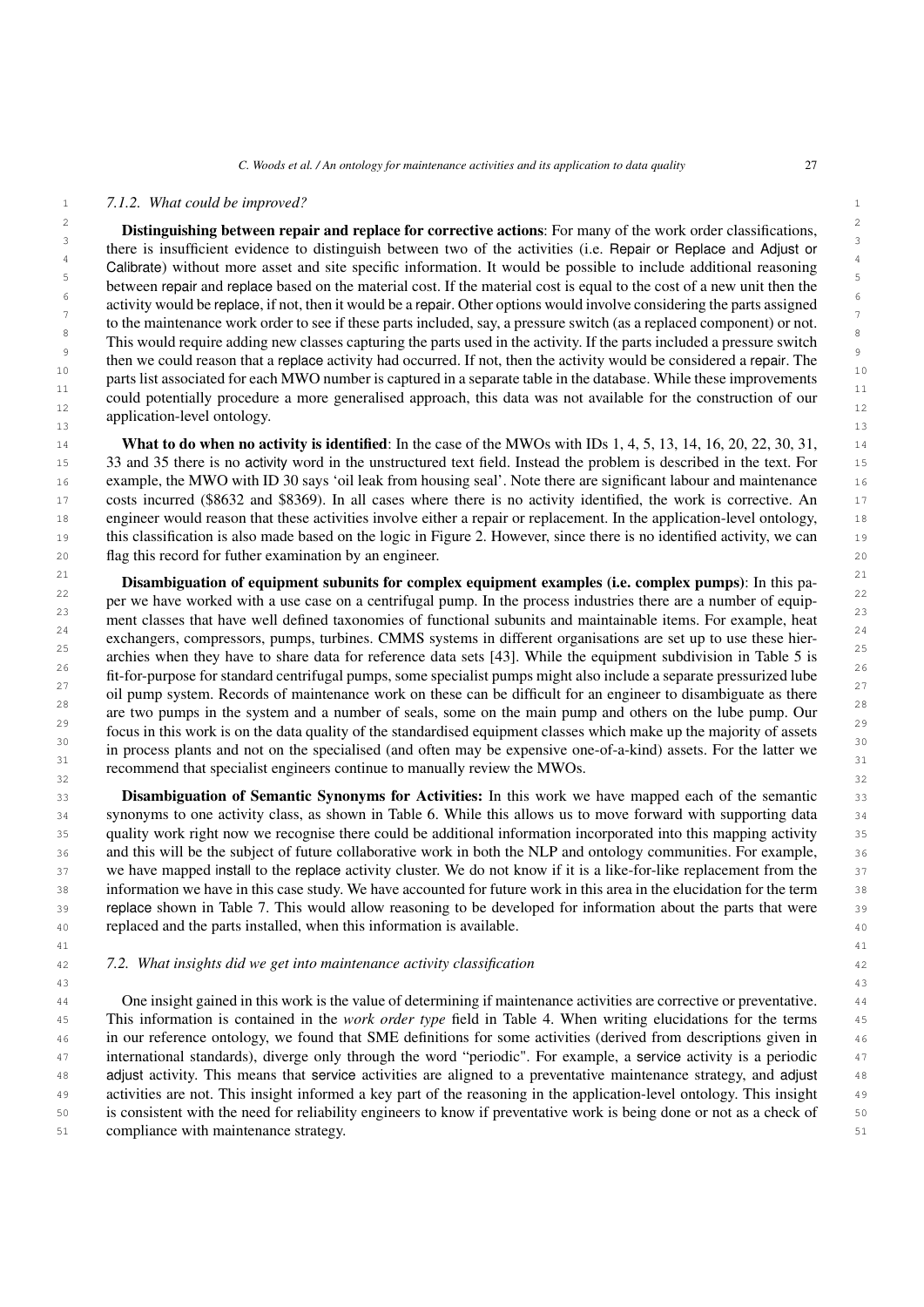### <span id="page-26-0"></span>1 1 *7.1.2. What could be improved?*

 $\frac{2}{3}$  Distinguishing between repair and replace for corrective actions: For many of the work order classifications, <sup>3</sup><br>there is insufficient evidence to distinguish between two of the activities (i.e. Repair or Replace and Adjust or <sup>4</sup><br>Calibrate) without more asset and site specific information. It would be possible to include additional reasoning <sup>5</sup><br>between repair and replace based on the material cost. If the material cost is equal to the cost of a new unit then the  $\frac{6}{3}$  activity would be replace, if not, then it would be a repair. Other options would involve considering the parts assigned  $\frac{7}{2}$  to the maintenance work order to see if these parts included, say, a pressure switch (as a replaced component) or not. <sup>8</sup> This would require adding new classes capturing the parts used in the activity. If the parts included a pressure switch <sup>9</sup><br>then we could reason that a replace activity had occurred. If not, then the activity would be considered a repair. The <sup>10</sup> parts list associated for each MWO number is captured in a separate table in the database. While these improvements 11  $\frac{1}{1}$  11  $\frac{1}{1}$  11  $\frac{1}{1}$  11  $\frac{1}{1}$  11  $\frac{1}{1}$  11  $\frac{1}{1}$  11  $\frac{1}{1}$  11  $\frac{1}{1}$  11  $\frac{1}{1}$  11  $\frac{1}{1}$  11  $\frac{1}{1}$  11  $\frac{1}{1}$  11  $\frac{1}{1}$  11  $\frac{1}{1}$  11  $\frac{1}{1}$  11  $\frac{1}{1}$  11  $\frac{1}{1}$  could potentially procedure a more generalised approach, this data was not available for the construction of our  $\frac{12}{12}$  $\frac{13}{13}$  13 application-level ontology.

 $14 \quad$  What to do when no activity is identified: In the case of the MWOs with IDs 1, 4, 5, 13, 14, 16, 20, 22, 30, 31,  $14 \quad 14$  15 33 and 35 there is no activity word in the unstructured text field. Instead the problem is described in the text. For 16 example, the MWO with ID 30 says 'oil leak from housing seal'. Note there are significant labour and maintenance 17 costs incurred (\$8632 and \$8369). In all cases where there is no activity identified, the work is corrective. An 18 engineer would reason that these activities involve either a repair or replacement. In the application-level ontology, 19 this classification is also made based on the logic in Figure [2.](#page-14-0) However, since there is no identified activity, we can 20 flag this record for futher examination by an engineer.

 $\frac{21}{21}$  Disambiguation of equipment subunits for complex equipment examples (i.e. complex pumps): In this pa- $22$  per we have worked with a use case on a centrifugal pump. In the process industries there are a number of equip- $\frac{23}{2}$  ment classes that have well defined taxonomies of functional subunits and maintainable items. For example, heat  $\frac{23}{2}$  $24$  exchangers, compressors, pumps, turbines. CMMS systems in different organisations are set up to use these hier- $25$  archies when they have to share data for reference data sets [\[43\]](#page-29-19). While the equipment subdivision in Table [5](#page-8-0) is  $\frac{26}{100}$  fit-for-purpose for standard centrifugal pumps, some specialist pumps might also include a separate pressurized lube  $\frac{27}{20}$  oil pump system. Records of maintenance work on these can be difficult for an engineer to disambiguate as there  $\frac{28}{28}$  are two pumps in the system and a number of seals, some on the main pump and others on the lube pump. Our  $\frac{28}{8}$  $\frac{29}{28}$  focus in this work is on the data quality of the standardised equipment classes which make up the majority of assets  $\frac{29}{28}$ <sup>30</sup> in process plants and not on the specialised (and often may be expensive one-of-a-kind) assets. For the latter we  $\frac{31}{2}$   $\frac{11}{2}$   $\frac{11}{2}$   $\frac{11}{2}$   $\frac{11}{2}$   $\frac{11}{2}$   $\frac{11}{2}$   $\frac{11}{2}$   $\frac{11}{2}$   $\frac{11}{2}$   $\frac{11}{2}$   $\frac{11}{2}$   $\frac{11}{2}$   $\frac{11}{2}$   $\frac{11}{2}$   $\frac{11}{2}$   $\frac{11}{2}$   $\frac{11}{2}$   $\frac{11}{2}$   $\frac{11}{2}$   $\frac{32}{32}$  recommend that specialist engineers continue to manually review the MWOs.

**Disambiguation of Semantic Synonyms for Activities:** In this work we have mapped each of the semantic 33 34 synonyms to one activity class, as shown in Table [6.](#page-9-0) While this allows us to move forward with supporting data 35 quality work right now we recognise there could be additional information incorporated into this mapping activity 36 and this will be the subject of future collaborative work in both the NLP and ontology communities. For example, 37 we have mapped install to the replace activity cluster. We do not know if it is a like-for-like replacement from the 38 information we have in this case study. We have accounted for future work in this area in the elucidation for the term 39 replace shown in Table [7.](#page-10-0) This would allow reasoning to be developed for information about the parts that were 40 replaced and the parts installed, when this information is available.

41 41

# 42 42 *7.2. What insights did we get into maintenance activity classification*

 44 One insight gained in this work is the value of determining if maintenance activities are corrective or preventative. 45 This information is contained in the *work order type* field in Table [4.](#page-7-0) When writing elucidations for the terms 46 in our reference ontology, we found that SME definitions for some activities (derived from descriptions given in 47 international standards), diverge only through the word "periodic". For example, a service activity is a periodic 48 adjust activity. This means that service activities are aligned to a preventative maintenance strategy, and adjust 49 activities are not. This insight informed a key part of the reasoning in the application-level ontology. This insight 50 is consistent with the need for reliability engineers to know if preventative work is being done or not as a check of 51 compliance with maintenance strategy.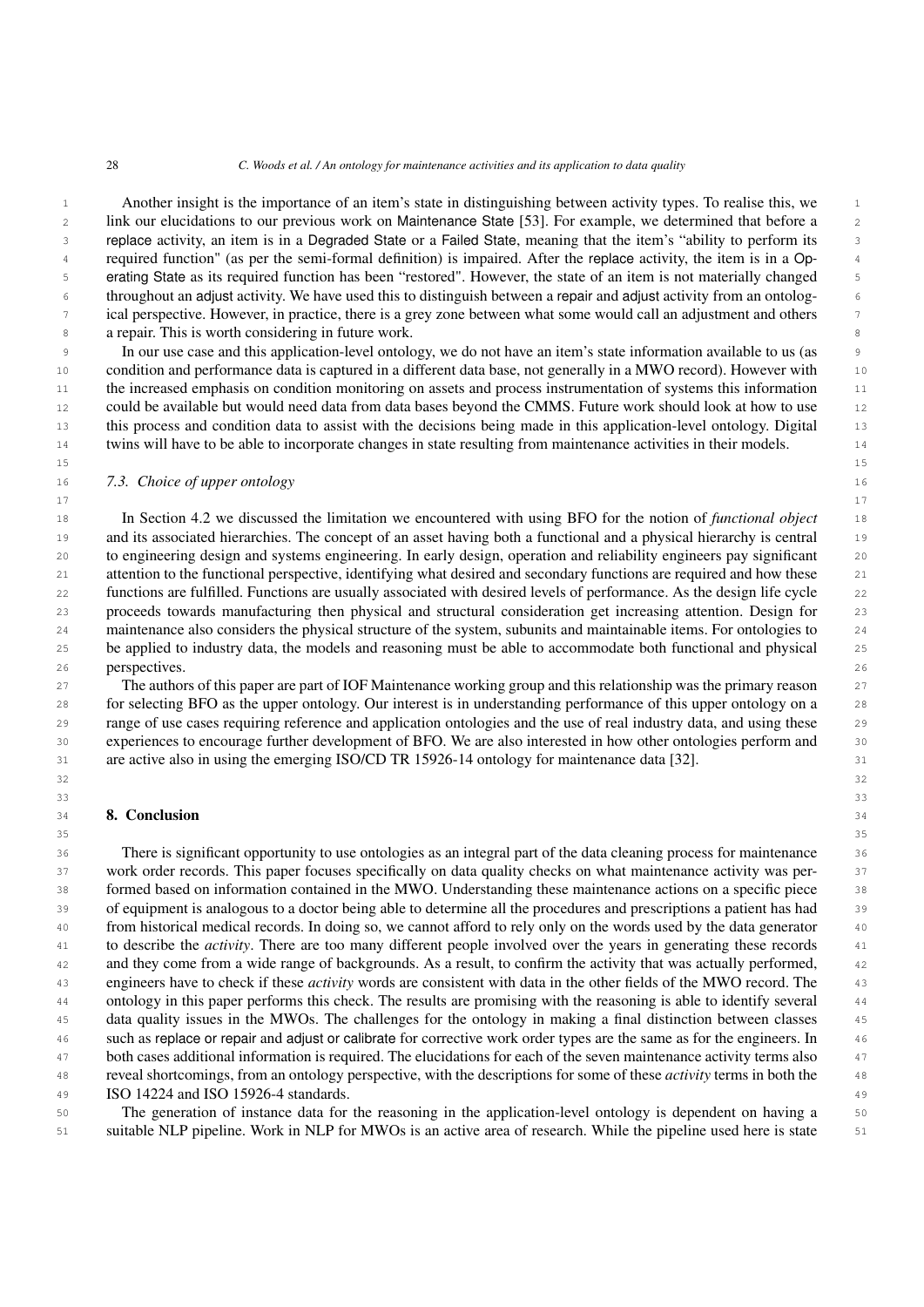1 Another insight is the importance of an item's state in distinguishing between activity types. To realise this, we 2 link our elucidations to our previous work on Maintenance State [\[53\]](#page-29-29). For example, we determined that before a 3 replace activity, an item is in a Degraded State or a Failed State, meaning that the item's "ability to perform its 4 required function" (as per the semi-formal definition) is impaired. After the replace activity, the item is in a Op- 5 erating State as its required function has been "restored". However, the state of an item is not materially changed 6 throughout an adjust activity. We have used this to distinguish between a repair and adjust activity from an ontolog- 7 ical perspective. However, in practice, there is a grey zone between what some would call an adjustment and others 8 a repair. This is worth considering in future work.

 9 In our use case and this application-level ontology, we do not have an item's state information available to us (as 10 condition and performance data is captured in a different data base, not generally in a MWO record). However with 11 the increased emphasis on condition monitoring on assets and process instrumentation of systems this information 12 could be available but would need data from data bases beyond the CMMS. Future work should look at how to use 13 this process and condition data to assist with the decisions being made in this application-level ontology. Digital 14 twins will have to be able to incorporate changes in state resulting from maintenance activities in their models.

15

17

#### 16 *7.3. Choice of upper ontology*

 18 In Section [4.2](#page-11-0) we discussed the limitation we encountered with using BFO for the notion of *functional object* 19 and its associated hierarchies. The concept of an asset having both a functional and a physical hierarchy is central 20 to engineering design and systems engineering. In early design, operation and reliability engineers pay significant 21 attention to the functional perspective, identifying what desired and secondary functions are required and how these 22 functions are fulfilled. Functions are usually associated with desired levels of performance. As the design life cycle 23 proceeds towards manufacturing then physical and structural consideration get increasing attention. Design for 24 maintenance also considers the physical structure of the system, subunits and maintainable items. For ontologies to 25 be applied to industry data, the models and reasoning must be able to accommodate both functional and physical **perspectives.** 26

 27 The authors of this paper are part of IOF Maintenance working group and this relationship was the primary reason 28 for selecting BFO as the upper ontology. Our interest is in understanding performance of this upper ontology on a 29 range of use cases requiring reference and application ontologies and the use of real industry data, and using these 30 experiences to encourage further development of BFO. We are also interested in how other ontologies perform and 31 are active also in using the emerging ISO/CD TR 15926-14 ontology for maintenance data [\[32\]](#page-29-9).

 32 33

35

# **8. Conclusion** 34 **34**

 36 There is significant opportunity to use ontologies as an integral part of the data cleaning process for maintenance 37 work order records. This paper focuses specifically on data quality checks on what maintenance activity was per- 38 formed based on information contained in the MWO. Understanding these maintenance actions on a specific piece 39 of equipment is analogous to a doctor being able to determine all the procedures and prescriptions a patient has had 40 from historical medical records. In doing so, we cannot afford to rely only on the words used by the data generator 41 to describe the *activity*. There are too many different people involved over the years in generating these records 42 and they come from a wide range of backgrounds. As a result, to confirm the activity that was actually performed, 43 engineers have to check if these *activity* words are consistent with data in the other fields of the MWO record. The 44 ontology in this paper performs this check. The results are promising with the reasoning is able to identify several 45 data quality issues in the MWOs. The challenges for the ontology in making a final distinction between classes 46 such as replace or repair and adjust or calibrate for corrective work order types are the same as for the engineers. In 47 both cases additional information is required. The elucidations for each of the seven maintenance activity terms also 48 reveal shortcomings, from an ontology perspective, with the descriptions for some of these *activity* terms in both the 49 ISO 14224 and ISO 15926-4 standards.

 50 The generation of instance data for the reasoning in the application-level ontology is dependent on having a 51 suitable NLP pipeline. Work in NLP for MWOs is an active area of research. While the pipeline used here is state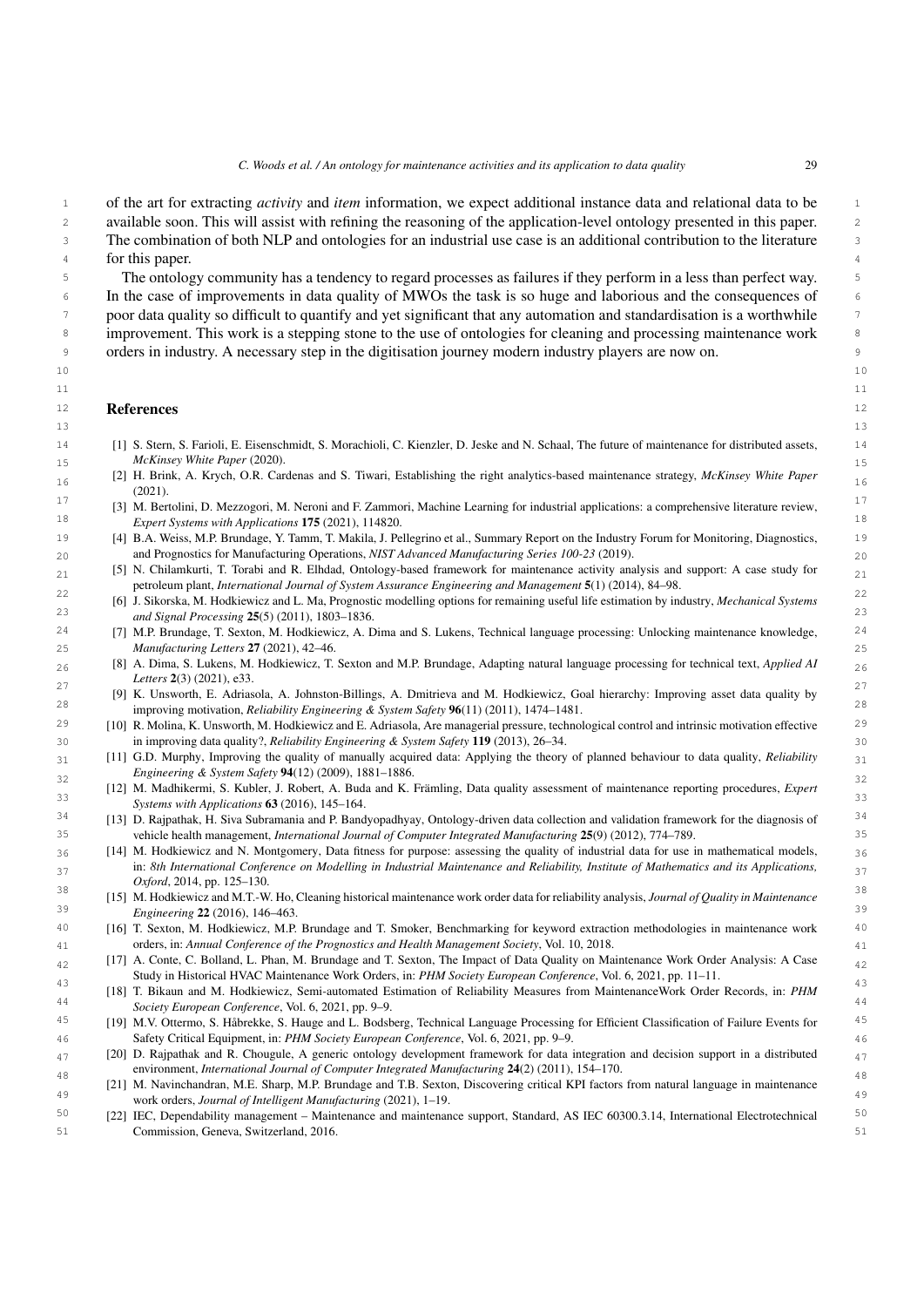1 of the art for extracting *activity* and *item* information, we expect additional instance data and relational data to be 2 available soon. This will assist with refining the reasoning of the application-level ontology presented in this paper. 3 The combination of both NLP and ontologies for an industrial use case is an additional contribution to the literature 4 for this paper.

 5 The ontology community has a tendency to regard processes as failures if they perform in a less than perfect way. <sup>6</sup> In the case of improvements in data quality of MWOs the task is so huge and laborious and the consequences of 7 poor data quality so difficult to quantify and yet significant that any automation and standardisation is a worthwhile <sup>8</sup> improvement. This work is a stepping stone to the use of ontologies for cleaning and processing maintenance work 9 orders in industry. A necessary step in the digitisation journey modern industry players are now on.

 10 

#### References and  $12$ References

- <span id="page-28-0"></span> 13 14 [1] S. Stern, S. Farioli, E. Eisenschmidt, S. Morachioli, C. Kienzler, D. Jeske and N. Schaal, The future of maintenance for distributed assets, 15 *McKinsey White Paper* (2020).
- <span id="page-28-1"></span> 16 [2] H. Brink, A. Krych, O.R. Cardenas and S. Tiwari, Establishing the right analytics-based maintenance strategy, *McKinsey White Paper* (2021).
- <sup>17</sup> [3] M. Bertolini, D. Mezzogori, M. Neroni and F. Zammori, Machine Learning for industrial applications: a comprehensive literature review, 18 *Expert Systems with Applications* 175 (2021), 114820.
- <span id="page-28-2"></span> 19 [4] B.A. Weiss, M.P. Brundage, Y. Tamm, T. Makila, J. Pellegrino et al., Summary Report on the Industry Forum for Monitoring, Diagnostics, 20 and Prognostics for Manufacturing Operations, *NIST Advanced Manufacturing Series 100-23* (2019).
- <span id="page-28-3"></span>[5] N. Chilamkurti, T. Torabi and R. Elhdad, Ontology-based framework for maintenance activity analysis and support: A case study for  $_{21}$ petroleum plant, *International Journal of System Assurance Engineering and Management* 5(1) (2014), 84–98.
- <span id="page-28-4"></span> 22 [6] J. Sikorska, M. Hodkiewicz and L. Ma, Prognostic modelling options for remaining useful life estimation by industry, *Mechanical Systems* 23 *and Signal Processing* 25(5) (2011), 1803–1836.
- <span id="page-28-5"></span> 24 [7] M.P. Brundage, T. Sexton, M. Hodkiewicz, A. Dima and S. Lukens, Technical language processing: Unlocking maintenance knowledge, 25 *Manufacturing Letters* 27 (2021), 42–46.
- <span id="page-28-6"></span> 26 [8] A. Dima, S. Lukens, M. Hodkiewicz, T. Sexton and M.P. Brundage, Adapting natural language processing for technical text, *Applied AI Letters* 2(3) (2021), e33.
- <span id="page-28-7"></span> 27 [9] K. Unsworth, E. Adriasola, A. Johnston-Billings, A. Dmitrieva and M. Hodkiewicz, Goal hierarchy: Improving asset data quality by 28 improving motivation, *Reliability Engineering & System Safety* 96(11) (2011), 1474–1481.
- <sup>29</sup> [10] R. Molina, K. Unsworth, M. Hodkiewicz and E. Adriasola, Are managerial pressure, technological control and intrinsic motivation effective <sup>29</sup> 30 in improving data quality?, *Reliability Engineering & System Safety* 119 (2013), 26–34.
- <span id="page-28-8"></span> 31 [11] G.D. Murphy, Improving the quality of manually acquired data: Applying the theory of planned behaviour to data quality, *Reliability*  $\frac{32}{32}$   $\frac{32}{32}$   $\frac{32}{32}$   $\frac{32}{32}$   $\frac{32}{32}$   $\frac{32}{32}$   $\frac{32}{32}$   $\frac{32}{32}$   $\frac{32}{32}$   $\frac{32}{32}$   $\frac{32}{32}$   $\frac{32}{32}$   $\frac{32}{32}$   $\frac{32}{32}$   $\frac{32}{32}$   $\frac{32}{32}$   $\frac{32}{32}$   $\frac{32}{32}$   $\frac{3$ *Engineering & System Safety* 94(12) (2009), 1881–1886.
- <span id="page-28-9"></span> 33 [12] M. Madhikermi, S. Kubler, J. Robert, A. Buda and K. Främling, Data quality assessment of maintenance reporting procedures, *Expert Systems with Applications* 63 (2016), 145–164.
- [13] D. Rajpathak, H. Siva Subramania and P. Bandyopadhyay, Ontology-driven data collection and validation framework for the diagnosis of  $34$ 35 vehicle health management, *International Journal of Computer Integrated Manufacturing* 25(9) (2012), 774–789.
- <span id="page-28-10"></span> [14] M. Hodkiewicz and N. Montgomery, Data fitness for purpose: assessing the quality of industrial data for use in mathematical models,  $36$  37 in: *8th International Conference on Modelling in Industrial Maintenance and Reliability, Institute of Mathematics and its Applications, Oxford*, 2014, pp. 125–130.
- <span id="page-28-11"></span> 38 [15] M. Hodkiewicz and M.T.-W. Ho, Cleaning historical maintenance work order data for reliability analysis, *Journal of Quality in Maintenance* 39 *Engineering* 22 (2016), 146–463.
- <span id="page-28-12"></span> 40 [16] T. Sexton, M. Hodkiewicz, M.P. Brundage and T. Smoker, Benchmarking for keyword extraction methodologies in maintenance work 41 orders, in: *Annual Conference of the Prognostics and Health Management Society*, Vol. 10, 2018.
- <span id="page-28-13"></span> $_{42}$  [17] A. Conte, C. Bolland, L. Phan, M. Brundage and T. Sexton, The Impact of Data Quality on Maintenance Work Order Analysis: A Case  $_{42}$ Study in Historical HVAC Maintenance Work Orders, in: *PHM Society European Conference*, Vol. 6, 2021, pp. 11–11.
- <span id="page-28-14"></span> 43 [18] T. Bikaun and M. Hodkiewicz, Semi-automated Estimation of Reliability Measures from MaintenanceWork Order Records, in: *PHM* 44 *Society European Conference*, Vol. 6, 2021, pp. 9–9.
- <span id="page-28-15"></span>45 [19] M.V. Ottermo, S. Håbrekke, S. Hauge and L. Bodsberg, Technical Language Processing for Efficient Classification of Failure Events for 45 46 Safety Critical Equipment, in: *PHM Society European Conference*, Vol. 6, 2021, pp. 9–9.
- <span id="page-28-18"></span> $_{47}$  [20] D. Rajpathak and R. Chougule, A generic ontology development framework for data integration and decision support in a distributed  $_{47}$ environment, *International Journal of Computer Integrated Manufacturing* 24(2) (2011), 154–170.
- <span id="page-28-16"></span>48 148 Environment, *International Journal of Computer Integrated Managactaring* 24(2) (2011), 154–170.<br>[21] M. Navinchandran, M.E. Sharp, M.P. Brundage and T.B. Sexton, Discovering critical KPI factors from natural langua 49 work orders, *Journal of Intelligent Manufacturing* (2021), 1–19.
- <span id="page-28-17"></span><sup>50</sup> [22] IEC, Dependability management – Maintenance and maintenance support, Standard, AS IEC 60300.3.14, International Electrotechnical<sup>50</sup> 51 Commission, Geneva, Switzerland, 2016.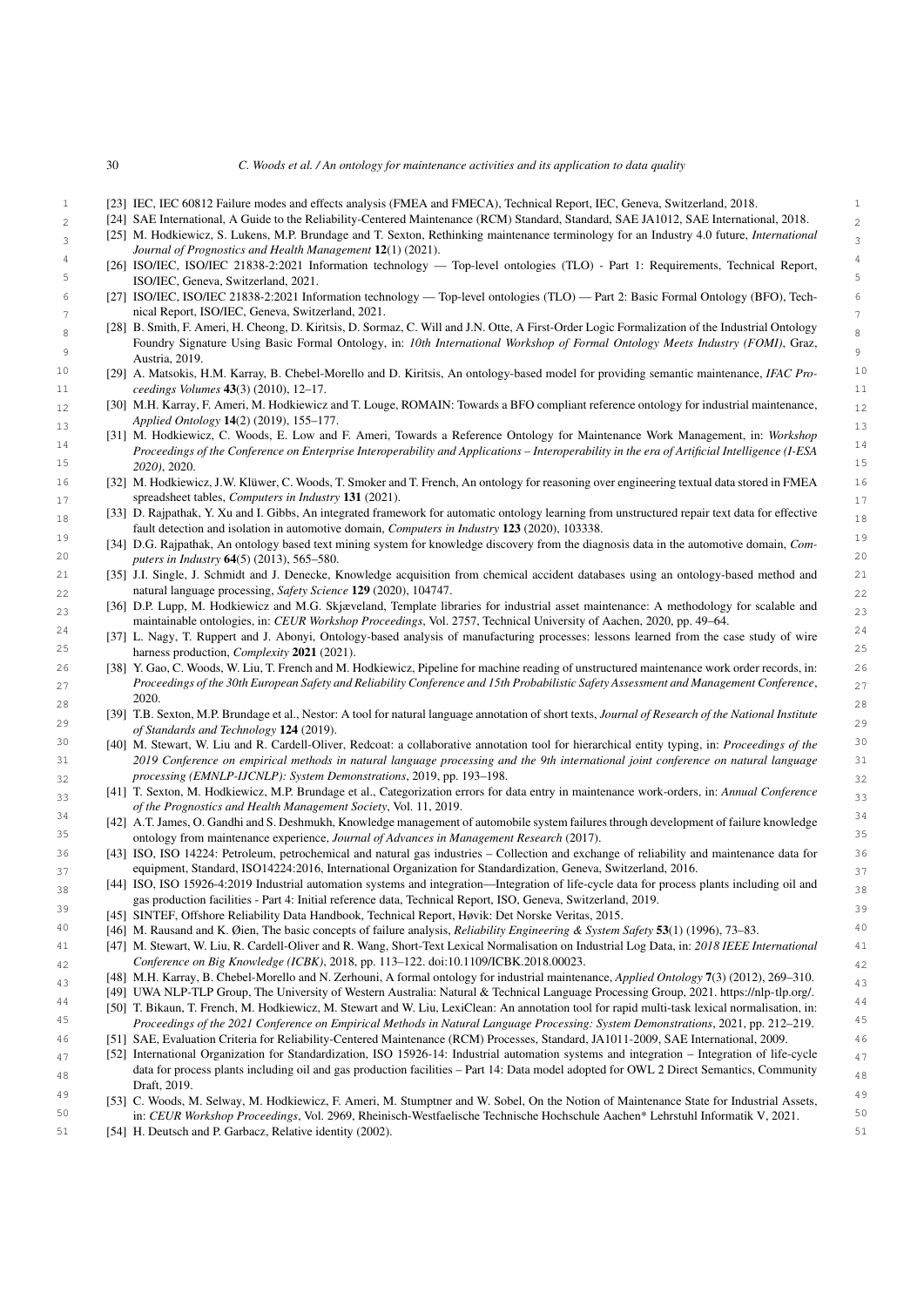- 1 [23] IEC, IEC 60812 Failure modes and effects analysis (FMEA and FMECA), Technical Report, IEC, Geneva, Switzerland, 2018.
- <span id="page-29-1"></span>[24] SAE International, A Guide to the Reliability-Centered Maintenance (RCM) Standard, Standard, SAE JA1012, SAE International, 2018.
- <span id="page-29-2"></span> 3 [25] M. Hodkiewicz, S. Lukens, M.P. Brundage and T. Sexton, Rethinking maintenance terminology for an Industry 4.0 future, *International Journal of Prognostics and Health Management* 12(1) (2021).
- <span id="page-29-3"></span> 4 [26] ISO/IEC, ISO/IEC 21838-2:2021 Information technology — Top-level ontologies (TLO) - Part 1: Requirements, Technical Report, 5 ISO/IEC, Geneva, Switzerland, 2021.
- <span id="page-29-4"></span> 6 [27] ISO/IEC, ISO/IEC 21838-2:2021 Information technology — Top-level ontologies (TLO) — Part 2: Basic Formal Ontology (BFO), Tech- $\tau_7$  nical Report, ISO/IEC, Geneva, Switzerland, 2021.
- <span id="page-29-5"></span>[28] B. Smith, F. Ameri, H. Cheong, D. Kiritsis, D. Sormaz, C. Will and J.N. Otte, A First-Order Logic Formalization of the Industrial Ontology 9 Foundry Signature Using Basic Formal Ontology, in: *10th International Workshop of Formal Ontology Meets Industry (FOMI)*, Graz, Austria, 2019.
- <span id="page-29-6"></span> 10 [29] A. Matsokis, H.M. Karray, B. Chebel-Morello and D. Kiritsis, An ontology-based model for providing semantic maintenance, *IFAC Pro-*11 *ceedings Volumes* 43(3) (2010), 12–17.
- <span id="page-29-7"></span> $_{12}$  [30] M.H. Karray, F. Ameri, M. Hodkiewicz and T. Louge, ROMAIN: Towards a BFO compliant reference ontology for industrial maintenance,  $_{12}$ *Applied Ontology* 14(2) (2019), 155–177.
- <span id="page-29-8"></span> 13 [31] M. Hodkiewicz, C. Woods, E. Low and F. Ameri, Towards a Reference Ontology for Maintenance Work Management, in: *Workshop* 14 *Proceedings of the Conference on Enterprise Interoperability and Applications – Interoperability in the era of Artificial Intelligence (I-ESA*  $\frac{15}{20201}$  2020) 2020 *2020)*, 2020.
- <span id="page-29-9"></span> 16 [32] M. Hodkiewicz, J.W. Klüwer, C. Woods, T. Smoker and T. French, An ontology for reasoning over engineering textual data stored in FMEA 17 spreadsheet tables, *Computers in Industry* 131 (2021).
- <span id="page-29-10"></span>[33] D. Rajpathak, Y. Xu and I. Gibbs, An integrated framework for automatic ontology learning from unstructured repair text data for effective fault detection and isolation in automotive domain, *Computers in Industry* 123 (2020), 103338.
- <span id="page-29-11"></span><sup>19</sup> [34] D.G. Rajpathak, An ontology based text mining system for knowledge discovery from the diagnosis data in the automotive domain, *Com*-<sup>19</sup> 20 *puters in Industry* 64(5) (2013), 565–580.
- <span id="page-29-12"></span> 21 [35] J.I. Single, J. Schmidt and J. Denecke, Knowledge acquisition from chemical accident databases using an ontology-based method and 22 natural language processing, *Safety Science* 129 (2020), 104747.
- <span id="page-29-13"></span>[36] D.P. Lupp, M. Hodkiewicz and M.G. Skjæveland, Template libraries for industrial asset maintenance: A methodology for scalable and  $_{23}$ maintainable ontologies, in: *CEUR Workshop Proceedings*, Vol. 2757, Technical University of Aachen, 2020, pp. 49–64.
- <span id="page-29-14"></span> [37] L. Nagy, T. Ruppert and J. Abonyi, Ontology-based analysis of manufacturing processes: lessons learned from the case study of wire  $24$ 25 harness production, *Complexity* 2021 (2021).
- <span id="page-29-15"></span> 26 [38] Y. Gao, C. Woods, W. Liu, T. French and M. Hodkiewicz, Pipeline for machine reading of unstructured maintenance work order records, in: 27 *Proceedings of the 30th European Safety and Reliability Conference and 15th Probabilistic Safety Assessment and Management Conference*, 28 2020.
- 29 [39] T.B. Sexton, M.P. Brundage et al., Nestor: A tool for natural language annotation of short texts, *Journal of Research of the National Institute of Standards and Technology* 124 (2019).
- <span id="page-29-16"></span> 30 [40] M. Stewart, W. Liu and R. Cardell-Oliver, Redcoat: a collaborative annotation tool for hierarchical entity typing, in: *Proceedings of the* 31 *2019 Conference on empirical methods in natural language processing and the 9th international joint conference on natural language* 32 *processing (EMNLP-IJCNLP): System Demonstrations*, 2019, pp. 193–198.
- <span id="page-29-17"></span> 33 [41] T. Sexton, M. Hodkiewicz, M.P. Brundage et al., Categorization errors for data entry in maintenance work-orders, in: *Annual Conference of the Prognostics and Health Management Society*, Vol. 11, 2019.
- <span id="page-29-18"></span> 34 [42] A.T. James, O. Gandhi and S. Deshmukh, Knowledge management of automobile system failures through development of failure knowledge 35 ontology from maintenance experience, *Journal of Advances in Management Research* (2017).
- <span id="page-29-19"></span> 36 [43] ISO, ISO 14224: Petroleum, petrochemical and natural gas industries – Collection and exchange of reliability and maintenance data for equipment, Standard, ISO14224:2016, International Organization for Standardization, Geneva, Switzerland, 2016.
- <span id="page-29-22"></span><sup>38</sup> [44] ISO, ISO 15926-4:2019 Industrial automation systems and integration—Integration of life-cycle data for process plants including oil and <sup>38</sup> gas production facilities - Part 4: Initial reference data, Technical Report, ISO, Geneva, Switzerland, 2019.
- <span id="page-29-20"></span>39 [45] SINTEF, Offshore Reliability Data Handbook, Technical Report, Høvik: Det Norske Veritas, 2015.
- <span id="page-29-21"></span>40 [46] M. Rausand and K. Øien, The basic concepts of failure analysis, *Reliability Engineering & System Safety* 53(1) (1996), 73–83.
- <span id="page-29-23"></span> 41 [47] M. Stewart, W. Liu, R. Cardell-Oliver and R. Wang, Short-Text Lexical Normalisation on Industrial Log Data, in: *2018 IEEE International* 42 *Conference on Big Knowledge (ICBK)*, 2018, pp. 113–122. doi:10.1109/ICBK.2018.00023.
- 43 [48] M.H. Karray, B. Chebel-Morello and N. Zerhouni, A formal ontology for industrial maintenance, *Applied Ontology* 7(3) (2012), 269–310.
- <span id="page-29-26"></span><span id="page-29-25"></span><span id="page-29-24"></span>[49] UWA NLP-TLP Group, The University of Western Australia: Natural & Technical Language Processing Group, 2021. [https://nlp-tlp.org/.](https://nlp-tlp.org/)
- 44 [50] T. Bikaun, T. French, M. Hodkiewicz, M. Stewart and W. Liu, LexiClean: An annotation tool for rapid multi-task lexical normalisation, in: 45 *Proceedings of the 2021 Conference on Empirical Methods in Natural Language Processing: System Demonstrations*, 2021, pp. 212–219.
- <span id="page-29-27"></span>46 [51] SAE, Evaluation Criteria for Reliability-Centered Maintenance (RCM) Processes, Standard, JA1011-2009, SAE International, 2009.
- <span id="page-29-28"></span> [52] International Organization for Standardization, ISO 15926-14: Industrial automation systems and integration – Integration of life-cycle  $47$ data for process plants including oil and gas production facilities – Part 14: Data model adopted for OWL 2 Direct Semantics, Community 48 Draft, 2019.
- <span id="page-29-29"></span> 49 [53] C. Woods, M. Selway, M. Hodkiewicz, F. Ameri, M. Stumptner and W. Sobel, On the Notion of Maintenance State for Industrial Assets, 50 in: *CEUR Workshop Proceedings*, Vol. 2969, Rheinisch-Westfaelische Technische Hochschule Aachen\* Lehrstuhl Informatik V, 2021.
- <span id="page-29-30"></span>51 [54] H. Deutsch and P. Garbacz, Relative identity (2002).

<span id="page-29-0"></span>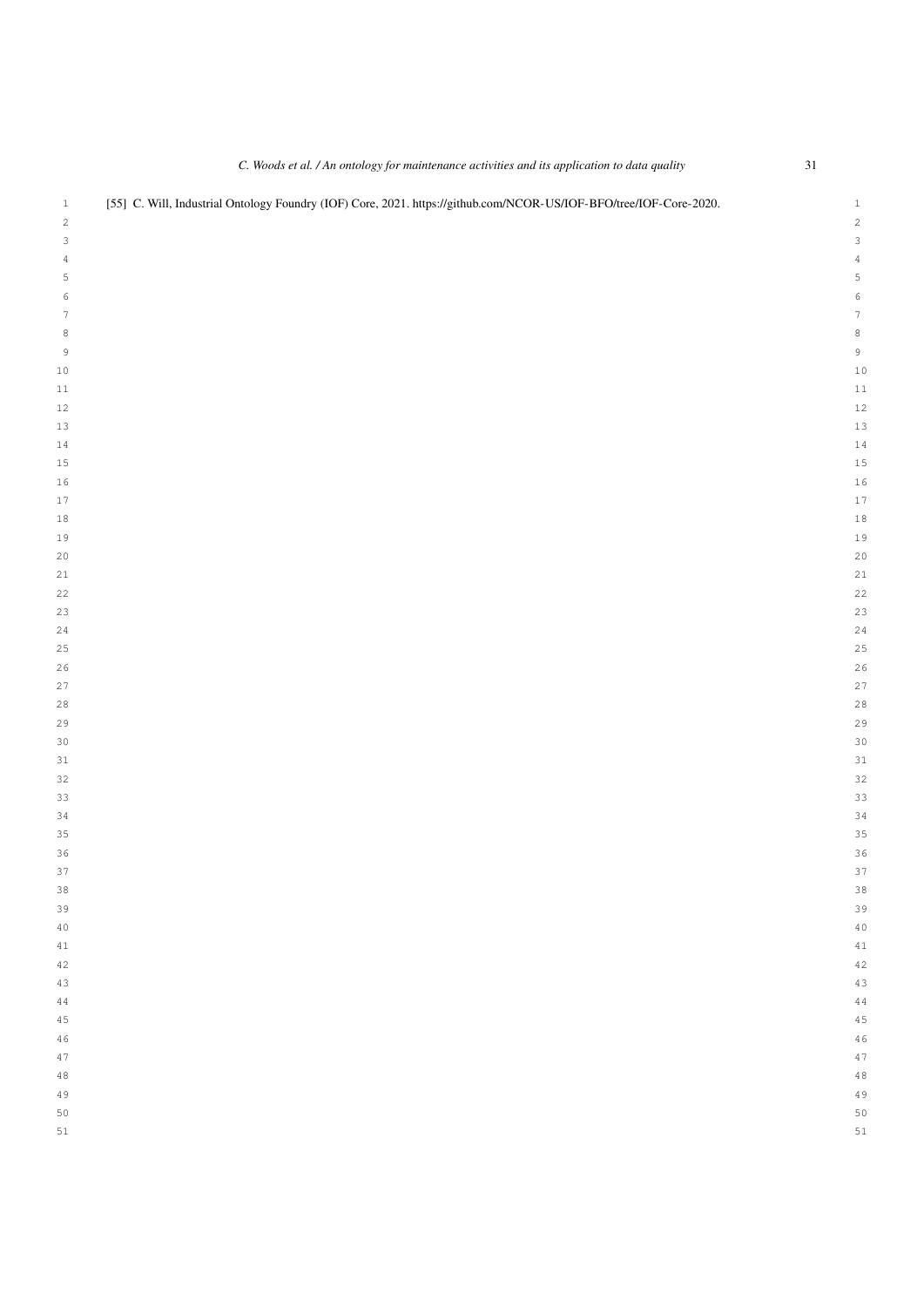<span id="page-30-0"></span>

|                  | C. Woods et al. / An ontology for maintenance activities and its application to data quality                       | $31\,$                    |
|------------------|--------------------------------------------------------------------------------------------------------------------|---------------------------|
| $\mathbf{1}$     | [55] C. Will, Industrial Ontology Foundry (IOF) Core, 2021. https://github.com/NCOR-US/IOF-BFO/tree/IOF-Core-2020. | $\mathbf{1}$              |
| $\sqrt{2}$       |                                                                                                                    | $\sqrt{2}$                |
| 3                |                                                                                                                    | $\ensuremath{\mathsf{3}}$ |
| $\sqrt{4}$       |                                                                                                                    | $\sqrt{4}$                |
| 5                |                                                                                                                    | $\mathsf S$               |
| 6                |                                                                                                                    | $\epsilon$                |
| $\boldsymbol{7}$ |                                                                                                                    | $\boldsymbol{7}$          |
| 8                |                                                                                                                    | $\,$ 8 $\,$               |
| $\mathsf 9$      |                                                                                                                    | $\,9$                     |
| $1\,0$           |                                                                                                                    | $10$                      |
| $1\,1$<br>$1\,2$ |                                                                                                                    | $11$<br>12                |
| 13               |                                                                                                                    | 13                        |
| $1\,4$           |                                                                                                                    | $14$                      |
| $15\,$           |                                                                                                                    | $15$                      |
| $16$             |                                                                                                                    | 16                        |
| $17\,$           |                                                                                                                    | $17$                      |
| $1\,8$           |                                                                                                                    | $1\,8$                    |
| 19               |                                                                                                                    | $1\,$                     |
| $20$             |                                                                                                                    | 20                        |
| $2\sqrt{1}$      |                                                                                                                    | 21                        |
| 22               |                                                                                                                    | 22                        |
| 23               |                                                                                                                    | 23                        |
| 24               |                                                                                                                    | 24                        |
| 25               |                                                                                                                    | 25                        |
| 26               |                                                                                                                    | 26                        |
| 27               |                                                                                                                    | 27                        |
| 28               |                                                                                                                    | 28                        |
| 29               |                                                                                                                    | 2 <sup>o</sup>            |
| 30               |                                                                                                                    | 30                        |
| 31<br>32         |                                                                                                                    | 31<br>32                  |
| 33               |                                                                                                                    | 33                        |
| $34$             |                                                                                                                    | 34                        |
| 35               |                                                                                                                    | 35                        |
| 36               |                                                                                                                    | 36                        |
| 37               |                                                                                                                    | 37                        |
| 38               |                                                                                                                    | 38                        |
| 39               |                                                                                                                    | 3S                        |
| 40               |                                                                                                                    | 40                        |
| 41               |                                                                                                                    | 41                        |
| 42               |                                                                                                                    | 42                        |
| 43               |                                                                                                                    | 43                        |
| 44               |                                                                                                                    | 44                        |
| 45               |                                                                                                                    | 45                        |
| 46               |                                                                                                                    | 46                        |
| 47               |                                                                                                                    | 47                        |
| 48               |                                                                                                                    | 48                        |
| 49               |                                                                                                                    | 4S                        |
| 50<br>$5\,1$     |                                                                                                                    | 50<br>51                  |
|                  |                                                                                                                    |                           |